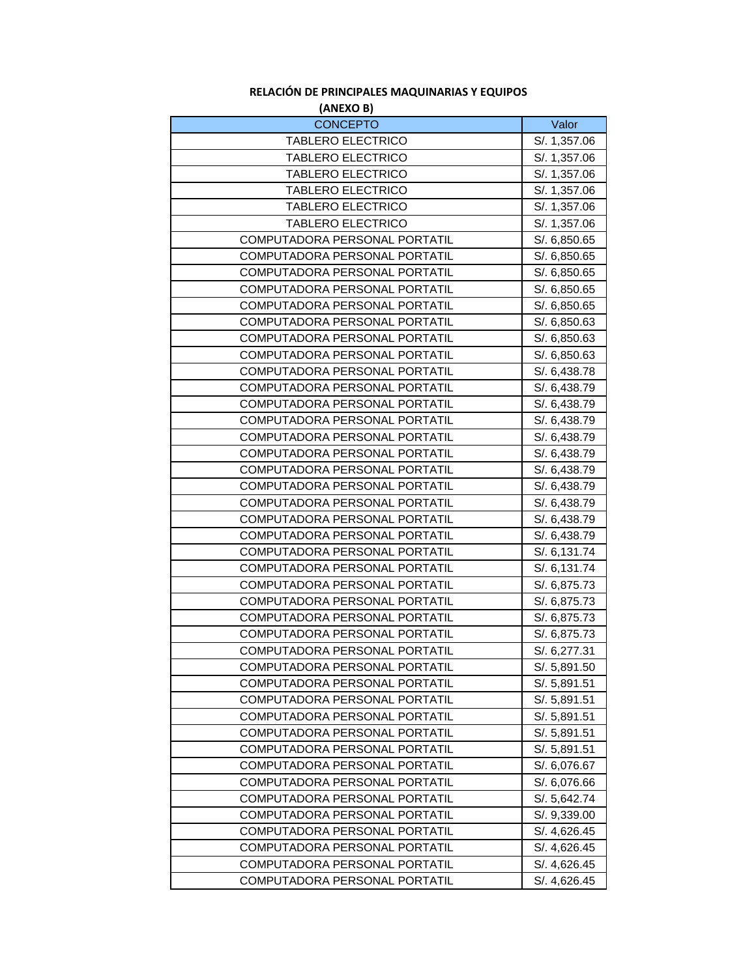## **(ANEXO B) RELACIÓN DE PRINCIPALES MAQUINARIAS Y EQUIPOS**

| <b>AIVEAU DJ</b>                                               |                              |
|----------------------------------------------------------------|------------------------------|
| <b>CONCEPTO</b>                                                | Valor                        |
| <b>TABLERO ELECTRICO</b>                                       | S/. 1,357.06                 |
| <b>TABLERO ELECTRICO</b>                                       | S/. 1,357.06                 |
| <b>TABLERO ELECTRICO</b>                                       | S/. 1,357.06                 |
| <b>TABLERO ELECTRICO</b>                                       | S/. 1,357.06                 |
| <b>TABLERO ELECTRICO</b>                                       | S/. 1,357.06                 |
| <b>TABLERO ELECTRICO</b>                                       | S/. 1,357.06                 |
| COMPUTADORA PERSONAL PORTATIL                                  | S/. 6,850.65                 |
| COMPUTADORA PERSONAL PORTATIL                                  | S/. 6,850.65                 |
| COMPUTADORA PERSONAL PORTATIL                                  | S/. 6,850.65                 |
| COMPUTADORA PERSONAL PORTATIL                                  | S/. 6,850.65                 |
| COMPUTADORA PERSONAL PORTATIL                                  | S/. 6,850.65                 |
| COMPUTADORA PERSONAL PORTATIL                                  | S/. 6,850.63                 |
| COMPUTADORA PERSONAL PORTATIL                                  | S/. 6,850.63                 |
| COMPUTADORA PERSONAL PORTATIL                                  | S/. 6,850.63                 |
| COMPUTADORA PERSONAL PORTATIL                                  | S/. 6,438.78                 |
| COMPUTADORA PERSONAL PORTATIL                                  | S/. 6,438.79                 |
| COMPUTADORA PERSONAL PORTATIL                                  | S/. 6,438.79                 |
| COMPUTADORA PERSONAL PORTATIL                                  | S/. 6,438.79                 |
| COMPUTADORA PERSONAL PORTATIL                                  | S/. 6,438.79                 |
| COMPUTADORA PERSONAL PORTATIL                                  | S/. 6,438.79                 |
| COMPUTADORA PERSONAL PORTATIL                                  | S/. 6,438.79                 |
| COMPUTADORA PERSONAL PORTATIL                                  | S/. 6,438.79                 |
| COMPUTADORA PERSONAL PORTATIL                                  | S/. 6,438.79                 |
| COMPUTADORA PERSONAL PORTATIL                                  | S/. 6,438.79                 |
| COMPUTADORA PERSONAL PORTATIL                                  | S/. 6,438.79                 |
| COMPUTADORA PERSONAL PORTATIL                                  | S/. 6,131.74                 |
| COMPUTADORA PERSONAL PORTATIL                                  | S/. 6,131.74                 |
| COMPUTADORA PERSONAL PORTATIL                                  | S/. 6,875.73                 |
| COMPUTADORA PERSONAL PORTATIL                                  | S/. 6,875.73                 |
| COMPUTADORA PERSONAL PORTATIL                                  | S/. 6,875.73                 |
| COMPUTADORA PERSONAL PORTATIL                                  | S/. 6,875.73                 |
| COMPUTADORA PERSONAL PORTATIL                                  | S/. 6,277.31                 |
|                                                                |                              |
| COMPUTADORA PERSONAL PORTATIL<br>COMPUTADORA PERSONAL PORTATIL | S/. 5,891.50<br>S/. 5,891.51 |
|                                                                |                              |
| COMPUTADORA PERSONAL PORTATIL                                  | S/. 5,891.51                 |
| COMPUTADORA PERSONAL PORTATIL                                  | S/. 5,891.51                 |
| COMPUTADORA PERSONAL PORTATIL                                  | S/. 5,891.51                 |
| COMPUTADORA PERSONAL PORTATIL                                  | S/. 5,891.51                 |
| COMPUTADORA PERSONAL PORTATIL                                  | S/. 6,076.67                 |
| COMPUTADORA PERSONAL PORTATIL                                  | S/. 6,076.66                 |
| COMPUTADORA PERSONAL PORTATIL                                  | S/. 5,642.74                 |
| COMPUTADORA PERSONAL PORTATIL                                  | S/. 9,339.00                 |
| COMPUTADORA PERSONAL PORTATIL                                  | S/. 4,626.45                 |
| COMPUTADORA PERSONAL PORTATIL                                  | S/. 4,626.45                 |
| COMPUTADORA PERSONAL PORTATIL                                  | S/. 4,626.45                 |
| COMPUTADORA PERSONAL PORTATIL                                  | S/. 4,626.45                 |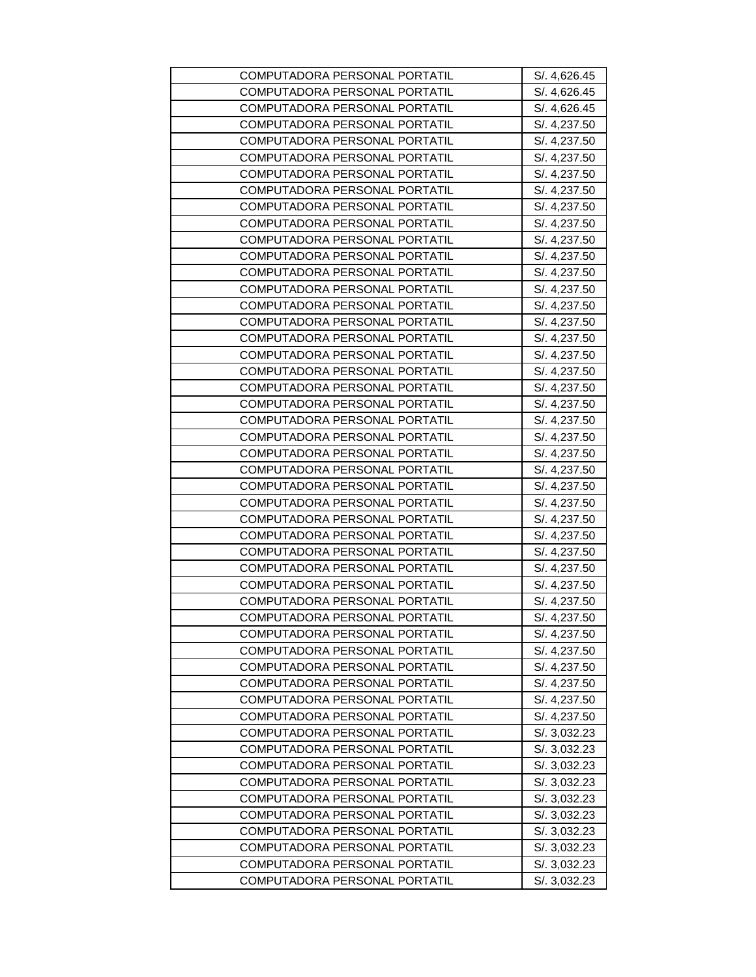| COMPUTADORA PERSONAL PORTATIL | S/. 4,626.45 |
|-------------------------------|--------------|
| COMPUTADORA PERSONAL PORTATIL | S/. 4,626.45 |
| COMPUTADORA PERSONAL PORTATIL | S/. 4,626.45 |
| COMPUTADORA PERSONAL PORTATIL | S/. 4,237.50 |
| COMPUTADORA PERSONAL PORTATIL | S/. 4,237.50 |
| COMPUTADORA PERSONAL PORTATIL | S/. 4,237.50 |
| COMPUTADORA PERSONAL PORTATIL | S/. 4,237.50 |
| COMPUTADORA PERSONAL PORTATIL | S/. 4,237.50 |
| COMPUTADORA PERSONAL PORTATIL | S/. 4,237.50 |
| COMPUTADORA PERSONAL PORTATIL | S/. 4,237.50 |
| COMPUTADORA PERSONAL PORTATIL | S/. 4,237.50 |
| COMPUTADORA PERSONAL PORTATIL | S/. 4,237.50 |
| COMPUTADORA PERSONAL PORTATIL | S/. 4,237.50 |
| COMPUTADORA PERSONAL PORTATIL | S/. 4,237.50 |
| COMPUTADORA PERSONAL PORTATIL | S/. 4,237.50 |
| COMPUTADORA PERSONAL PORTATIL | S/. 4,237.50 |
| COMPUTADORA PERSONAL PORTATIL | S/. 4,237.50 |
| COMPUTADORA PERSONAL PORTATIL | S/. 4,237.50 |
| COMPUTADORA PERSONAL PORTATIL | S/. 4,237.50 |
| COMPUTADORA PERSONAL PORTATIL | S/. 4,237.50 |
| COMPUTADORA PERSONAL PORTATIL | S/. 4,237.50 |
| COMPUTADORA PERSONAL PORTATIL | S/. 4,237.50 |
| COMPUTADORA PERSONAL PORTATIL | S/. 4,237.50 |
| COMPUTADORA PERSONAL PORTATIL | S/. 4,237.50 |
| COMPUTADORA PERSONAL PORTATIL | S/. 4,237.50 |
| COMPUTADORA PERSONAL PORTATIL | S/. 4,237.50 |
| COMPUTADORA PERSONAL PORTATIL | S/. 4,237.50 |
| COMPUTADORA PERSONAL PORTATIL | S/. 4,237.50 |
| COMPUTADORA PERSONAL PORTATIL | S/. 4,237.50 |
| COMPUTADORA PERSONAL PORTATIL | S/. 4,237.50 |
| COMPUTADORA PERSONAL PORTATIL | S/. 4,237.50 |
| COMPUTADORA PERSONAL PORTATIL | S/. 4,237.50 |
| COMPUTADORA PERSONAL PORTATIL | S/. 4,237.50 |
| COMPUTADORA PERSONAL PORTATIL | S/. 4,237.50 |
| COMPUTADORA PERSONAL PORTATIL | S/. 4,237.50 |
| COMPUTADORA PERSONAL PORTATIL | S/. 4,237.50 |
| COMPUTADORA PERSONAL PORTATIL | S/. 4,237.50 |
| COMPUTADORA PERSONAL PORTATIL | S/. 4,237.50 |
| COMPUTADORA PERSONAL PORTATIL | S/. 4,237.50 |
| COMPUTADORA PERSONAL PORTATIL | S/. 4,237.50 |
| COMPUTADORA PERSONAL PORTATIL | S/. 3,032.23 |
| COMPUTADORA PERSONAL PORTATIL | S/. 3,032.23 |
| COMPUTADORA PERSONAL PORTATIL | S/. 3,032.23 |
| COMPUTADORA PERSONAL PORTATIL | S/. 3,032.23 |
| COMPUTADORA PERSONAL PORTATIL | S/.3,032.23  |
| COMPUTADORA PERSONAL PORTATIL | S/.3,032.23  |
| COMPUTADORA PERSONAL PORTATIL | S/. 3,032.23 |
| COMPUTADORA PERSONAL PORTATIL | S/. 3,032.23 |
| COMPUTADORA PERSONAL PORTATIL | S/. 3,032.23 |
| COMPUTADORA PERSONAL PORTATIL | S/. 3,032.23 |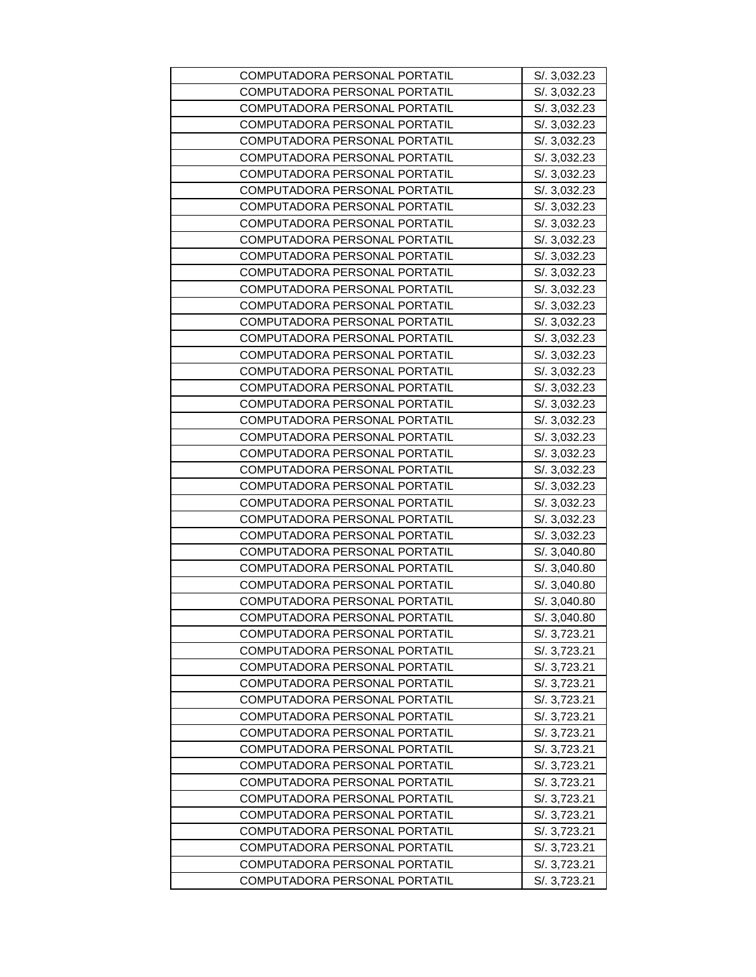| COMPUTADORA PERSONAL PORTATIL | S/. 3,032.23 |
|-------------------------------|--------------|
| COMPUTADORA PERSONAL PORTATIL | S/. 3,032.23 |
| COMPUTADORA PERSONAL PORTATIL | S/. 3,032.23 |
| COMPUTADORA PERSONAL PORTATIL | S/. 3,032.23 |
| COMPUTADORA PERSONAL PORTATIL | S/. 3,032.23 |
| COMPUTADORA PERSONAL PORTATIL | S/. 3,032.23 |
| COMPUTADORA PERSONAL PORTATIL | S/. 3,032.23 |
| COMPUTADORA PERSONAL PORTATIL | S/. 3,032.23 |
| COMPUTADORA PERSONAL PORTATIL | S/. 3,032.23 |
| COMPUTADORA PERSONAL PORTATIL | S/.3,032.23  |
| COMPUTADORA PERSONAL PORTATIL | S/. 3,032.23 |
| COMPUTADORA PERSONAL PORTATIL | S/. 3,032.23 |
| COMPUTADORA PERSONAL PORTATIL | S/. 3,032.23 |
| COMPUTADORA PERSONAL PORTATIL | S/.3,032.23  |
| COMPUTADORA PERSONAL PORTATIL | S/. 3,032.23 |
| COMPUTADORA PERSONAL PORTATIL | S/. 3,032.23 |
| COMPUTADORA PERSONAL PORTATIL | S/. 3,032.23 |
| COMPUTADORA PERSONAL PORTATIL | S/. 3,032.23 |
| COMPUTADORA PERSONAL PORTATIL | S/. 3,032.23 |
| COMPUTADORA PERSONAL PORTATIL | S/. 3,032.23 |
| COMPUTADORA PERSONAL PORTATIL | S/. 3,032.23 |
| COMPUTADORA PERSONAL PORTATIL | S/. 3,032.23 |
| COMPUTADORA PERSONAL PORTATIL | S/. 3,032.23 |
| COMPUTADORA PERSONAL PORTATIL | S/. 3,032.23 |
| COMPUTADORA PERSONAL PORTATIL | S/. 3,032.23 |
| COMPUTADORA PERSONAL PORTATIL | S/. 3,032.23 |
| COMPUTADORA PERSONAL PORTATIL | S/. 3,032.23 |
| COMPUTADORA PERSONAL PORTATIL | S/. 3,032.23 |
| COMPUTADORA PERSONAL PORTATIL | S/.3,032.23  |
| COMPUTADORA PERSONAL PORTATIL | S/. 3,040.80 |
| COMPUTADORA PERSONAL PORTATIL | S/. 3,040.80 |
| COMPUTADORA PERSONAL PORTATIL | S/. 3,040.80 |
| COMPUTADORA PERSONAL PORTATIL | S/. 3,040.80 |
| COMPUTADORA PERSONAL PORTATIL | S/. 3,040.80 |
| COMPUTADORA PERSONAL PORTATIL | S/. 3,723.21 |
| COMPUTADORA PERSONAL PORTATIL | S/. 3,723.21 |
| COMPUTADORA PERSONAL PORTATIL | S/. 3,723.21 |
| COMPUTADORA PERSONAL PORTATIL | S/. 3,723.21 |
| COMPUTADORA PERSONAL PORTATIL | S/. 3,723.21 |
| COMPUTADORA PERSONAL PORTATIL | S/. 3,723.21 |
| COMPUTADORA PERSONAL PORTATIL | S/. 3,723.21 |
| COMPUTADORA PERSONAL PORTATIL | S/. 3,723.21 |
| COMPUTADORA PERSONAL PORTATIL | S/. 3,723.21 |
| COMPUTADORA PERSONAL PORTATIL | S/. 3,723.21 |
| COMPUTADORA PERSONAL PORTATIL | S/. 3,723.21 |
| COMPUTADORA PERSONAL PORTATIL | S/. 3,723.21 |
| COMPUTADORA PERSONAL PORTATIL | S/. 3,723.21 |
| COMPUTADORA PERSONAL PORTATIL | S/. 3,723.21 |
| COMPUTADORA PERSONAL PORTATIL | S/. 3,723.21 |
| COMPUTADORA PERSONAL PORTATIL | S/. 3,723.21 |
|                               |              |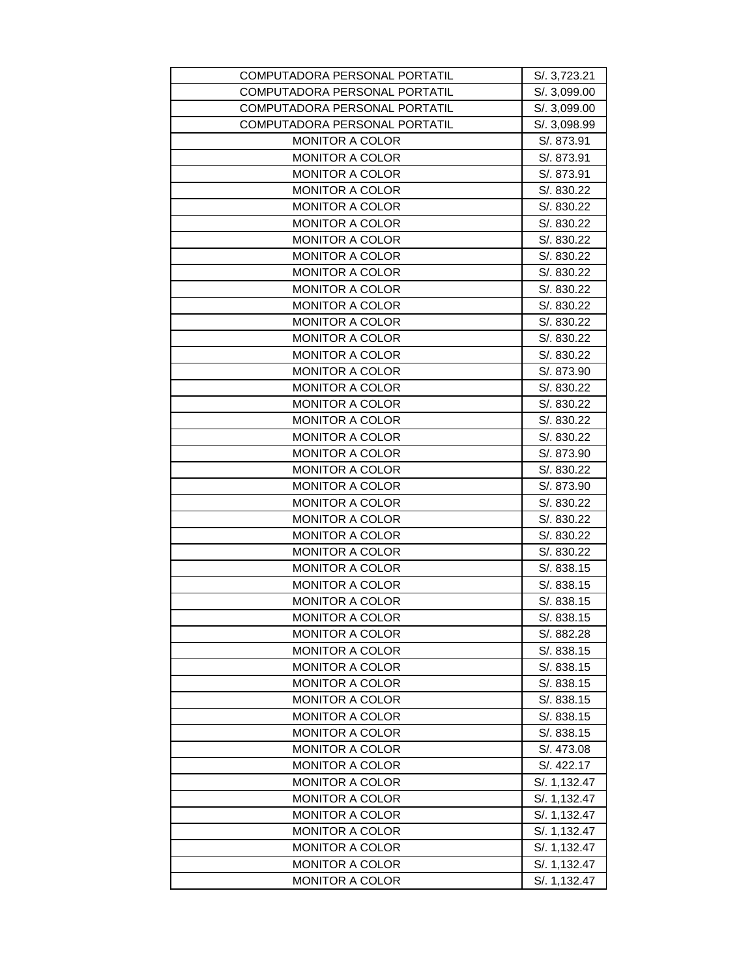| COMPUTADORA PERSONAL PORTATIL | S/. 3,723.21 |
|-------------------------------|--------------|
| COMPUTADORA PERSONAL PORTATIL | S/. 3,099.00 |
| COMPUTADORA PERSONAL PORTATIL | S/. 3,099.00 |
| COMPUTADORA PERSONAL PORTATIL | S/. 3,098.99 |
| <b>MONITOR A COLOR</b>        | S/. 873.91   |
| <b>MONITOR A COLOR</b>        | S/. 873.91   |
| <b>MONITOR A COLOR</b>        | S/. 873.91   |
| MONITOR A COLOR               | S/. 830.22   |
| <b>MONITOR A COLOR</b>        | S/. 830.22   |
| <b>MONITOR A COLOR</b>        | S/. 830.22   |
| <b>MONITOR A COLOR</b>        | S/. 830.22   |
| <b>MONITOR A COLOR</b>        | S/. 830.22   |
| <b>MONITOR A COLOR</b>        | S/. 830.22   |
| <b>MONITOR A COLOR</b>        | S/. 830.22   |
| <b>MONITOR A COLOR</b>        | S/. 830.22   |
| <b>MONITOR A COLOR</b>        | S/. 830.22   |
| <b>MONITOR A COLOR</b>        | S/. 830.22   |
| <b>MONITOR A COLOR</b>        | S/. 830.22   |
| <b>MONITOR A COLOR</b>        | S/. 873.90   |
| <b>MONITOR A COLOR</b>        | S/. 830.22   |
| MONITOR A COLOR               | S/. 830.22   |
| <b>MONITOR A COLOR</b>        | S/. 830.22   |
| <b>MONITOR A COLOR</b>        | S/. 830.22   |
| <b>MONITOR A COLOR</b>        | S/. 873.90   |
| <b>MONITOR A COLOR</b>        | S/. 830.22   |
| MONITOR A COLOR               | S/. 873.90   |
| <b>MONITOR A COLOR</b>        | S/. 830.22   |
| <b>MONITOR A COLOR</b>        | S/. 830.22   |
| <b>MONITOR A COLOR</b>        | S/. 830.22   |
| MONITOR A COLOR               | S/. 830.22   |
| <b>MONITOR A COLOR</b>        | S/. 838.15   |
| <b>MONITOR A COLOR</b>        | S/. 838.15   |
| <b>MONITOR A COLOR</b>        | S/. 838.15   |
| MONITOR A COLOR               | S/. 838.15   |
| <b>MONITOR A COLOR</b>        | S/. 882.28   |
| <b>MONITOR A COLOR</b>        | S/. 838.15   |
| <b>MONITOR A COLOR</b>        | S/. 838.15   |
| <b>MONITOR A COLOR</b>        | S/. 838.15   |
| <b>MONITOR A COLOR</b>        | S/. 838.15   |
| <b>MONITOR A COLOR</b>        | S/. 838.15   |
| <b>MONITOR A COLOR</b>        | S/. 838.15   |
| <b>MONITOR A COLOR</b>        | S/. 473.08   |
| <b>MONITOR A COLOR</b>        | S/. 422.17   |
| MONITOR A COLOR               | S/. 1,132.47 |
|                               |              |
| <b>MONITOR A COLOR</b>        | S/. 1,132.47 |
| <b>MONITOR A COLOR</b>        | S/. 1,132.47 |
| <b>MONITOR A COLOR</b>        | S/. 1,132.47 |
| <b>MONITOR A COLOR</b>        | S/. 1,132.47 |
| <b>MONITOR A COLOR</b>        | S/. 1,132.47 |
| MONITOR A COLOR               | S/. 1,132.47 |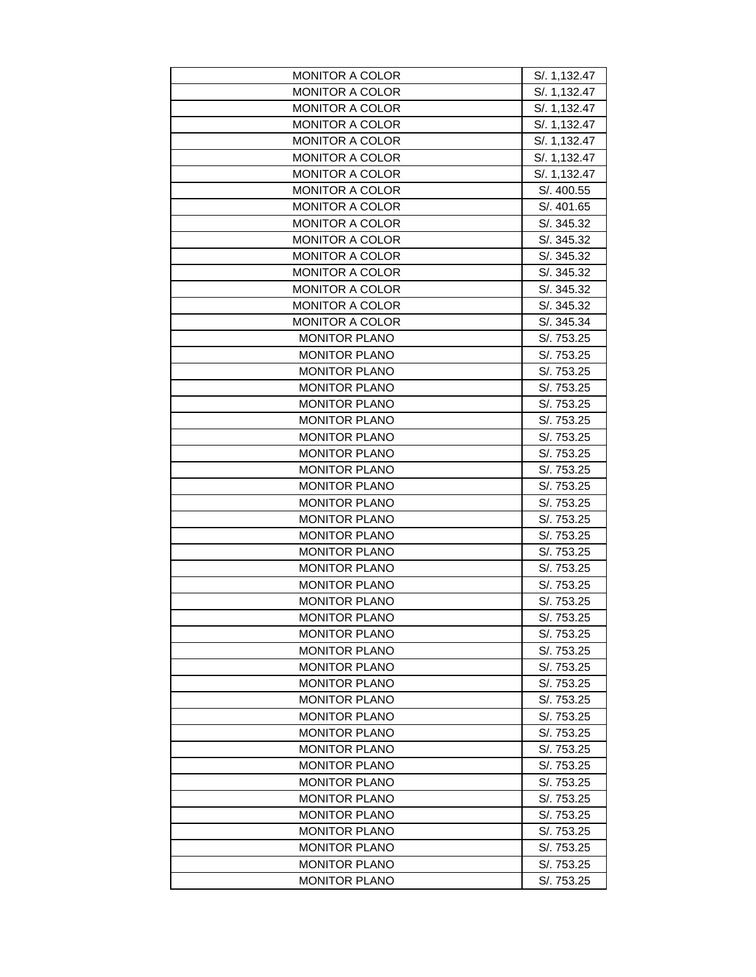| <b>MONITOR A COLOR</b>                       | S/. 1,132.47             |
|----------------------------------------------|--------------------------|
| <b>MONITOR A COLOR</b>                       | S/. 1,132.47             |
| <b>MONITOR A COLOR</b>                       | S/. 1,132.47             |
| <b>MONITOR A COLOR</b>                       | S/. 1,132.47             |
| <b>MONITOR A COLOR</b>                       | S/. 1,132.47             |
| <b>MONITOR A COLOR</b>                       | S/. 1,132.47             |
| <b>MONITOR A COLOR</b>                       | S/. 1,132.47             |
| <b>MONITOR A COLOR</b>                       | S/. 400.55               |
| <b>MONITOR A COLOR</b>                       | S/. 401.65               |
| <b>MONITOR A COLOR</b>                       | S/. 345.32               |
| <b>MONITOR A COLOR</b>                       | S/. 345.32               |
| <b>MONITOR A COLOR</b>                       | S/. 345.32               |
| <b>MONITOR A COLOR</b>                       | S/. 345.32               |
| <b>MONITOR A COLOR</b>                       | S/. 345.32               |
| <b>MONITOR A COLOR</b>                       | S/. 345.32               |
| <b>MONITOR A COLOR</b>                       | S/. 345.34               |
| <b>MONITOR PLANO</b>                         | S/. 753.25               |
| <b>MONITOR PLANO</b>                         | S/. 753.25               |
| <b>MONITOR PLANO</b>                         | S/. 753.25               |
| <b>MONITOR PLANO</b>                         | S/. 753.25               |
| <b>MONITOR PLANO</b>                         | S/. 753.25               |
| <b>MONITOR PLANO</b>                         | S/. 753.25               |
| <b>MONITOR PLANO</b>                         | S/. 753.25               |
| <b>MONITOR PLANO</b>                         | S/. 753.25               |
| <b>MONITOR PLANO</b>                         | S/. 753.25               |
| <b>MONITOR PLANO</b>                         | S/. 753.25               |
| <b>MONITOR PLANO</b>                         | S/. 753.25               |
| <b>MONITOR PLANO</b>                         | S/. 753.25               |
| <b>MONITOR PLANO</b>                         | S/. 753.25               |
| <b>MONITOR PLANO</b>                         | S/. 753.25               |
| <b>MONITOR PLANO</b>                         | S/. 753.25               |
| <b>MONITOR PLANO</b>                         | S/. 753.25               |
| <b>MONITOR PLANO</b>                         | S/. 753.25               |
| <b>MONITOR PLANO</b>                         | S/. 753.25               |
| <b>MONITOR PLANO</b>                         | S/. 753.25               |
| <b>MONITOR PLANO</b>                         | S/. 753.25               |
| <b>MONITOR PLANO</b>                         | S/. 753.25               |
| <b>MONITOR PLANO</b>                         | S/. 753.25               |
| <b>MONITOR PLANO</b>                         |                          |
| <b>MONITOR PLANO</b>                         | S/. 753.25<br>S/. 753.25 |
|                                              |                          |
| <b>MONITOR PLANO</b><br><b>MONITOR PLANO</b> | S/. 753.25               |
| <b>MONITOR PLANO</b>                         | S/. 753.25               |
| <b>MONITOR PLANO</b>                         | S/. 753.25<br>S/. 753.25 |
| <b>MONITOR PLANO</b>                         |                          |
|                                              | S/. 753.25               |
| <b>MONITOR PLANO</b>                         | S/. 753.25               |
| <b>MONITOR PLANO</b>                         | S/. 753.25               |
| <b>MONITOR PLANO</b>                         | S/. 753.25               |
| <b>MONITOR PLANO</b>                         | S/. 753.25               |
| <b>MONITOR PLANO</b>                         | S/. 753.25               |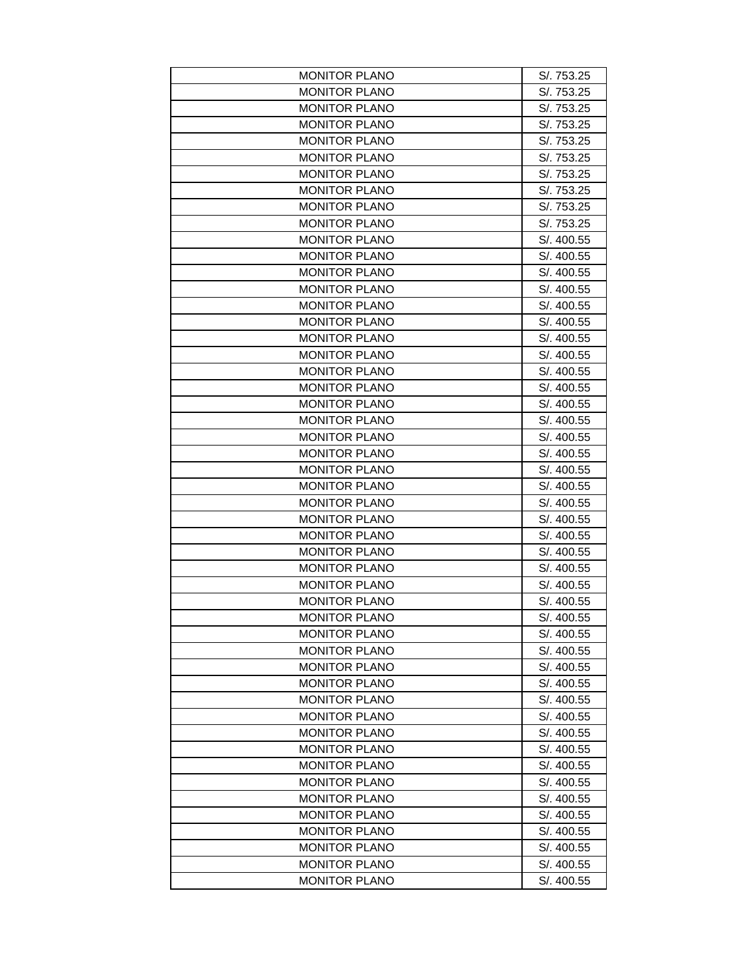| <b>MONITOR PLANO</b> | S/. 753.25 |
|----------------------|------------|
| <b>MONITOR PLANO</b> | S/. 753.25 |
| <b>MONITOR PLANO</b> | S/. 753.25 |
| <b>MONITOR PLANO</b> | S/. 753.25 |
| <b>MONITOR PLANO</b> | S/. 753.25 |
| <b>MONITOR PLANO</b> | S/. 753.25 |
| <b>MONITOR PLANO</b> | S/. 753.25 |
| <b>MONITOR PLANO</b> | S/. 753.25 |
| <b>MONITOR PLANO</b> | S/. 753.25 |
| <b>MONITOR PLANO</b> | S/. 753.25 |
| <b>MONITOR PLANO</b> | S/. 400.55 |
| <b>MONITOR PLANO</b> | S/. 400.55 |
| <b>MONITOR PLANO</b> | S/. 400.55 |
| <b>MONITOR PLANO</b> | S/. 400.55 |
| <b>MONITOR PLANO</b> | S/. 400.55 |
| <b>MONITOR PLANO</b> | S/. 400.55 |
| <b>MONITOR PLANO</b> | S/. 400.55 |
| <b>MONITOR PLANO</b> | S/. 400.55 |
| <b>MONITOR PLANO</b> | S/. 400.55 |
| <b>MONITOR PLANO</b> | S/. 400.55 |
| <b>MONITOR PLANO</b> | S/. 400.55 |
| <b>MONITOR PLANO</b> | S/. 400.55 |
| <b>MONITOR PLANO</b> | S/. 400.55 |
| <b>MONITOR PLANO</b> | S/. 400.55 |
| <b>MONITOR PLANO</b> | S/. 400.55 |
| <b>MONITOR PLANO</b> | S/. 400.55 |
| <b>MONITOR PLANO</b> | S/. 400.55 |
| <b>MONITOR PLANO</b> | S/. 400.55 |
| <b>MONITOR PLANO</b> | S/. 400.55 |
| <b>MONITOR PLANO</b> | S/. 400.55 |
| <b>MONITOR PLANO</b> | S/. 400.55 |
| <b>MONITOR PLANO</b> | S/. 400.55 |
| <b>MONITOR PLANO</b> | S/. 400.55 |
| MONITOR PLANO        | S/. 400.55 |
| <b>MONITOR PLANO</b> | S/. 400.55 |
| <b>MONITOR PLANO</b> | S/. 400.55 |
| <b>MONITOR PLANO</b> | S/. 400.55 |
| <b>MONITOR PLANO</b> | S/. 400.55 |
| <b>MONITOR PLANO</b> | S/. 400.55 |
| <b>MONITOR PLANO</b> | S/. 400.55 |
| <b>MONITOR PLANO</b> | S/. 400.55 |
| <b>MONITOR PLANO</b> | S/. 400.55 |
| <b>MONITOR PLANO</b> | S/. 400.55 |
| <b>MONITOR PLANO</b> | S/. 400.55 |
| <b>MONITOR PLANO</b> | S/. 400.55 |
| <b>MONITOR PLANO</b> | S/. 400.55 |
| <b>MONITOR PLANO</b> | S/. 400.55 |
| <b>MONITOR PLANO</b> | S/. 400.55 |
| <b>MONITOR PLANO</b> | S/. 400.55 |
| MONITOR PLANO        | S/. 400.55 |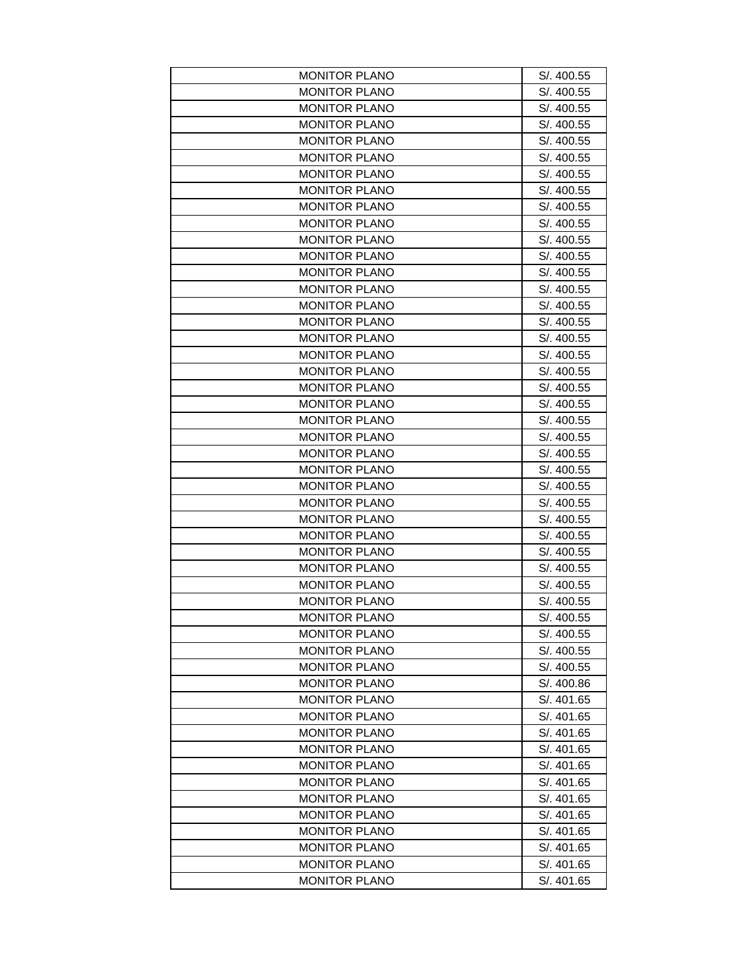| <b>MONITOR PLANO</b> | S/. 400.55 |
|----------------------|------------|
| <b>MONITOR PLANO</b> | S/. 400.55 |
| <b>MONITOR PLANO</b> | S/. 400.55 |
| <b>MONITOR PLANO</b> | S/. 400.55 |
| <b>MONITOR PLANO</b> | S/. 400.55 |
| <b>MONITOR PLANO</b> | S/. 400.55 |
| <b>MONITOR PLANO</b> | S/. 400.55 |
| <b>MONITOR PLANO</b> | S/. 400.55 |
| <b>MONITOR PLANO</b> | S/. 400.55 |
| <b>MONITOR PLANO</b> | S/. 400.55 |
| <b>MONITOR PLANO</b> | S/. 400.55 |
| <b>MONITOR PLANO</b> | S/. 400.55 |
| <b>MONITOR PLANO</b> | S/. 400.55 |
| <b>MONITOR PLANO</b> | S/. 400.55 |
| <b>MONITOR PLANO</b> | S/. 400.55 |
| <b>MONITOR PLANO</b> | S/. 400.55 |
| <b>MONITOR PLANO</b> | S/. 400.55 |
| <b>MONITOR PLANO</b> | S/. 400.55 |
| <b>MONITOR PLANO</b> | S/. 400.55 |
| <b>MONITOR PLANO</b> | S/. 400.55 |
| <b>MONITOR PLANO</b> | S/. 400.55 |
| <b>MONITOR PLANO</b> | S/. 400.55 |
| <b>MONITOR PLANO</b> | S/. 400.55 |
| <b>MONITOR PLANO</b> | S/. 400.55 |
| <b>MONITOR PLANO</b> | S/. 400.55 |
| <b>MONITOR PLANO</b> | S/. 400.55 |
| <b>MONITOR PLANO</b> | S/. 400.55 |
| <b>MONITOR PLANO</b> | S/. 400.55 |
| <b>MONITOR PLANO</b> | S/. 400.55 |
| <b>MONITOR PLANO</b> | S/. 400.55 |
| <b>MONITOR PLANO</b> | S/. 400.55 |
| <b>MONITOR PLANO</b> | S/. 400.55 |
| <b>MONITOR PLANO</b> | S/. 400.55 |
| MONITOR PLANO        | S/. 400.55 |
| <b>MONITOR PLANO</b> | S/. 400.55 |
| <b>MONITOR PLANO</b> | S/. 400.55 |
| <b>MONITOR PLANO</b> | S/. 400.55 |
| <b>MONITOR PLANO</b> | S/. 400.86 |
| <b>MONITOR PLANO</b> | S/. 401.65 |
| <b>MONITOR PLANO</b> | S/. 401.65 |
| <b>MONITOR PLANO</b> |            |
|                      | S/. 401.65 |
| <b>MONITOR PLANO</b> | S/. 401.65 |
| <b>MONITOR PLANO</b> | S/. 401.65 |
| <b>MONITOR PLANO</b> | S/. 401.65 |
| <b>MONITOR PLANO</b> | S/. 401.65 |
| <b>MONITOR PLANO</b> | S/. 401.65 |
| <b>MONITOR PLANO</b> | S/. 401.65 |
| <b>MONITOR PLANO</b> | S/. 401.65 |
| <b>MONITOR PLANO</b> | S/. 401.65 |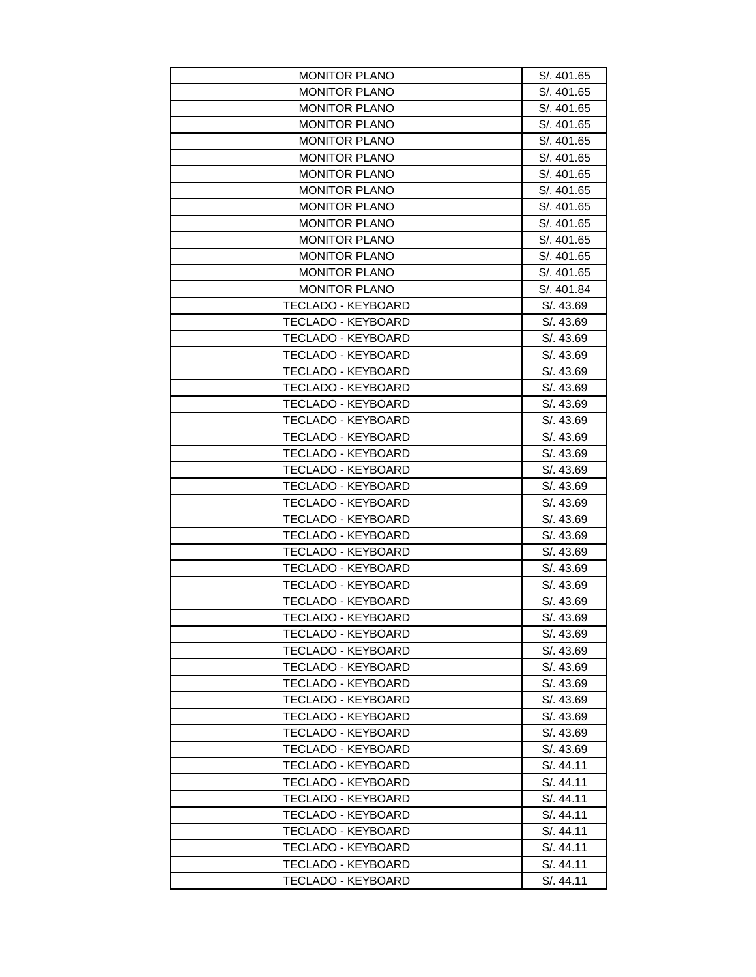| <b>MONITOR PLANO</b>      | S/. 401.65 |
|---------------------------|------------|
| <b>MONITOR PLANO</b>      | S/. 401.65 |
| <b>MONITOR PLANO</b>      | S/. 401.65 |
| <b>MONITOR PLANO</b>      | S/. 401.65 |
| <b>MONITOR PLANO</b>      | S/. 401.65 |
| <b>MONITOR PLANO</b>      | S/. 401.65 |
| <b>MONITOR PLANO</b>      | S/. 401.65 |
| <b>MONITOR PLANO</b>      | S/. 401.65 |
| <b>MONITOR PLANO</b>      | S/. 401.65 |
| <b>MONITOR PLANO</b>      | S/. 401.65 |
| <b>MONITOR PLANO</b>      | S/. 401.65 |
| <b>MONITOR PLANO</b>      | S/. 401.65 |
| <b>MONITOR PLANO</b>      | S/. 401.65 |
| <b>MONITOR PLANO</b>      | S/. 401.84 |
| TECLADO - KEYBOARD        | S/. 43.69  |
| <b>TECLADO - KEYBOARD</b> | S/. 43.69  |
| TECLADO - KEYBOARD        | S/. 43.69  |
| <b>TECLADO - KEYBOARD</b> | S/. 43.69  |
| <b>TECLADO - KEYBOARD</b> | S/. 43.69  |
| <b>TECLADO - KEYBOARD</b> | S/. 43.69  |
| <b>TECLADO - KEYBOARD</b> | S/. 43.69  |
| <b>TECLADO - KEYBOARD</b> | S/. 43.69  |
| <b>TECLADO - KEYBOARD</b> | S/. 43.69  |
| <b>TECLADO - KEYBOARD</b> | S/. 43.69  |
| <b>TECLADO - KEYBOARD</b> | S/. 43.69  |
| TECLADO - KEYBOARD        | S/. 43.69  |
| <b>TECLADO - KEYBOARD</b> | S/. 43.69  |
| <b>TECLADO - KEYBOARD</b> | S/. 43.69  |
| <b>TECLADO - KEYBOARD</b> | S/. 43.69  |
| <b>TECLADO - KEYBOARD</b> | S/. 43.69  |
| <b>TECLADO - KEYBOARD</b> | S/. 43.69  |
| <b>TECLADO - KEYBOARD</b> | S/. 43.69  |
| <b>TECLADO - KEYBOARD</b> | S/. 43.69  |
| TECLADO - KEYBOARD        | S/. 43.69  |
| <b>TECLADO - KEYBOARD</b> | S/. 43.69  |
| TECLADO - KEYBOARD        | S/. 43.69  |
| <b>TECLADO - KEYBOARD</b> | S/. 43.69  |
| <b>TECLADO - KEYBOARD</b> | S/. 43.69  |
| <b>TECLADO - KEYBOARD</b> | S/. 43.69  |
| TECLADO - KEYBOARD        | S/. 43.69  |
| <b>TECLADO - KEYBOARD</b> | S/. 43.69  |
| <b>TECLADO - KEYBOARD</b> | S/. 43.69  |
| TECLADO - KEYBOARD        | S/. 44.11  |
| TECLADO - KEYBOARD        | S/. 44.11  |
| TECLADO - KEYBOARD        | S/. 44.11  |
| <b>TECLADO - KEYBOARD</b> | S/. 44.11  |
| <b>TECLADO - KEYBOARD</b> | S/. 44.11  |
| <b>TECLADO - KEYBOARD</b> | S/. 44.11  |
| TECLADO - KEYBOARD        | S/. 44.11  |
| <b>TECLADO - KEYBOARD</b> | S/. 44.11  |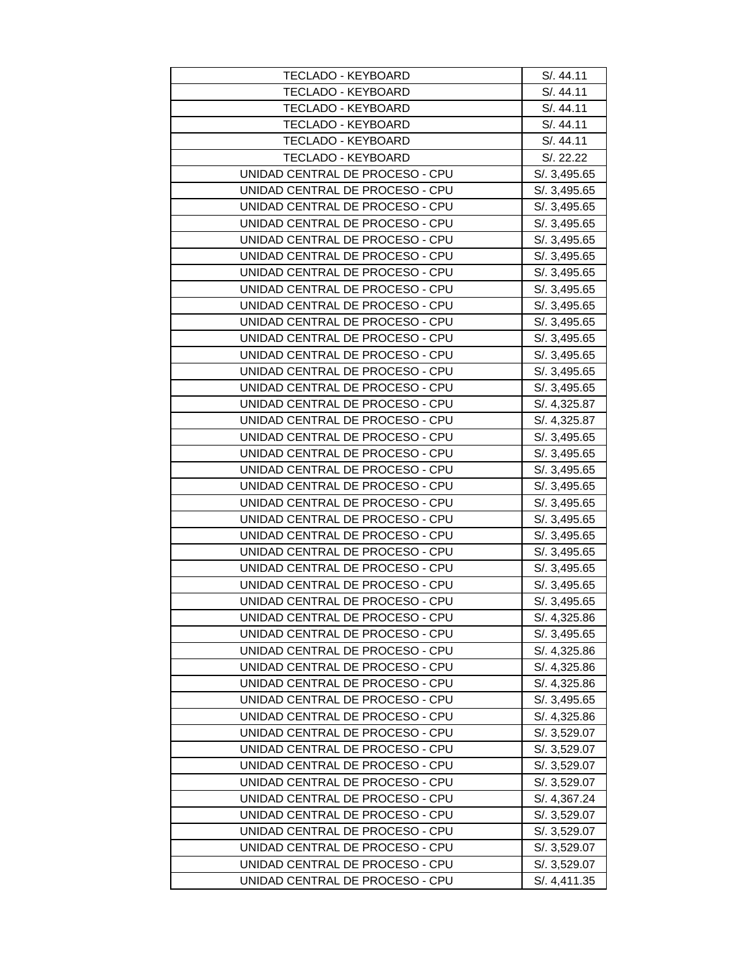| <b>TECLADO - KEYBOARD</b>       | S/. 44.11    |
|---------------------------------|--------------|
| <b>TECLADO - KEYBOARD</b>       | S/. 44.11    |
| <b>TECLADO - KEYBOARD</b>       | S/. 44.11    |
| TECLADO - KEYBOARD              | S/. 44.11    |
| <b>TECLADO - KEYBOARD</b>       | S/. 44.11    |
| <b>TECLADO - KEYBOARD</b>       | S/. 22.22    |
| UNIDAD CENTRAL DE PROCESO - CPU | S/. 3,495.65 |
| UNIDAD CENTRAL DE PROCESO - CPU | S/. 3,495.65 |
| UNIDAD CENTRAL DE PROCESO - CPU | S/. 3,495.65 |
| UNIDAD CENTRAL DE PROCESO - CPU | S/. 3,495.65 |
| UNIDAD CENTRAL DE PROCESO - CPU | S/. 3,495.65 |
| UNIDAD CENTRAL DE PROCESO - CPU | S/. 3,495.65 |
| UNIDAD CENTRAL DE PROCESO - CPU | S/. 3,495.65 |
| UNIDAD CENTRAL DE PROCESO - CPU | S/. 3,495.65 |
| UNIDAD CENTRAL DE PROCESO - CPU | S/. 3,495.65 |
| UNIDAD CENTRAL DE PROCESO - CPU | S/. 3,495.65 |
| UNIDAD CENTRAL DE PROCESO - CPU | S/. 3,495.65 |
| UNIDAD CENTRAL DE PROCESO - CPU | S/. 3,495.65 |
| UNIDAD CENTRAL DE PROCESO - CPU | S/. 3,495.65 |
| UNIDAD CENTRAL DE PROCESO - CPU | S/. 3,495.65 |
| UNIDAD CENTRAL DE PROCESO - CPU | S/. 4,325.87 |
| UNIDAD CENTRAL DE PROCESO - CPU | S/. 4,325.87 |
| UNIDAD CENTRAL DE PROCESO - CPU | S/. 3,495.65 |
| UNIDAD CENTRAL DE PROCESO - CPU | S/. 3,495.65 |
| UNIDAD CENTRAL DE PROCESO - CPU | S/. 3,495.65 |
| UNIDAD CENTRAL DE PROCESO - CPU | S/. 3,495.65 |
| UNIDAD CENTRAL DE PROCESO - CPU | S/. 3,495.65 |
| UNIDAD CENTRAL DE PROCESO - CPU | S/. 3,495.65 |
| UNIDAD CENTRAL DE PROCESO - CPU | S/. 3,495.65 |
| UNIDAD CENTRAL DE PROCESO - CPU | S/. 3,495.65 |
| UNIDAD CENTRAL DE PROCESO - CPU | S/.3,495.65  |
| UNIDAD CENTRAL DE PROCESO - CPU | S/. 3,495.65 |
| UNIDAD CENTRAL DE PROCESO - CPU | S/. 3,495.65 |
| UNIDAD CENTRAL DE PROCESO - CPU | S/. 4,325.86 |
| UNIDAD CENTRAL DE PROCESO - CPU | S/. 3,495.65 |
| UNIDAD CENTRAL DE PROCESO - CPU | S/. 4,325.86 |
| UNIDAD CENTRAL DE PROCESO - CPU | S/. 4,325.86 |
| UNIDAD CENTRAL DE PROCESO - CPU | S/. 4,325.86 |
| UNIDAD CENTRAL DE PROCESO - CPU | S/. 3,495.65 |
| UNIDAD CENTRAL DE PROCESO - CPU | S/. 4,325.86 |
| UNIDAD CENTRAL DE PROCESO - CPU | S/. 3,529.07 |
| UNIDAD CENTRAL DE PROCESO - CPU | S/. 3,529.07 |
| UNIDAD CENTRAL DE PROCESO - CPU | S/. 3,529.07 |
| UNIDAD CENTRAL DE PROCESO - CPU | S/. 3,529.07 |
| UNIDAD CENTRAL DE PROCESO - CPU | S/. 4,367.24 |
| UNIDAD CENTRAL DE PROCESO - CPU | S/. 3,529.07 |
| UNIDAD CENTRAL DE PROCESO - CPU | S/. 3,529.07 |
| UNIDAD CENTRAL DE PROCESO - CPU | S/. 3,529.07 |
| UNIDAD CENTRAL DE PROCESO - CPU | S/. 3,529.07 |
| UNIDAD CENTRAL DE PROCESO - CPU | S/. 4,411.35 |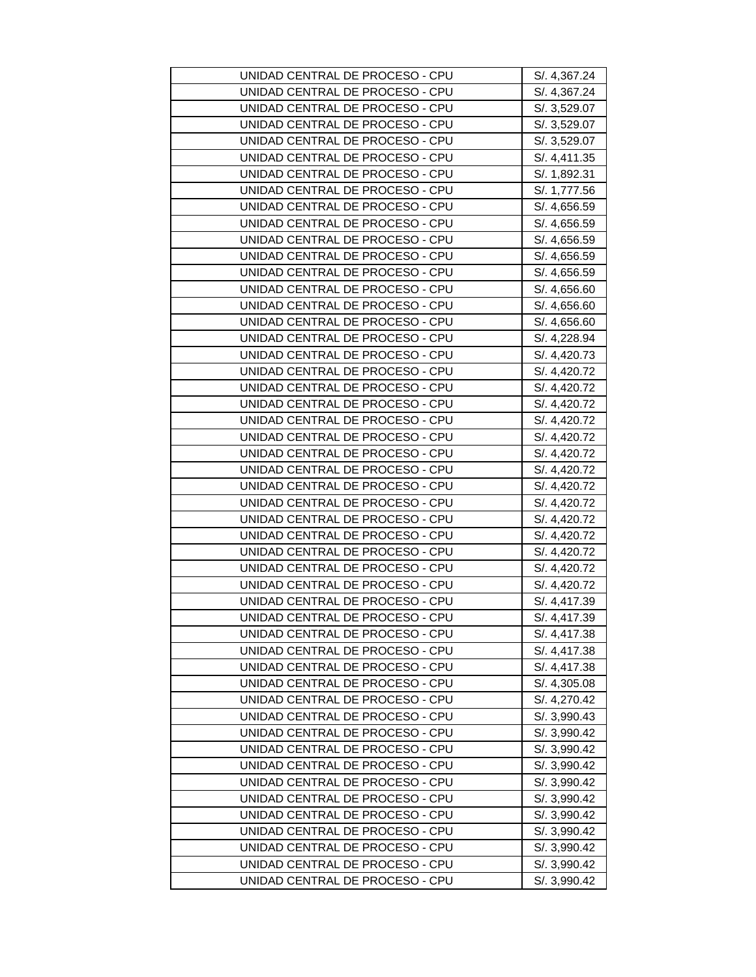| UNIDAD CENTRAL DE PROCESO - CPU | S/. 4,367.24 |
|---------------------------------|--------------|
| UNIDAD CENTRAL DE PROCESO - CPU | S/. 4,367.24 |
| UNIDAD CENTRAL DE PROCESO - CPU | S/. 3,529.07 |
| UNIDAD CENTRAL DE PROCESO - CPU | S/. 3,529.07 |
| UNIDAD CENTRAL DE PROCESO - CPU | S/. 3,529.07 |
| UNIDAD CENTRAL DE PROCESO - CPU | S/. 4,411.35 |
| UNIDAD CENTRAL DE PROCESO - CPU | S/. 1,892.31 |
| UNIDAD CENTRAL DE PROCESO - CPU | S/. 1,777.56 |
| UNIDAD CENTRAL DE PROCESO - CPU | S/. 4,656.59 |
| UNIDAD CENTRAL DE PROCESO - CPU | S/. 4,656.59 |
| UNIDAD CENTRAL DE PROCESO - CPU | S/. 4,656.59 |
| UNIDAD CENTRAL DE PROCESO - CPU | S/. 4,656.59 |
| UNIDAD CENTRAL DE PROCESO - CPU | S/. 4,656.59 |
| UNIDAD CENTRAL DE PROCESO - CPU | S/.4,656.60  |
| UNIDAD CENTRAL DE PROCESO - CPU | S/. 4,656.60 |
| UNIDAD CENTRAL DE PROCESO - CPU | S/. 4,656.60 |
| UNIDAD CENTRAL DE PROCESO - CPU | S/. 4,228.94 |
| UNIDAD CENTRAL DE PROCESO - CPU | S/. 4,420.73 |
| UNIDAD CENTRAL DE PROCESO - CPU | S/. 4,420.72 |
| UNIDAD CENTRAL DE PROCESO - CPU | S/. 4,420.72 |
| UNIDAD CENTRAL DE PROCESO - CPU | S/. 4,420.72 |
| UNIDAD CENTRAL DE PROCESO - CPU | S/. 4,420.72 |
| UNIDAD CENTRAL DE PROCESO - CPU | S/. 4,420.72 |
| UNIDAD CENTRAL DE PROCESO - CPU | S/. 4,420.72 |
| UNIDAD CENTRAL DE PROCESO - CPU | S/. 4,420.72 |
| UNIDAD CENTRAL DE PROCESO - CPU | S/. 4,420.72 |
| UNIDAD CENTRAL DE PROCESO - CPU | S/. 4,420.72 |
| UNIDAD CENTRAL DE PROCESO - CPU | S/. 4,420.72 |
| UNIDAD CENTRAL DE PROCESO - CPU | S/. 4,420.72 |
| UNIDAD CENTRAL DE PROCESO - CPU | S/. 4,420.72 |
| UNIDAD CENTRAL DE PROCESO - CPU | S/. 4,420.72 |
| UNIDAD CENTRAL DE PROCESO - CPU | S/. 4,420.72 |
| UNIDAD CENTRAL DE PROCESO - CPU | S/. 4,417.39 |
| UNIDAD CENTRAL DE PROCESO - CPU | S/. 4,417.39 |
| UNIDAD CENTRAL DE PROCESO - CPU | S/. 4,417.38 |
| UNIDAD CENTRAL DE PROCESO - CPU | S/. 4,417.38 |
| UNIDAD CENTRAL DE PROCESO - CPU | S/. 4,417.38 |
| UNIDAD CENTRAL DE PROCESO - CPU | S/. 4,305.08 |
| UNIDAD CENTRAL DE PROCESO - CPU | S/. 4,270.42 |
| UNIDAD CENTRAL DE PROCESO - CPU | S/. 3,990.43 |
| UNIDAD CENTRAL DE PROCESO - CPU | S/. 3,990.42 |
| UNIDAD CENTRAL DE PROCESO - CPU | S/. 3,990.42 |
| UNIDAD CENTRAL DE PROCESO - CPU | S/. 3,990.42 |
| UNIDAD CENTRAL DE PROCESO - CPU | S/. 3,990.42 |
| UNIDAD CENTRAL DE PROCESO - CPU | S/. 3,990.42 |
| UNIDAD CENTRAL DE PROCESO - CPU | S/. 3,990.42 |
| UNIDAD CENTRAL DE PROCESO - CPU | S/. 3,990.42 |
| UNIDAD CENTRAL DE PROCESO - CPU | S/. 3,990.42 |
| UNIDAD CENTRAL DE PROCESO - CPU | S/. 3,990.42 |
| UNIDAD CENTRAL DE PROCESO - CPU | S/. 3,990.42 |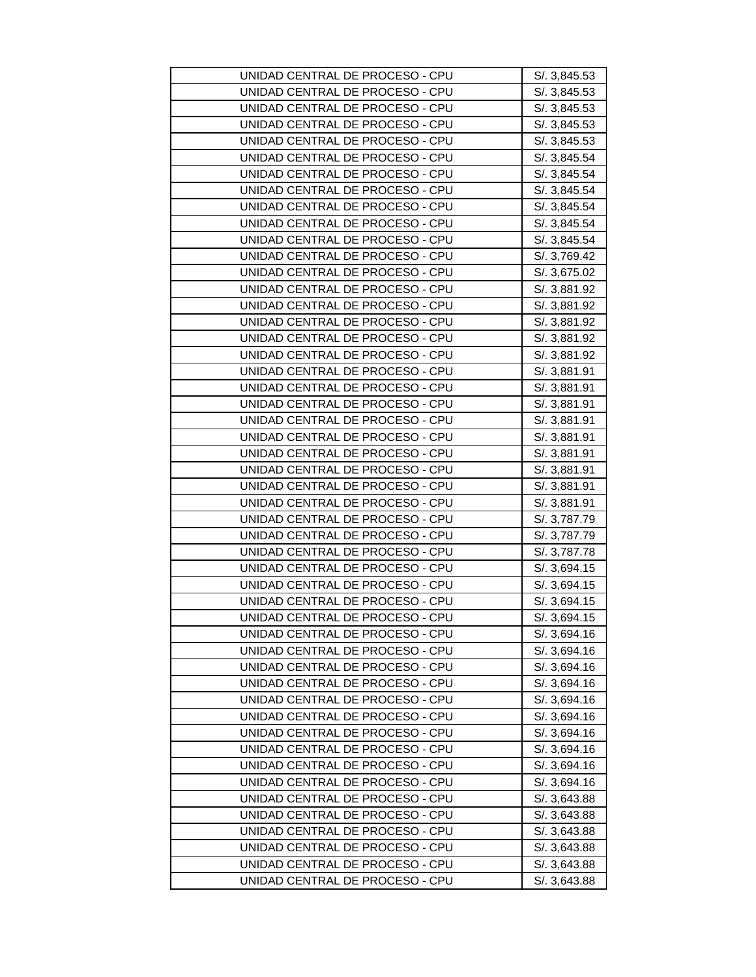| UNIDAD CENTRAL DE PROCESO - CPU | S/. 3,845.53 |
|---------------------------------|--------------|
| UNIDAD CENTRAL DE PROCESO - CPU | S/. 3,845.53 |
| UNIDAD CENTRAL DE PROCESO - CPU | S/. 3,845.53 |
| UNIDAD CENTRAL DE PROCESO - CPU | S/. 3,845.53 |
| UNIDAD CENTRAL DE PROCESO - CPU | S/. 3,845.53 |
| UNIDAD CENTRAL DE PROCESO - CPU | S/. 3,845.54 |
| UNIDAD CENTRAL DE PROCESO - CPU | S/. 3,845.54 |
| UNIDAD CENTRAL DE PROCESO - CPU | S/. 3,845.54 |
| UNIDAD CENTRAL DE PROCESO - CPU | S/. 3,845.54 |
| UNIDAD CENTRAL DE PROCESO - CPU | S/. 3,845.54 |
| UNIDAD CENTRAL DE PROCESO - CPU | S/. 3,845.54 |
| UNIDAD CENTRAL DE PROCESO - CPU | S/. 3,769.42 |
| UNIDAD CENTRAL DE PROCESO - CPU | S/. 3,675.02 |
| UNIDAD CENTRAL DE PROCESO - CPU | S/. 3,881.92 |
| UNIDAD CENTRAL DE PROCESO - CPU | S/. 3,881.92 |
| UNIDAD CENTRAL DE PROCESO - CPU | S/. 3,881.92 |
| UNIDAD CENTRAL DE PROCESO - CPU | S/. 3,881.92 |
| UNIDAD CENTRAL DE PROCESO - CPU | S/. 3,881.92 |
| UNIDAD CENTRAL DE PROCESO - CPU | S/. 3,881.91 |
| UNIDAD CENTRAL DE PROCESO - CPU | S/. 3,881.91 |
| UNIDAD CENTRAL DE PROCESO - CPU | S/. 3,881.91 |
| UNIDAD CENTRAL DE PROCESO - CPU | S/. 3,881.91 |
| UNIDAD CENTRAL DE PROCESO - CPU | S/. 3,881.91 |
| UNIDAD CENTRAL DE PROCESO - CPU | S/. 3,881.91 |
| UNIDAD CENTRAL DE PROCESO - CPU | S/. 3,881.91 |
| UNIDAD CENTRAL DE PROCESO - CPU | S/. 3,881.91 |
| UNIDAD CENTRAL DE PROCESO - CPU | S/. 3,881.91 |
| UNIDAD CENTRAL DE PROCESO - CPU | S/. 3,787.79 |
| UNIDAD CENTRAL DE PROCESO - CPU | S/. 3,787.79 |
| UNIDAD CENTRAL DE PROCESO - CPU | S/. 3,787.78 |
| UNIDAD CENTRAL DE PROCESO - CPU | S/. 3,694.15 |
| UNIDAD CENTRAL DE PROCESO - CPU | S/. 3,694.15 |
| UNIDAD CENTRAL DE PROCESO - CPU | S/. 3,694.15 |
| UNIDAD CENTRAL DE PROCESO - CPU | S/. 3,694.15 |
| UNIDAD CENTRAL DE PROCESO - CPU | S/. 3,694.16 |
| UNIDAD CENTRAL DE PROCESO - CPU | S/. 3,694.16 |
| UNIDAD CENTRAL DE PROCESO - CPU | S/. 3,694.16 |
| UNIDAD CENTRAL DE PROCESO - CPU | S/. 3,694.16 |
| UNIDAD CENTRAL DE PROCESO - CPU | S/. 3,694.16 |
| UNIDAD CENTRAL DE PROCESO - CPU | S/. 3,694.16 |
| UNIDAD CENTRAL DE PROCESO - CPU | S/. 3,694.16 |
| UNIDAD CENTRAL DE PROCESO - CPU | S/. 3,694.16 |
| UNIDAD CENTRAL DE PROCESO - CPU | S/. 3,694.16 |
| UNIDAD CENTRAL DE PROCESO - CPU | S/. 3,694.16 |
| UNIDAD CENTRAL DE PROCESO - CPU | S/. 3,643.88 |
| UNIDAD CENTRAL DE PROCESO - CPU | S/. 3,643.88 |
| UNIDAD CENTRAL DE PROCESO - CPU | S/. 3,643.88 |
| UNIDAD CENTRAL DE PROCESO - CPU | S/. 3,643.88 |
| UNIDAD CENTRAL DE PROCESO - CPU | S/. 3,643.88 |
| UNIDAD CENTRAL DE PROCESO - CPU | S/. 3,643.88 |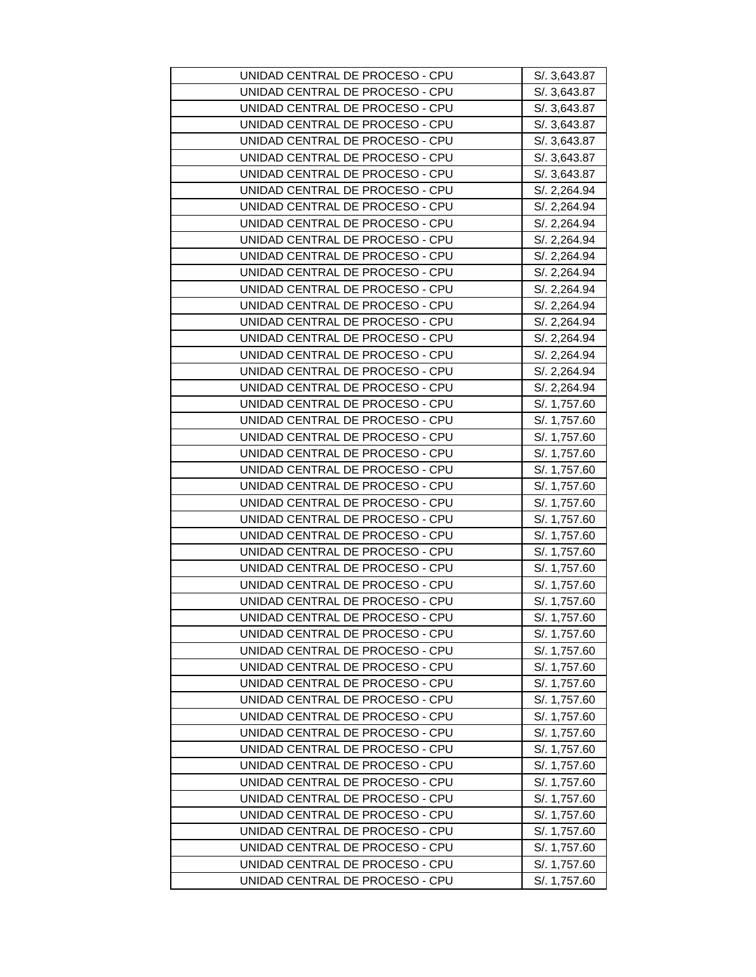| UNIDAD CENTRAL DE PROCESO - CPU | S/. 3,643.87 |
|---------------------------------|--------------|
| UNIDAD CENTRAL DE PROCESO - CPU | S/. 3,643.87 |
| UNIDAD CENTRAL DE PROCESO - CPU | S/. 3,643.87 |
| UNIDAD CENTRAL DE PROCESO - CPU | S/. 3,643.87 |
| UNIDAD CENTRAL DE PROCESO - CPU | S/. 3,643.87 |
| UNIDAD CENTRAL DE PROCESO - CPU | S/. 3,643.87 |
| UNIDAD CENTRAL DE PROCESO - CPU | S/. 3,643.87 |
| UNIDAD CENTRAL DE PROCESO - CPU | S/. 2,264.94 |
| UNIDAD CENTRAL DE PROCESO - CPU | S/. 2,264.94 |
| UNIDAD CENTRAL DE PROCESO - CPU | S/. 2,264.94 |
| UNIDAD CENTRAL DE PROCESO - CPU | S/. 2,264.94 |
| UNIDAD CENTRAL DE PROCESO - CPU | S/. 2,264.94 |
| UNIDAD CENTRAL DE PROCESO - CPU | S/. 2,264.94 |
| UNIDAD CENTRAL DE PROCESO - CPU | S/. 2,264.94 |
| UNIDAD CENTRAL DE PROCESO - CPU | S/. 2,264.94 |
| UNIDAD CENTRAL DE PROCESO - CPU | S/. 2,264.94 |
| UNIDAD CENTRAL DE PROCESO - CPU | S/. 2,264.94 |
| UNIDAD CENTRAL DE PROCESO - CPU | S/. 2,264.94 |
| UNIDAD CENTRAL DE PROCESO - CPU | S/. 2,264.94 |
| UNIDAD CENTRAL DE PROCESO - CPU | S/. 2,264.94 |
| UNIDAD CENTRAL DE PROCESO - CPU | S/. 1,757.60 |
| UNIDAD CENTRAL DE PROCESO - CPU | S/. 1,757.60 |
| UNIDAD CENTRAL DE PROCESO - CPU | S/. 1,757.60 |
| UNIDAD CENTRAL DE PROCESO - CPU | S/. 1,757.60 |
| UNIDAD CENTRAL DE PROCESO - CPU | S/. 1,757.60 |
| UNIDAD CENTRAL DE PROCESO - CPU | S/. 1,757.60 |
| UNIDAD CENTRAL DE PROCESO - CPU | S/. 1,757.60 |
| UNIDAD CENTRAL DE PROCESO - CPU | S/. 1,757.60 |
| UNIDAD CENTRAL DE PROCESO - CPU | S/. 1,757.60 |
| UNIDAD CENTRAL DE PROCESO - CPU | S/. 1,757.60 |
| UNIDAD CENTRAL DE PROCESO - CPU | S/. 1,757.60 |
| UNIDAD CENTRAL DE PROCESO - CPU | S/. 1,757.60 |
| UNIDAD CENTRAL DE PROCESO - CPU | S/. 1,757.60 |
| UNIDAD CENTRAL DE PROCESO - CPU | S/. 1,757.60 |
| UNIDAD CENTRAL DE PROCESO - CPU | S/. 1,757.60 |
| UNIDAD CENTRAL DE PROCESO - CPU | S/. 1,757.60 |
| UNIDAD CENTRAL DE PROCESO - CPU | S/. 1,757.60 |
| UNIDAD CENTRAL DE PROCESO - CPU | S/. 1,757.60 |
| UNIDAD CENTRAL DE PROCESO - CPU | S/. 1,757.60 |
| UNIDAD CENTRAL DE PROCESO - CPU | S/. 1,757.60 |
| UNIDAD CENTRAL DE PROCESO - CPU | S/. 1,757.60 |
| UNIDAD CENTRAL DE PROCESO - CPU | S/. 1,757.60 |
| UNIDAD CENTRAL DE PROCESO - CPU | S/. 1,757.60 |
| UNIDAD CENTRAL DE PROCESO - CPU | S/. 1,757.60 |
| UNIDAD CENTRAL DE PROCESO - CPU | S/. 1,757.60 |
| UNIDAD CENTRAL DE PROCESO - CPU | S/. 1,757.60 |
| UNIDAD CENTRAL DE PROCESO - CPU | S/. 1,757.60 |
| UNIDAD CENTRAL DE PROCESO - CPU | S/. 1,757.60 |
| UNIDAD CENTRAL DE PROCESO - CPU | S/. 1,757.60 |
| UNIDAD CENTRAL DE PROCESO - CPU | S/. 1,757.60 |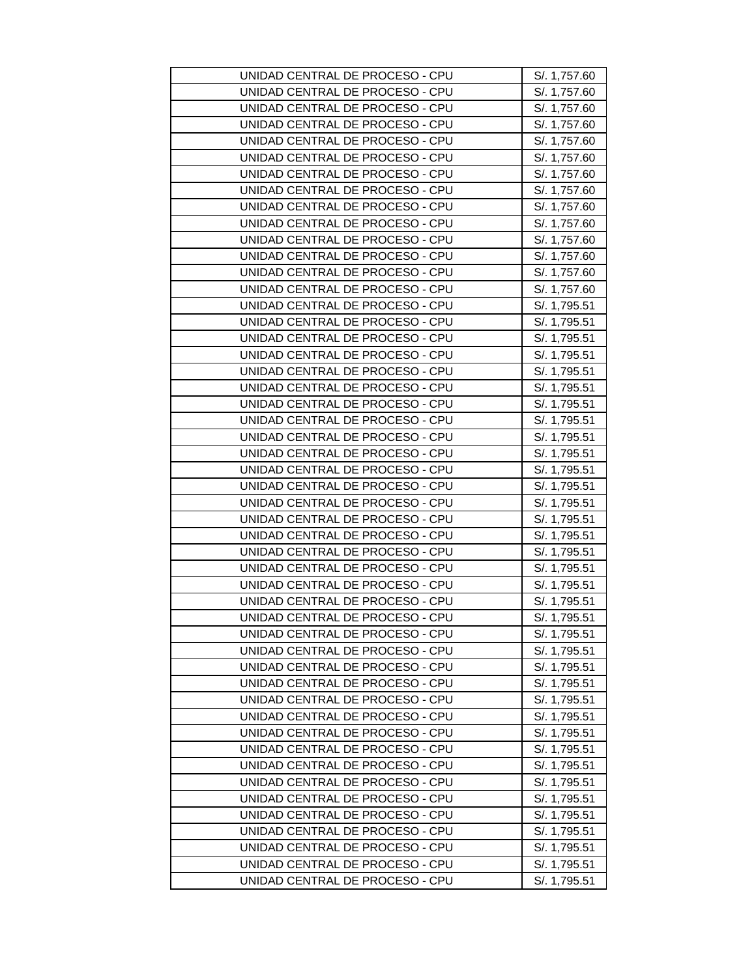| UNIDAD CENTRAL DE PROCESO - CPU<br>S/. 1,757.60<br>UNIDAD CENTRAL DE PROCESO - CPU<br>S/. 1,757.60<br>UNIDAD CENTRAL DE PROCESO - CPU<br>S/. 1,757.60<br>UNIDAD CENTRAL DE PROCESO - CPU<br>S/. 1,757.60<br>UNIDAD CENTRAL DE PROCESO - CPU<br>S/. 1,757.60<br>UNIDAD CENTRAL DE PROCESO - CPU<br>S/. 1,757.60<br>UNIDAD CENTRAL DE PROCESO - CPU<br>S/. 1,757.60<br>UNIDAD CENTRAL DE PROCESO - CPU<br>S/. 1,757.60<br>UNIDAD CENTRAL DE PROCESO - CPU<br>S/. 1,757.60<br>UNIDAD CENTRAL DE PROCESO - CPU<br>S/. 1,757.60<br>UNIDAD CENTRAL DE PROCESO - CPU<br>S/. 1,757.60<br>UNIDAD CENTRAL DE PROCESO - CPU<br>S/. 1,757.60<br>UNIDAD CENTRAL DE PROCESO - CPU<br>S/. 1,757.60<br>UNIDAD CENTRAL DE PROCESO - CPU<br>S/. 1,795.51<br>UNIDAD CENTRAL DE PROCESO - CPU<br>S/. 1,795.51<br>UNIDAD CENTRAL DE PROCESO - CPU<br>S/. 1,795.51<br>UNIDAD CENTRAL DE PROCESO - CPU<br>S/. 1,795.51<br>UNIDAD CENTRAL DE PROCESO - CPU<br>S/. 1,795.51<br>UNIDAD CENTRAL DE PROCESO - CPU<br>S/. 1,795.51<br>UNIDAD CENTRAL DE PROCESO - CPU<br>S/. 1,795.51<br>UNIDAD CENTRAL DE PROCESO - CPU<br>S/. 1,795.51<br>UNIDAD CENTRAL DE PROCESO - CPU<br>S/. 1,795.51<br>UNIDAD CENTRAL DE PROCESO - CPU<br>S/. 1,795.51<br>UNIDAD CENTRAL DE PROCESO - CPU<br>S/. 1,795.51<br>UNIDAD CENTRAL DE PROCESO - CPU<br>S/. 1,795.51<br>UNIDAD CENTRAL DE PROCESO - CPU<br>S/. 1,795.51<br>UNIDAD CENTRAL DE PROCESO - CPU<br>S/. 1,795.51<br>UNIDAD CENTRAL DE PROCESO - CPU<br>S/. 1,795.51<br>UNIDAD CENTRAL DE PROCESO - CPU<br>S/. 1,795.51<br>UNIDAD CENTRAL DE PROCESO - CPU<br>S/. 1,795.51<br>UNIDAD CENTRAL DE PROCESO - CPU<br>S/. 1,795.51<br>UNIDAD CENTRAL DE PROCESO - CPU<br>S/. 1,795.51<br>UNIDAD CENTRAL DE PROCESO - CPU<br>S/. 1,795.51<br>UNIDAD CENTRAL DE PROCESO - CPU<br>S/. 1,795.51<br>UNIDAD CENTRAL DE PROCESO - CPU<br>S/. 1,795.51<br>UNIDAD CENTRAL DE PROCESO - CPU<br>S/. 1,795.51<br>UNIDAD CENTRAL DE PROCESO - CPU<br>S/. 1,795.51<br>UNIDAD CENTRAL DE PROCESO - CPU<br>S/. 1,795.51<br>UNIDAD CENTRAL DE PROCESO - CPU<br>S/. 1,795.51<br>UNIDAD CENTRAL DE PROCESO - CPU<br>S/. 1,795.51<br>UNIDAD CENTRAL DE PROCESO - CPU<br>S/. 1,795.51<br>UNIDAD CENTRAL DE PROCESO - CPU<br>S/. 1,795.51<br>UNIDAD CENTRAL DE PROCESO - CPU<br>S/. 1,795.51<br>UNIDAD CENTRAL DE PROCESO - CPU<br>S/. 1,795.51<br>UNIDAD CENTRAL DE PROCESO - CPU<br>S/. 1,795.51<br>UNIDAD CENTRAL DE PROCESO - CPU<br>S/. 1,795.51<br>UNIDAD CENTRAL DE PROCESO - CPU<br>S/. 1,795.51<br>UNIDAD CENTRAL DE PROCESO - CPU<br>S/. 1,795.51 |                                 |              |
|----------------------------------------------------------------------------------------------------------------------------------------------------------------------------------------------------------------------------------------------------------------------------------------------------------------------------------------------------------------------------------------------------------------------------------------------------------------------------------------------------------------------------------------------------------------------------------------------------------------------------------------------------------------------------------------------------------------------------------------------------------------------------------------------------------------------------------------------------------------------------------------------------------------------------------------------------------------------------------------------------------------------------------------------------------------------------------------------------------------------------------------------------------------------------------------------------------------------------------------------------------------------------------------------------------------------------------------------------------------------------------------------------------------------------------------------------------------------------------------------------------------------------------------------------------------------------------------------------------------------------------------------------------------------------------------------------------------------------------------------------------------------------------------------------------------------------------------------------------------------------------------------------------------------------------------------------------------------------------------------------------------------------------------------------------------------------------------------------------------------------------------------------------------------------------------------------------------------------------------------------------------------------------------------------------------------------------------------------------------------------------------------------------------------------------------------------------------------------------------------------------------------------------------------|---------------------------------|--------------|
|                                                                                                                                                                                                                                                                                                                                                                                                                                                                                                                                                                                                                                                                                                                                                                                                                                                                                                                                                                                                                                                                                                                                                                                                                                                                                                                                                                                                                                                                                                                                                                                                                                                                                                                                                                                                                                                                                                                                                                                                                                                                                                                                                                                                                                                                                                                                                                                                                                                                                                                                              | UNIDAD CENTRAL DE PROCESO - CPU | S/. 1,757.60 |
|                                                                                                                                                                                                                                                                                                                                                                                                                                                                                                                                                                                                                                                                                                                                                                                                                                                                                                                                                                                                                                                                                                                                                                                                                                                                                                                                                                                                                                                                                                                                                                                                                                                                                                                                                                                                                                                                                                                                                                                                                                                                                                                                                                                                                                                                                                                                                                                                                                                                                                                                              |                                 |              |
|                                                                                                                                                                                                                                                                                                                                                                                                                                                                                                                                                                                                                                                                                                                                                                                                                                                                                                                                                                                                                                                                                                                                                                                                                                                                                                                                                                                                                                                                                                                                                                                                                                                                                                                                                                                                                                                                                                                                                                                                                                                                                                                                                                                                                                                                                                                                                                                                                                                                                                                                              |                                 |              |
|                                                                                                                                                                                                                                                                                                                                                                                                                                                                                                                                                                                                                                                                                                                                                                                                                                                                                                                                                                                                                                                                                                                                                                                                                                                                                                                                                                                                                                                                                                                                                                                                                                                                                                                                                                                                                                                                                                                                                                                                                                                                                                                                                                                                                                                                                                                                                                                                                                                                                                                                              |                                 |              |
|                                                                                                                                                                                                                                                                                                                                                                                                                                                                                                                                                                                                                                                                                                                                                                                                                                                                                                                                                                                                                                                                                                                                                                                                                                                                                                                                                                                                                                                                                                                                                                                                                                                                                                                                                                                                                                                                                                                                                                                                                                                                                                                                                                                                                                                                                                                                                                                                                                                                                                                                              |                                 |              |
|                                                                                                                                                                                                                                                                                                                                                                                                                                                                                                                                                                                                                                                                                                                                                                                                                                                                                                                                                                                                                                                                                                                                                                                                                                                                                                                                                                                                                                                                                                                                                                                                                                                                                                                                                                                                                                                                                                                                                                                                                                                                                                                                                                                                                                                                                                                                                                                                                                                                                                                                              |                                 |              |
|                                                                                                                                                                                                                                                                                                                                                                                                                                                                                                                                                                                                                                                                                                                                                                                                                                                                                                                                                                                                                                                                                                                                                                                                                                                                                                                                                                                                                                                                                                                                                                                                                                                                                                                                                                                                                                                                                                                                                                                                                                                                                                                                                                                                                                                                                                                                                                                                                                                                                                                                              |                                 |              |
|                                                                                                                                                                                                                                                                                                                                                                                                                                                                                                                                                                                                                                                                                                                                                                                                                                                                                                                                                                                                                                                                                                                                                                                                                                                                                                                                                                                                                                                                                                                                                                                                                                                                                                                                                                                                                                                                                                                                                                                                                                                                                                                                                                                                                                                                                                                                                                                                                                                                                                                                              |                                 |              |
|                                                                                                                                                                                                                                                                                                                                                                                                                                                                                                                                                                                                                                                                                                                                                                                                                                                                                                                                                                                                                                                                                                                                                                                                                                                                                                                                                                                                                                                                                                                                                                                                                                                                                                                                                                                                                                                                                                                                                                                                                                                                                                                                                                                                                                                                                                                                                                                                                                                                                                                                              |                                 |              |
|                                                                                                                                                                                                                                                                                                                                                                                                                                                                                                                                                                                                                                                                                                                                                                                                                                                                                                                                                                                                                                                                                                                                                                                                                                                                                                                                                                                                                                                                                                                                                                                                                                                                                                                                                                                                                                                                                                                                                                                                                                                                                                                                                                                                                                                                                                                                                                                                                                                                                                                                              |                                 |              |
|                                                                                                                                                                                                                                                                                                                                                                                                                                                                                                                                                                                                                                                                                                                                                                                                                                                                                                                                                                                                                                                                                                                                                                                                                                                                                                                                                                                                                                                                                                                                                                                                                                                                                                                                                                                                                                                                                                                                                                                                                                                                                                                                                                                                                                                                                                                                                                                                                                                                                                                                              |                                 |              |
|                                                                                                                                                                                                                                                                                                                                                                                                                                                                                                                                                                                                                                                                                                                                                                                                                                                                                                                                                                                                                                                                                                                                                                                                                                                                                                                                                                                                                                                                                                                                                                                                                                                                                                                                                                                                                                                                                                                                                                                                                                                                                                                                                                                                                                                                                                                                                                                                                                                                                                                                              |                                 |              |
|                                                                                                                                                                                                                                                                                                                                                                                                                                                                                                                                                                                                                                                                                                                                                                                                                                                                                                                                                                                                                                                                                                                                                                                                                                                                                                                                                                                                                                                                                                                                                                                                                                                                                                                                                                                                                                                                                                                                                                                                                                                                                                                                                                                                                                                                                                                                                                                                                                                                                                                                              |                                 |              |
|                                                                                                                                                                                                                                                                                                                                                                                                                                                                                                                                                                                                                                                                                                                                                                                                                                                                                                                                                                                                                                                                                                                                                                                                                                                                                                                                                                                                                                                                                                                                                                                                                                                                                                                                                                                                                                                                                                                                                                                                                                                                                                                                                                                                                                                                                                                                                                                                                                                                                                                                              |                                 |              |
|                                                                                                                                                                                                                                                                                                                                                                                                                                                                                                                                                                                                                                                                                                                                                                                                                                                                                                                                                                                                                                                                                                                                                                                                                                                                                                                                                                                                                                                                                                                                                                                                                                                                                                                                                                                                                                                                                                                                                                                                                                                                                                                                                                                                                                                                                                                                                                                                                                                                                                                                              |                                 |              |
|                                                                                                                                                                                                                                                                                                                                                                                                                                                                                                                                                                                                                                                                                                                                                                                                                                                                                                                                                                                                                                                                                                                                                                                                                                                                                                                                                                                                                                                                                                                                                                                                                                                                                                                                                                                                                                                                                                                                                                                                                                                                                                                                                                                                                                                                                                                                                                                                                                                                                                                                              |                                 |              |
|                                                                                                                                                                                                                                                                                                                                                                                                                                                                                                                                                                                                                                                                                                                                                                                                                                                                                                                                                                                                                                                                                                                                                                                                                                                                                                                                                                                                                                                                                                                                                                                                                                                                                                                                                                                                                                                                                                                                                                                                                                                                                                                                                                                                                                                                                                                                                                                                                                                                                                                                              |                                 |              |
|                                                                                                                                                                                                                                                                                                                                                                                                                                                                                                                                                                                                                                                                                                                                                                                                                                                                                                                                                                                                                                                                                                                                                                                                                                                                                                                                                                                                                                                                                                                                                                                                                                                                                                                                                                                                                                                                                                                                                                                                                                                                                                                                                                                                                                                                                                                                                                                                                                                                                                                                              |                                 |              |
|                                                                                                                                                                                                                                                                                                                                                                                                                                                                                                                                                                                                                                                                                                                                                                                                                                                                                                                                                                                                                                                                                                                                                                                                                                                                                                                                                                                                                                                                                                                                                                                                                                                                                                                                                                                                                                                                                                                                                                                                                                                                                                                                                                                                                                                                                                                                                                                                                                                                                                                                              |                                 |              |
|                                                                                                                                                                                                                                                                                                                                                                                                                                                                                                                                                                                                                                                                                                                                                                                                                                                                                                                                                                                                                                                                                                                                                                                                                                                                                                                                                                                                                                                                                                                                                                                                                                                                                                                                                                                                                                                                                                                                                                                                                                                                                                                                                                                                                                                                                                                                                                                                                                                                                                                                              |                                 |              |
|                                                                                                                                                                                                                                                                                                                                                                                                                                                                                                                                                                                                                                                                                                                                                                                                                                                                                                                                                                                                                                                                                                                                                                                                                                                                                                                                                                                                                                                                                                                                                                                                                                                                                                                                                                                                                                                                                                                                                                                                                                                                                                                                                                                                                                                                                                                                                                                                                                                                                                                                              |                                 |              |
|                                                                                                                                                                                                                                                                                                                                                                                                                                                                                                                                                                                                                                                                                                                                                                                                                                                                                                                                                                                                                                                                                                                                                                                                                                                                                                                                                                                                                                                                                                                                                                                                                                                                                                                                                                                                                                                                                                                                                                                                                                                                                                                                                                                                                                                                                                                                                                                                                                                                                                                                              |                                 |              |
|                                                                                                                                                                                                                                                                                                                                                                                                                                                                                                                                                                                                                                                                                                                                                                                                                                                                                                                                                                                                                                                                                                                                                                                                                                                                                                                                                                                                                                                                                                                                                                                                                                                                                                                                                                                                                                                                                                                                                                                                                                                                                                                                                                                                                                                                                                                                                                                                                                                                                                                                              |                                 |              |
|                                                                                                                                                                                                                                                                                                                                                                                                                                                                                                                                                                                                                                                                                                                                                                                                                                                                                                                                                                                                                                                                                                                                                                                                                                                                                                                                                                                                                                                                                                                                                                                                                                                                                                                                                                                                                                                                                                                                                                                                                                                                                                                                                                                                                                                                                                                                                                                                                                                                                                                                              |                                 |              |
|                                                                                                                                                                                                                                                                                                                                                                                                                                                                                                                                                                                                                                                                                                                                                                                                                                                                                                                                                                                                                                                                                                                                                                                                                                                                                                                                                                                                                                                                                                                                                                                                                                                                                                                                                                                                                                                                                                                                                                                                                                                                                                                                                                                                                                                                                                                                                                                                                                                                                                                                              |                                 |              |
|                                                                                                                                                                                                                                                                                                                                                                                                                                                                                                                                                                                                                                                                                                                                                                                                                                                                                                                                                                                                                                                                                                                                                                                                                                                                                                                                                                                                                                                                                                                                                                                                                                                                                                                                                                                                                                                                                                                                                                                                                                                                                                                                                                                                                                                                                                                                                                                                                                                                                                                                              |                                 |              |
|                                                                                                                                                                                                                                                                                                                                                                                                                                                                                                                                                                                                                                                                                                                                                                                                                                                                                                                                                                                                                                                                                                                                                                                                                                                                                                                                                                                                                                                                                                                                                                                                                                                                                                                                                                                                                                                                                                                                                                                                                                                                                                                                                                                                                                                                                                                                                                                                                                                                                                                                              |                                 |              |
|                                                                                                                                                                                                                                                                                                                                                                                                                                                                                                                                                                                                                                                                                                                                                                                                                                                                                                                                                                                                                                                                                                                                                                                                                                                                                                                                                                                                                                                                                                                                                                                                                                                                                                                                                                                                                                                                                                                                                                                                                                                                                                                                                                                                                                                                                                                                                                                                                                                                                                                                              |                                 |              |
|                                                                                                                                                                                                                                                                                                                                                                                                                                                                                                                                                                                                                                                                                                                                                                                                                                                                                                                                                                                                                                                                                                                                                                                                                                                                                                                                                                                                                                                                                                                                                                                                                                                                                                                                                                                                                                                                                                                                                                                                                                                                                                                                                                                                                                                                                                                                                                                                                                                                                                                                              |                                 |              |
|                                                                                                                                                                                                                                                                                                                                                                                                                                                                                                                                                                                                                                                                                                                                                                                                                                                                                                                                                                                                                                                                                                                                                                                                                                                                                                                                                                                                                                                                                                                                                                                                                                                                                                                                                                                                                                                                                                                                                                                                                                                                                                                                                                                                                                                                                                                                                                                                                                                                                                                                              |                                 |              |
|                                                                                                                                                                                                                                                                                                                                                                                                                                                                                                                                                                                                                                                                                                                                                                                                                                                                                                                                                                                                                                                                                                                                                                                                                                                                                                                                                                                                                                                                                                                                                                                                                                                                                                                                                                                                                                                                                                                                                                                                                                                                                                                                                                                                                                                                                                                                                                                                                                                                                                                                              |                                 |              |
|                                                                                                                                                                                                                                                                                                                                                                                                                                                                                                                                                                                                                                                                                                                                                                                                                                                                                                                                                                                                                                                                                                                                                                                                                                                                                                                                                                                                                                                                                                                                                                                                                                                                                                                                                                                                                                                                                                                                                                                                                                                                                                                                                                                                                                                                                                                                                                                                                                                                                                                                              |                                 |              |
|                                                                                                                                                                                                                                                                                                                                                                                                                                                                                                                                                                                                                                                                                                                                                                                                                                                                                                                                                                                                                                                                                                                                                                                                                                                                                                                                                                                                                                                                                                                                                                                                                                                                                                                                                                                                                                                                                                                                                                                                                                                                                                                                                                                                                                                                                                                                                                                                                                                                                                                                              |                                 |              |
|                                                                                                                                                                                                                                                                                                                                                                                                                                                                                                                                                                                                                                                                                                                                                                                                                                                                                                                                                                                                                                                                                                                                                                                                                                                                                                                                                                                                                                                                                                                                                                                                                                                                                                                                                                                                                                                                                                                                                                                                                                                                                                                                                                                                                                                                                                                                                                                                                                                                                                                                              |                                 |              |
|                                                                                                                                                                                                                                                                                                                                                                                                                                                                                                                                                                                                                                                                                                                                                                                                                                                                                                                                                                                                                                                                                                                                                                                                                                                                                                                                                                                                                                                                                                                                                                                                                                                                                                                                                                                                                                                                                                                                                                                                                                                                                                                                                                                                                                                                                                                                                                                                                                                                                                                                              |                                 |              |
|                                                                                                                                                                                                                                                                                                                                                                                                                                                                                                                                                                                                                                                                                                                                                                                                                                                                                                                                                                                                                                                                                                                                                                                                                                                                                                                                                                                                                                                                                                                                                                                                                                                                                                                                                                                                                                                                                                                                                                                                                                                                                                                                                                                                                                                                                                                                                                                                                                                                                                                                              |                                 |              |
|                                                                                                                                                                                                                                                                                                                                                                                                                                                                                                                                                                                                                                                                                                                                                                                                                                                                                                                                                                                                                                                                                                                                                                                                                                                                                                                                                                                                                                                                                                                                                                                                                                                                                                                                                                                                                                                                                                                                                                                                                                                                                                                                                                                                                                                                                                                                                                                                                                                                                                                                              |                                 |              |
|                                                                                                                                                                                                                                                                                                                                                                                                                                                                                                                                                                                                                                                                                                                                                                                                                                                                                                                                                                                                                                                                                                                                                                                                                                                                                                                                                                                                                                                                                                                                                                                                                                                                                                                                                                                                                                                                                                                                                                                                                                                                                                                                                                                                                                                                                                                                                                                                                                                                                                                                              |                                 |              |
|                                                                                                                                                                                                                                                                                                                                                                                                                                                                                                                                                                                                                                                                                                                                                                                                                                                                                                                                                                                                                                                                                                                                                                                                                                                                                                                                                                                                                                                                                                                                                                                                                                                                                                                                                                                                                                                                                                                                                                                                                                                                                                                                                                                                                                                                                                                                                                                                                                                                                                                                              |                                 |              |
|                                                                                                                                                                                                                                                                                                                                                                                                                                                                                                                                                                                                                                                                                                                                                                                                                                                                                                                                                                                                                                                                                                                                                                                                                                                                                                                                                                                                                                                                                                                                                                                                                                                                                                                                                                                                                                                                                                                                                                                                                                                                                                                                                                                                                                                                                                                                                                                                                                                                                                                                              |                                 |              |
|                                                                                                                                                                                                                                                                                                                                                                                                                                                                                                                                                                                                                                                                                                                                                                                                                                                                                                                                                                                                                                                                                                                                                                                                                                                                                                                                                                                                                                                                                                                                                                                                                                                                                                                                                                                                                                                                                                                                                                                                                                                                                                                                                                                                                                                                                                                                                                                                                                                                                                                                              |                                 |              |
|                                                                                                                                                                                                                                                                                                                                                                                                                                                                                                                                                                                                                                                                                                                                                                                                                                                                                                                                                                                                                                                                                                                                                                                                                                                                                                                                                                                                                                                                                                                                                                                                                                                                                                                                                                                                                                                                                                                                                                                                                                                                                                                                                                                                                                                                                                                                                                                                                                                                                                                                              |                                 |              |
|                                                                                                                                                                                                                                                                                                                                                                                                                                                                                                                                                                                                                                                                                                                                                                                                                                                                                                                                                                                                                                                                                                                                                                                                                                                                                                                                                                                                                                                                                                                                                                                                                                                                                                                                                                                                                                                                                                                                                                                                                                                                                                                                                                                                                                                                                                                                                                                                                                                                                                                                              |                                 |              |
|                                                                                                                                                                                                                                                                                                                                                                                                                                                                                                                                                                                                                                                                                                                                                                                                                                                                                                                                                                                                                                                                                                                                                                                                                                                                                                                                                                                                                                                                                                                                                                                                                                                                                                                                                                                                                                                                                                                                                                                                                                                                                                                                                                                                                                                                                                                                                                                                                                                                                                                                              |                                 |              |
|                                                                                                                                                                                                                                                                                                                                                                                                                                                                                                                                                                                                                                                                                                                                                                                                                                                                                                                                                                                                                                                                                                                                                                                                                                                                                                                                                                                                                                                                                                                                                                                                                                                                                                                                                                                                                                                                                                                                                                                                                                                                                                                                                                                                                                                                                                                                                                                                                                                                                                                                              |                                 |              |
|                                                                                                                                                                                                                                                                                                                                                                                                                                                                                                                                                                                                                                                                                                                                                                                                                                                                                                                                                                                                                                                                                                                                                                                                                                                                                                                                                                                                                                                                                                                                                                                                                                                                                                                                                                                                                                                                                                                                                                                                                                                                                                                                                                                                                                                                                                                                                                                                                                                                                                                                              |                                 |              |
|                                                                                                                                                                                                                                                                                                                                                                                                                                                                                                                                                                                                                                                                                                                                                                                                                                                                                                                                                                                                                                                                                                                                                                                                                                                                                                                                                                                                                                                                                                                                                                                                                                                                                                                                                                                                                                                                                                                                                                                                                                                                                                                                                                                                                                                                                                                                                                                                                                                                                                                                              |                                 |              |
|                                                                                                                                                                                                                                                                                                                                                                                                                                                                                                                                                                                                                                                                                                                                                                                                                                                                                                                                                                                                                                                                                                                                                                                                                                                                                                                                                                                                                                                                                                                                                                                                                                                                                                                                                                                                                                                                                                                                                                                                                                                                                                                                                                                                                                                                                                                                                                                                                                                                                                                                              |                                 |              |
|                                                                                                                                                                                                                                                                                                                                                                                                                                                                                                                                                                                                                                                                                                                                                                                                                                                                                                                                                                                                                                                                                                                                                                                                                                                                                                                                                                                                                                                                                                                                                                                                                                                                                                                                                                                                                                                                                                                                                                                                                                                                                                                                                                                                                                                                                                                                                                                                                                                                                                                                              |                                 |              |
|                                                                                                                                                                                                                                                                                                                                                                                                                                                                                                                                                                                                                                                                                                                                                                                                                                                                                                                                                                                                                                                                                                                                                                                                                                                                                                                                                                                                                                                                                                                                                                                                                                                                                                                                                                                                                                                                                                                                                                                                                                                                                                                                                                                                                                                                                                                                                                                                                                                                                                                                              | UNIDAD CENTRAL DE PROCESO - CPU | S/. 1,795.51 |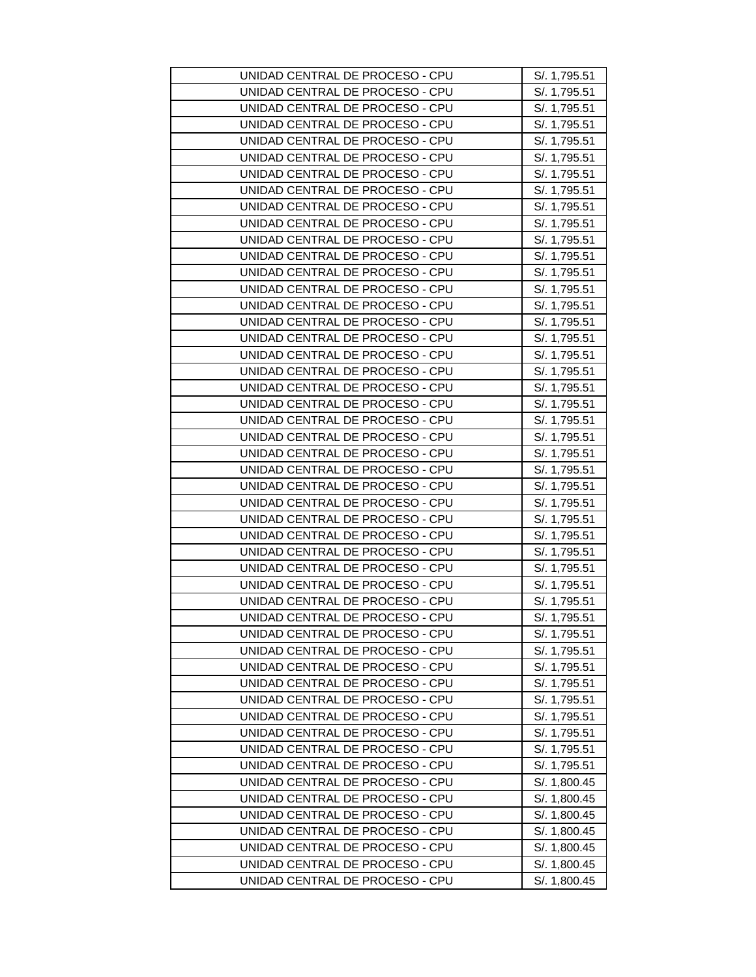| UNIDAD CENTRAL DE PROCESO - CPU | S/. 1,795.51 |
|---------------------------------|--------------|
| UNIDAD CENTRAL DE PROCESO - CPU | S/. 1,795.51 |
| UNIDAD CENTRAL DE PROCESO - CPU | S/. 1,795.51 |
| UNIDAD CENTRAL DE PROCESO - CPU | S/. 1,795.51 |
| UNIDAD CENTRAL DE PROCESO - CPU | S/. 1,795.51 |
| UNIDAD CENTRAL DE PROCESO - CPU | S/. 1,795.51 |
| UNIDAD CENTRAL DE PROCESO - CPU | S/. 1,795.51 |
| UNIDAD CENTRAL DE PROCESO - CPU | S/. 1,795.51 |
| UNIDAD CENTRAL DE PROCESO - CPU | S/. 1,795.51 |
| UNIDAD CENTRAL DE PROCESO - CPU | S/. 1,795.51 |
| UNIDAD CENTRAL DE PROCESO - CPU | S/. 1,795.51 |
| UNIDAD CENTRAL DE PROCESO - CPU | S/. 1,795.51 |
| UNIDAD CENTRAL DE PROCESO - CPU | S/. 1,795.51 |
| UNIDAD CENTRAL DE PROCESO - CPU | S/. 1,795.51 |
| UNIDAD CENTRAL DE PROCESO - CPU | S/. 1,795.51 |
| UNIDAD CENTRAL DE PROCESO - CPU | S/. 1,795.51 |
| UNIDAD CENTRAL DE PROCESO - CPU | S/. 1,795.51 |
| UNIDAD CENTRAL DE PROCESO - CPU | S/. 1,795.51 |
| UNIDAD CENTRAL DE PROCESO - CPU | S/. 1,795.51 |
| UNIDAD CENTRAL DE PROCESO - CPU | S/. 1,795.51 |
| UNIDAD CENTRAL DE PROCESO - CPU | S/. 1,795.51 |
| UNIDAD CENTRAL DE PROCESO - CPU | S/. 1,795.51 |
| UNIDAD CENTRAL DE PROCESO - CPU | S/. 1,795.51 |
| UNIDAD CENTRAL DE PROCESO - CPU | S/. 1,795.51 |
| UNIDAD CENTRAL DE PROCESO - CPU | S/. 1,795.51 |
| UNIDAD CENTRAL DE PROCESO - CPU | S/. 1,795.51 |
| UNIDAD CENTRAL DE PROCESO - CPU | S/. 1,795.51 |
| UNIDAD CENTRAL DE PROCESO - CPU | S/. 1,795.51 |
| UNIDAD CENTRAL DE PROCESO - CPU | S/. 1,795.51 |
| UNIDAD CENTRAL DE PROCESO - CPU | S/. 1,795.51 |
| UNIDAD CENTRAL DE PROCESO - CPU | S/. 1,795.51 |
| UNIDAD CENTRAL DE PROCESO - CPU | S/. 1,795.51 |
| UNIDAD CENTRAL DE PROCESO - CPU | S/. 1,795.51 |
| UNIDAD CENTRAL DE PROCESO - CPU | S/. 1,795.51 |
| UNIDAD CENTRAL DE PROCESO - CPU | S/. 1,795.51 |
| UNIDAD CENTRAL DE PROCESO - CPU | S/. 1,795.51 |
| UNIDAD CENTRAL DE PROCESO - CPU | S/. 1,795.51 |
| UNIDAD CENTRAL DE PROCESO - CPU | S/. 1,795.51 |
| UNIDAD CENTRAL DE PROCESO - CPU | S/. 1,795.51 |
| UNIDAD CENTRAL DE PROCESO - CPU | S/. 1,795.51 |
| UNIDAD CENTRAL DE PROCESO - CPU | S/. 1,795.51 |
| UNIDAD CENTRAL DE PROCESO - CPU | S/. 1,795.51 |
| UNIDAD CENTRAL DE PROCESO - CPU | S/. 1,795.51 |
| UNIDAD CENTRAL DE PROCESO - CPU | S/. 1,800.45 |
| UNIDAD CENTRAL DE PROCESO - CPU | S/. 1,800.45 |
| UNIDAD CENTRAL DE PROCESO - CPU | S/. 1,800.45 |
| UNIDAD CENTRAL DE PROCESO - CPU | S/. 1,800.45 |
| UNIDAD CENTRAL DE PROCESO - CPU | S/. 1,800.45 |
| UNIDAD CENTRAL DE PROCESO - CPU | S/. 1,800.45 |
| UNIDAD CENTRAL DE PROCESO - CPU | S/. 1,800.45 |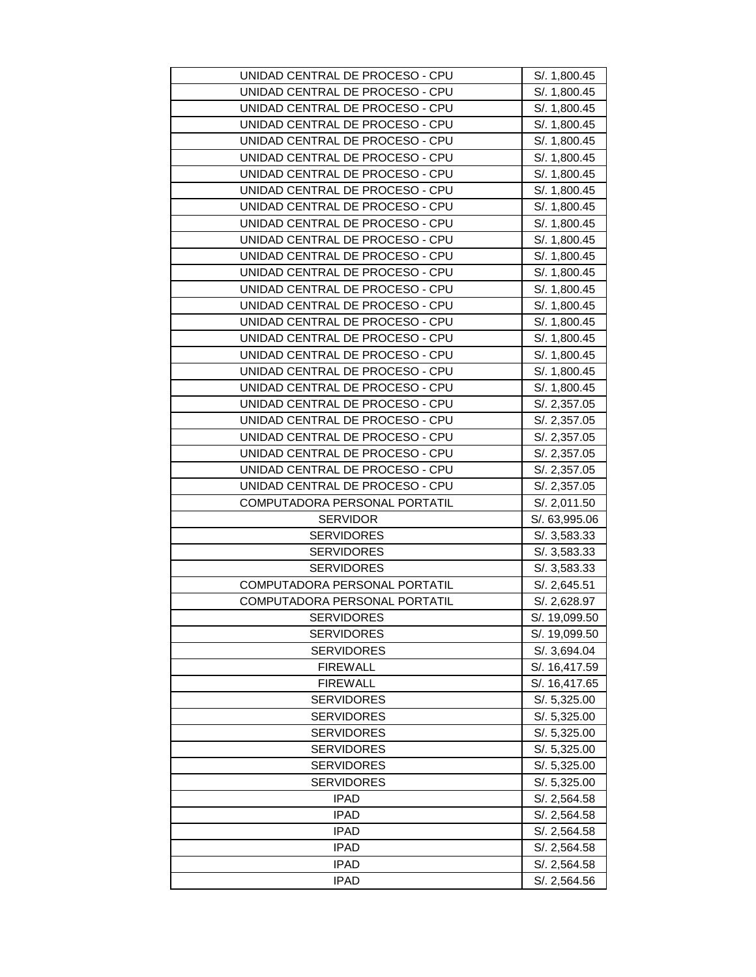| UNIDAD CENTRAL DE PROCESO - CPU | S/. 1,800.45  |
|---------------------------------|---------------|
| UNIDAD CENTRAL DE PROCESO - CPU | S/. 1,800.45  |
| UNIDAD CENTRAL DE PROCESO - CPU | S/. 1,800.45  |
| UNIDAD CENTRAL DE PROCESO - CPU | S/. 1,800.45  |
| UNIDAD CENTRAL DE PROCESO - CPU | S/. 1,800.45  |
| UNIDAD CENTRAL DE PROCESO - CPU | S/. 1,800.45  |
| UNIDAD CENTRAL DE PROCESO - CPU | S/. 1,800.45  |
| UNIDAD CENTRAL DE PROCESO - CPU | S/. 1,800.45  |
| UNIDAD CENTRAL DE PROCESO - CPU | S/. 1,800.45  |
| UNIDAD CENTRAL DE PROCESO - CPU | S/. 1,800.45  |
| UNIDAD CENTRAL DE PROCESO - CPU | S/. 1,800.45  |
| UNIDAD CENTRAL DE PROCESO - CPU | S/. 1,800.45  |
| UNIDAD CENTRAL DE PROCESO - CPU | S/. 1,800.45  |
| UNIDAD CENTRAL DE PROCESO - CPU | S/. 1,800.45  |
| UNIDAD CENTRAL DE PROCESO - CPU | S/. 1,800.45  |
| UNIDAD CENTRAL DE PROCESO - CPU | S/. 1,800.45  |
| UNIDAD CENTRAL DE PROCESO - CPU | S/. 1,800.45  |
| UNIDAD CENTRAL DE PROCESO - CPU | S/. 1,800.45  |
|                                 |               |
| UNIDAD CENTRAL DE PROCESO - CPU | S/. 1,800.45  |
| UNIDAD CENTRAL DE PROCESO - CPU | S/. 1,800.45  |
| UNIDAD CENTRAL DE PROCESO - CPU | S/. 2,357.05  |
| UNIDAD CENTRAL DE PROCESO - CPU | S/. 2,357.05  |
| UNIDAD CENTRAL DE PROCESO - CPU | S/. 2,357.05  |
| UNIDAD CENTRAL DE PROCESO - CPU | S/. 2,357.05  |
|                                 |               |
| UNIDAD CENTRAL DE PROCESO - CPU | S/. 2,357.05  |
| UNIDAD CENTRAL DE PROCESO - CPU | S/. 2,357.05  |
| COMPUTADORA PERSONAL PORTATIL   | S/. 2,011.50  |
| <b>SERVIDOR</b>                 | S/. 63,995.06 |
| <b>SERVIDORES</b>               | S/. 3,583.33  |
| <b>SERVIDORES</b>               | S/. 3,583.33  |
| <b>SERVIDORES</b>               | S/. 3,583.33  |
| COMPUTADORA PERSONAL PORTATIL   | S/. 2,645.51  |
| COMPUTADORA PERSONAL PORTATIL   | S/. 2,628.97  |
| <b>SERVIDORES</b>               | S/. 19,099.50 |
| <b>SERVIDORES</b>               | S/. 19,099.50 |
| <b>SERVIDORES</b>               | S/. 3,694.04  |
| <b>FIREWALL</b>                 | S/. 16,417.59 |
| <b>FIREWALL</b>                 | S/. 16,417.65 |
| <b>SERVIDORES</b>               | S/. 5,325.00  |
| <b>SERVIDORES</b>               | S/. 5,325.00  |
| <b>SERVIDORES</b>               | S/. 5,325.00  |
| <b>SERVIDORES</b>               | S/. 5,325.00  |
| <b>SERVIDORES</b>               | S/. 5,325.00  |
| <b>SERVIDORES</b>               | S/. 5,325.00  |
| <b>IPAD</b>                     | S/. 2,564.58  |
| <b>IPAD</b>                     | S/. 2,564.58  |
| <b>IPAD</b>                     | S/. 2,564.58  |
| <b>IPAD</b>                     | S/. 2,564.58  |
| <b>IPAD</b>                     | S/. 2,564.58  |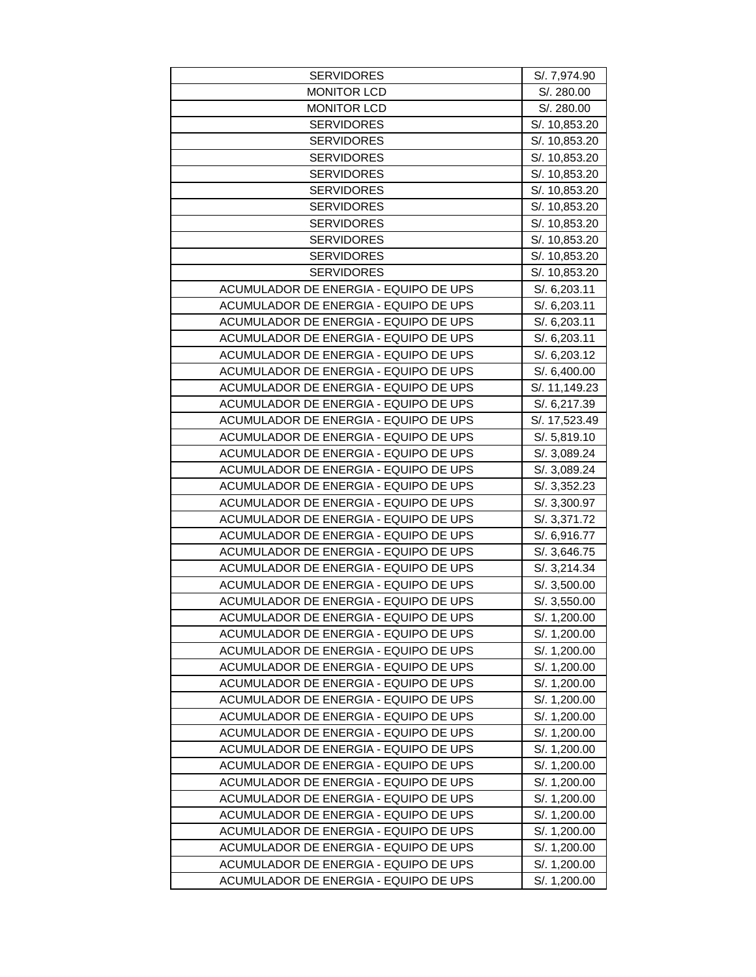| <b>SERVIDORES</b>                     | S/. 7,974.90  |
|---------------------------------------|---------------|
| <b>MONITOR LCD</b>                    | S/. 280.00    |
| <b>MONITOR LCD</b>                    | S/. 280.00    |
| <b>SERVIDORES</b>                     | S/. 10,853.20 |
| <b>SERVIDORES</b>                     | S/. 10,853.20 |
| <b>SERVIDORES</b>                     | S/. 10,853.20 |
| <b>SERVIDORES</b>                     | S/. 10,853.20 |
| <b>SERVIDORES</b>                     | S/. 10,853.20 |
| <b>SERVIDORES</b>                     | S/. 10,853.20 |
| <b>SERVIDORES</b>                     | S/. 10,853.20 |
| <b>SERVIDORES</b>                     | S/. 10,853.20 |
| <b>SERVIDORES</b>                     | S/. 10,853.20 |
| <b>SERVIDORES</b>                     | S/. 10,853.20 |
| ACUMULADOR DE ENERGIA - EQUIPO DE UPS | S/. 6,203.11  |
| ACUMULADOR DE ENERGIA - EQUIPO DE UPS | S/. 6,203.11  |
| ACUMULADOR DE ENERGIA - EQUIPO DE UPS | S/. 6,203.11  |
| ACUMULADOR DE ENERGIA - EQUIPO DE UPS | S/. 6,203.11  |
| ACUMULADOR DE ENERGIA - EQUIPO DE UPS | S/. 6,203.12  |
| ACUMULADOR DE ENERGIA - EQUIPO DE UPS | S/. 6,400.00  |
| ACUMULADOR DE ENERGIA - EQUIPO DE UPS | S/. 11,149.23 |
| ACUMULADOR DE ENERGIA - EQUIPO DE UPS | S/. 6,217.39  |
| ACUMULADOR DE ENERGIA - EQUIPO DE UPS | S/. 17,523.49 |
| ACUMULADOR DE ENERGIA - EQUIPO DE UPS | S/. 5,819.10  |
| ACUMULADOR DE ENERGIA - EQUIPO DE UPS | S/. 3,089.24  |
| ACUMULADOR DE ENERGIA - EQUIPO DE UPS | S/. 3,089.24  |
| ACUMULADOR DE ENERGIA - EQUIPO DE UPS | S/. 3,352.23  |
| ACUMULADOR DE ENERGIA - EQUIPO DE UPS | S/. 3,300.97  |
| ACUMULADOR DE ENERGIA - EQUIPO DE UPS | S/. 3,371.72  |
| ACUMULADOR DE ENERGIA - EQUIPO DE UPS | S/. 6,916.77  |
| ACUMULADOR DE ENERGIA - EQUIPO DE UPS | S/. 3,646.75  |
| ACUMULADOR DE ENERGIA - EQUIPO DE UPS | S/. 3,214.34  |
| ACUMULADOR DE ENERGIA - EQUIPO DE UPS | S/. 3,500.00  |
| ACUMULADOR DE ENERGIA - EQUIPO DE UPS | S/. 3,550.00  |
| ACUMULADOR DE ENERGIA - EQUIPO DE UPS | S/. 1,200.00  |
| ACUMULADOR DE ENERGIA - EQUIPO DE UPS | S/. 1,200.00  |
| ACUMULADOR DE ENERGIA - EQUIPO DE UPS | S/. 1,200.00  |
| ACUMULADOR DE ENERGIA - EQUIPO DE UPS | S/. 1,200.00  |
| ACUMULADOR DE ENERGIA - EQUIPO DE UPS | S/. 1,200.00  |
| ACUMULADOR DE ENERGIA - EQUIPO DE UPS | S/. 1,200.00  |
| ACUMULADOR DE ENERGIA - EQUIPO DE UPS | S/. 1,200.00  |
| ACUMULADOR DE ENERGIA - EQUIPO DE UPS | S/. 1,200.00  |
| ACUMULADOR DE ENERGIA - EQUIPO DE UPS | S/. 1,200.00  |
| ACUMULADOR DE ENERGIA - EQUIPO DE UPS | S/. 1,200.00  |
| ACUMULADOR DE ENERGIA - EQUIPO DE UPS | S/. 1,200.00  |
| ACUMULADOR DE ENERGIA - EQUIPO DE UPS | S/. 1,200.00  |
| ACUMULADOR DE ENERGIA - EQUIPO DE UPS | S/. 1,200.00  |
| ACUMULADOR DE ENERGIA - EQUIPO DE UPS | S/. 1,200.00  |
| ACUMULADOR DE ENERGIA - EQUIPO DE UPS | S/. 1,200.00  |
| ACUMULADOR DE ENERGIA - EQUIPO DE UPS | S/. 1,200.00  |
| ACUMULADOR DE ENERGIA - EQUIPO DE UPS | S/. 1,200.00  |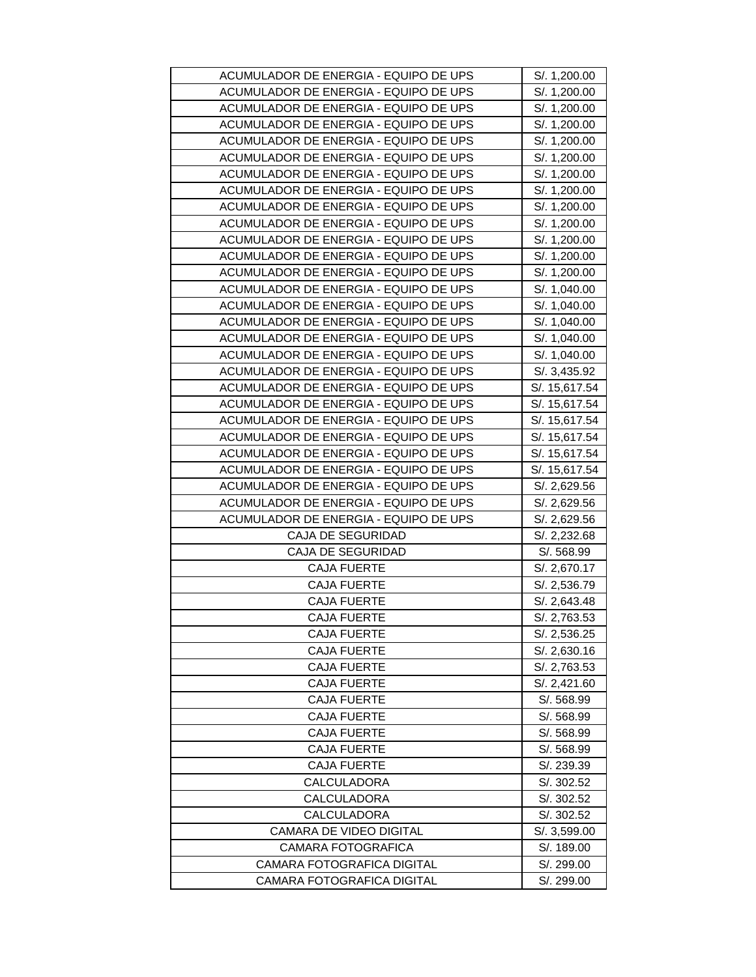| ACUMULADOR DE ENERGIA - EQUIPO DE UPS | S/. 1,200.00  |
|---------------------------------------|---------------|
| ACUMULADOR DE ENERGIA - EQUIPO DE UPS | S/. 1,200.00  |
| ACUMULADOR DE ENERGIA - EQUIPO DE UPS | S/. 1,200.00  |
| ACUMULADOR DE ENERGIA - EQUIPO DE UPS | S/. 1,200.00  |
| ACUMULADOR DE ENERGIA - EQUIPO DE UPS | S/. 1,200.00  |
| ACUMULADOR DE ENERGIA - EQUIPO DE UPS | S/. 1,200.00  |
| ACUMULADOR DE ENERGIA - EQUIPO DE UPS | S/. 1,200.00  |
| ACUMULADOR DE ENERGIA - EQUIPO DE UPS | S/. 1,200.00  |
| ACUMULADOR DE ENERGIA - EQUIPO DE UPS | S/. 1,200.00  |
| ACUMULADOR DE ENERGIA - EQUIPO DE UPS | S/. 1,200.00  |
| ACUMULADOR DE ENERGIA - EQUIPO DE UPS | S/. 1,200.00  |
| ACUMULADOR DE ENERGIA - EQUIPO DE UPS | S/. 1,200.00  |
| ACUMULADOR DE ENERGIA - EQUIPO DE UPS | S/. 1,200.00  |
| ACUMULADOR DE ENERGIA - EQUIPO DE UPS | S/. 1,040.00  |
| ACUMULADOR DE ENERGIA - EQUIPO DE UPS | S/. 1,040.00  |
| ACUMULADOR DE ENERGIA - EQUIPO DE UPS | S/. 1,040.00  |
| ACUMULADOR DE ENERGIA - EQUIPO DE UPS | S/. 1,040.00  |
| ACUMULADOR DE ENERGIA - EQUIPO DE UPS | S/. 1,040.00  |
| ACUMULADOR DE ENERGIA - EQUIPO DE UPS | S/. 3,435.92  |
| ACUMULADOR DE ENERGIA - EQUIPO DE UPS | S/. 15,617.54 |
| ACUMULADOR DE ENERGIA - EQUIPO DE UPS | S/. 15,617.54 |
| ACUMULADOR DE ENERGIA - EQUIPO DE UPS | S/. 15,617.54 |
| ACUMULADOR DE ENERGIA - EQUIPO DE UPS | S/. 15,617.54 |
| ACUMULADOR DE ENERGIA - EQUIPO DE UPS | S/. 15,617.54 |
| ACUMULADOR DE ENERGIA - EQUIPO DE UPS | S/. 15,617.54 |
| ACUMULADOR DE ENERGIA - EQUIPO DE UPS | S/. 2,629.56  |
| ACUMULADOR DE ENERGIA - EQUIPO DE UPS | S/. 2,629.56  |
| ACUMULADOR DE ENERGIA - EQUIPO DE UPS | S/. 2,629.56  |
| <b>CAJA DE SEGURIDAD</b>              | S/. 2,232.68  |
| CAJA DE SEGURIDAD                     | S/. 568.99    |
| <b>CAJA FUERTE</b>                    | S/. 2,670.17  |
| <b>CAJA FUERTE</b>                    | S/. 2,536.79  |
| <b>CAJA FUERTE</b>                    | S/. 2,643.48  |
| <b>CAJA FUERTE</b>                    | S/. 2,763.53  |
| <b>CAJA FUERTE</b>                    | S/. 2,536.25  |
| <b>CAJA FUERTE</b>                    | S/. 2,630.16  |
| CAJA FUERTE                           | S/. 2,763.53  |
| <b>CAJA FUERTE</b>                    | S/. 2,421.60  |
| <b>CAJA FUERTE</b>                    | S/. 568.99    |
| CAJA FUERTE                           | S/. 568.99    |
| <b>CAJA FUERTE</b>                    | S/. 568.99    |
| <b>CAJA FUERTE</b>                    | S/. 568.99    |
| <b>CAJA FUERTE</b>                    | S/. 239.39    |
| CALCULADORA                           | S/. 302.52    |
| CALCULADORA                           | S/. 302.52    |
| CALCULADORA                           | S/. 302.52    |
| <b>CAMARA DE VIDEO DIGITAL</b>        | S/. 3,599.00  |
| CAMARA FOTOGRAFICA                    | S/. 189.00    |
| CAMARA FOTOGRAFICA DIGITAL            | S/. 299.00    |
| CAMARA FOTOGRAFICA DIGITAL            | S/. 299.00    |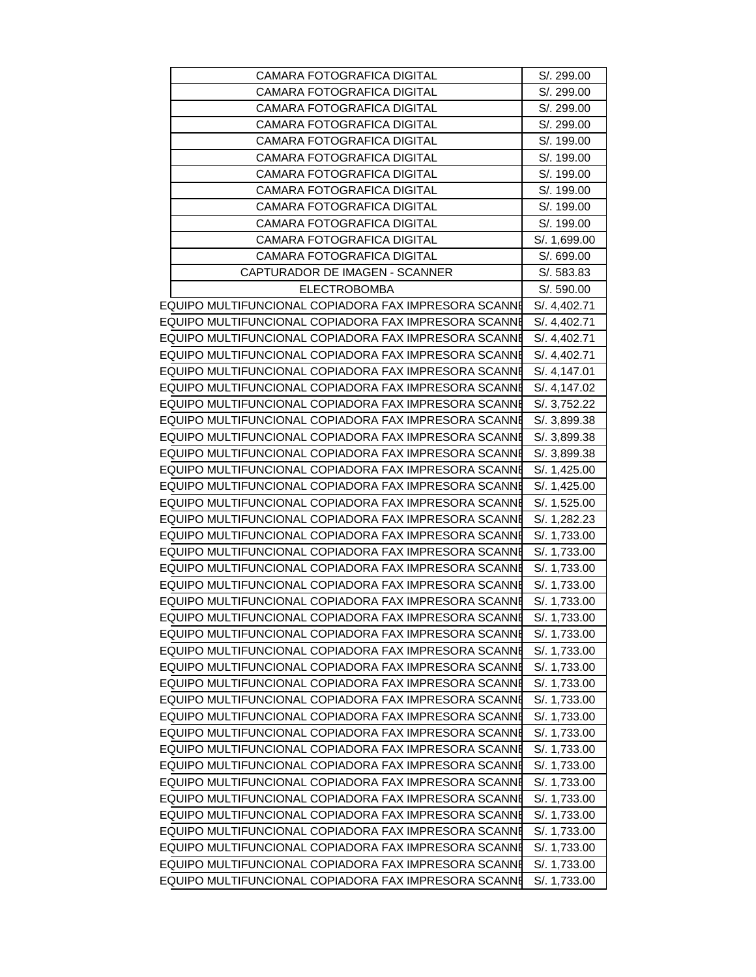| CAMARA FOTOGRAFICA DIGITAL                           | S/. 299.00   |
|------------------------------------------------------|--------------|
| <b>CAMARA FOTOGRAFICA DIGITAL</b>                    | S/. 299.00   |
| <b>CAMARA FOTOGRAFICA DIGITAL</b>                    | S/. 299.00   |
| <b>CAMARA FOTOGRAFICA DIGITAL</b>                    | S/. 299.00   |
| <b>CAMARA FOTOGRAFICA DIGITAL</b>                    | S/. 199.00   |
| CAMARA FOTOGRAFICA DIGITAL                           | S/. 199.00   |
| <b>CAMARA FOTOGRAFICA DIGITAL</b>                    | S/. 199.00   |
| <b>CAMARA FOTOGRAFICA DIGITAL</b>                    | S/. 199.00   |
| <b>CAMARA FOTOGRAFICA DIGITAL</b>                    | S/. 199.00   |
| CAMARA FOTOGRAFICA DIGITAL                           | S/. 199.00   |
| <b>CAMARA FOTOGRAFICA DIGITAL</b>                    | S/. 1,699.00 |
| CAMARA FOTOGRAFICA DIGITAL                           | S/. 699.00   |
| CAPTURADOR DE IMAGEN - SCANNER                       | S/. 583.83   |
| <b>ELECTROBOMBA</b>                                  | S/. 590.00   |
| EQUIPO MULTIFUNCIONAL COPIADORA FAX IMPRESORA SCANNE | S/. 4,402.71 |
| EQUIPO MULTIFUNCIONAL COPIADORA FAX IMPRESORA SCANNE | S/. 4,402.71 |
| EQUIPO MULTIFUNCIONAL COPIADORA FAX IMPRESORA SCANNE | S/. 4,402.71 |
| EQUIPO MULTIFUNCIONAL COPIADORA FAX IMPRESORA SCANNE |              |
|                                                      | S/. 4,402.71 |
| EQUIPO MULTIFUNCIONAL COPIADORA FAX IMPRESORA SCANNE | S/. 4,147.01 |
| EQUIPO MULTIFUNCIONAL COPIADORA FAX IMPRESORA SCANNE | S/. 4,147.02 |
| EQUIPO MULTIFUNCIONAL COPIADORA FAX IMPRESORA SCANNE | S/. 3,752.22 |
| EQUIPO MULTIFUNCIONAL COPIADORA FAX IMPRESORA SCANNE | S/. 3,899.38 |
| EQUIPO MULTIFUNCIONAL COPIADORA FAX IMPRESORA SCANNE | S/. 3,899.38 |
| EQUIPO MULTIFUNCIONAL COPIADORA FAX IMPRESORA SCANNE | S/. 3,899.38 |
| EQUIPO MULTIFUNCIONAL COPIADORA FAX IMPRESORA SCANNE | S/. 1,425.00 |
| EQUIPO MULTIFUNCIONAL COPIADORA FAX IMPRESORA SCANNE | S/. 1,425.00 |
| EQUIPO MULTIFUNCIONAL COPIADORA FAX IMPRESORA SCANNE | S/. 1,525.00 |
| EQUIPO MULTIFUNCIONAL COPIADORA FAX IMPRESORA SCANNE | S/. 1,282.23 |
| EQUIPO MULTIFUNCIONAL COPIADORA FAX IMPRESORA SCANNE | S/. 1,733.00 |
| EQUIPO MULTIFUNCIONAL COPIADORA FAX IMPRESORA SCANNE | S/. 1,733.00 |
| EQUIPO MULTIFUNCIONAL COPIADORA FAX IMPRESORA SCANNE | S/. 1,733.00 |
| EQUIPO MULTIFUNCIONAL COPIADORA FAX IMPRESORA SCANNE | S/. 1,733.00 |
| EQUIPO MULTIFUNCIONAL COPIADORA FAX IMPRESORA SCANNE | S/. 1,733.00 |
| EQUIPO MULTIFUNCIONAL COPIADORA FAX IMPRESORA SCANNE | S/. 1,733.00 |
| EQUIPO MULTIFUNCIONAL COPIADORA FAX IMPRESORA SCANNE | S/. 1,733.00 |
| EQUIPO MULTIFUNCIONAL COPIADORA FAX IMPRESORA SCANNE | S/. 1,733.00 |
| EQUIPO MULTIFUNCIONAL COPIADORA FAX IMPRESORA SCANNE | S/. 1,733.00 |
| EQUIPO MULTIFUNCIONAL COPIADORA FAX IMPRESORA SCANNE | S/. 1,733.00 |
| EQUIPO MULTIFUNCIONAL COPIADORA FAX IMPRESORA SCANNE | S/. 1,733.00 |
| EQUIPO MULTIFUNCIONAL COPIADORA FAX IMPRESORA SCANNE | S/. 1,733.00 |
| EQUIPO MULTIFUNCIONAL COPIADORA FAX IMPRESORA SCANNE | S/. 1,733.00 |
| EQUIPO MULTIFUNCIONAL COPIADORA FAX IMPRESORA SCANNE | S/. 1,733.00 |
| EQUIPO MULTIFUNCIONAL COPIADORA FAX IMPRESORA SCANNE | S/. 1,733.00 |
| EQUIPO MULTIFUNCIONAL COPIADORA FAX IMPRESORA SCANNE | S/. 1,733.00 |
| EQUIPO MULTIFUNCIONAL COPIADORA FAX IMPRESORA SCANNE | S/. 1,733.00 |
| EQUIPO MULTIFUNCIONAL COPIADORA FAX IMPRESORA SCANNE | S/. 1,733.00 |
| EQUIPO MULTIFUNCIONAL COPIADORA FAX IMPRESORA SCANNE | S/. 1,733.00 |
| EQUIPO MULTIFUNCIONAL COPIADORA FAX IMPRESORA SCANNE | S/. 1,733.00 |
| EQUIPO MULTIFUNCIONAL COPIADORA FAX IMPRESORA SCANNE | S/. 1,733.00 |
| EQUIPO MULTIFUNCIONAL COPIADORA FAX IMPRESORA SCANNE | S/. 1,733.00 |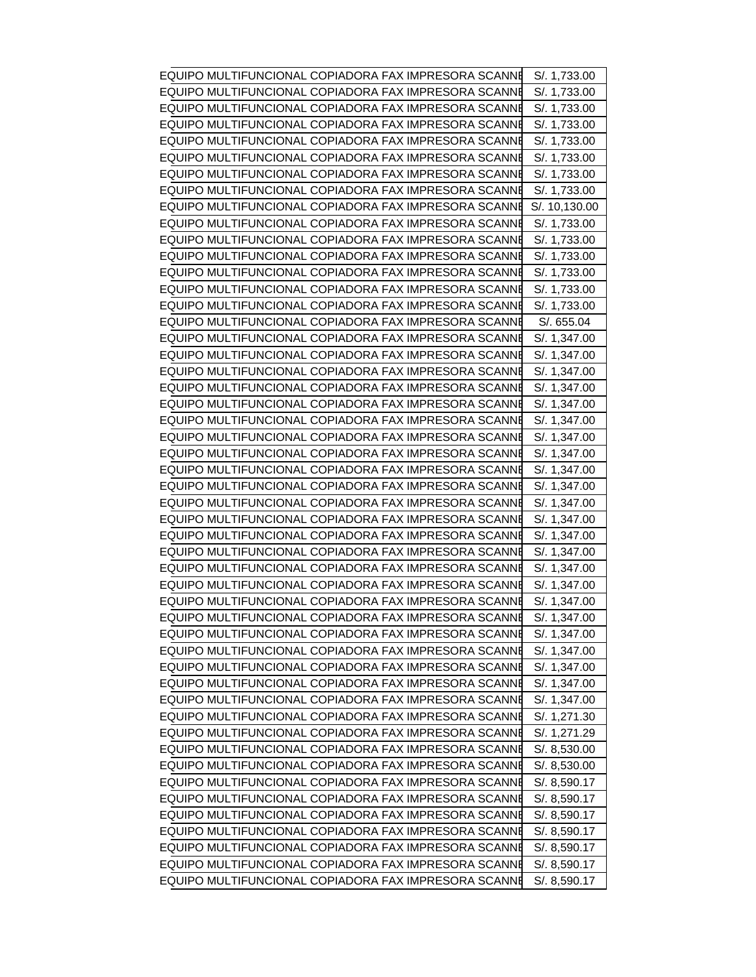| EQUIPO MULTIFUNCIONAL COPIADORA FAX IMPRESORA SCANNE | S/. 1,733.00  |
|------------------------------------------------------|---------------|
| EQUIPO MULTIFUNCIONAL COPIADORA FAX IMPRESORA SCANNE | S/. 1,733.00  |
| EQUIPO MULTIFUNCIONAL COPIADORA FAX IMPRESORA SCANNE | S/. 1,733.00  |
| EQUIPO MULTIFUNCIONAL COPIADORA FAX IMPRESORA SCANNE | S/. 1,733.00  |
| EQUIPO MULTIFUNCIONAL COPIADORA FAX IMPRESORA SCANNE | S/. 1,733.00  |
| EQUIPO MULTIFUNCIONAL COPIADORA FAX IMPRESORA SCANNE | S/. 1,733.00  |
| EQUIPO MULTIFUNCIONAL COPIADORA FAX IMPRESORA SCANNE | S/. 1,733.00  |
| EQUIPO MULTIFUNCIONAL COPIADORA FAX IMPRESORA SCANNE | S/. 1,733.00  |
| EQUIPO MULTIFUNCIONAL COPIADORA FAX IMPRESORA SCANNE | S/. 10,130.00 |
| EQUIPO MULTIFUNCIONAL COPIADORA FAX IMPRESORA SCANNE | S/. 1,733.00  |
| EQUIPO MULTIFUNCIONAL COPIADORA FAX IMPRESORA SCANNE | S/. 1,733.00  |
| EQUIPO MULTIFUNCIONAL COPIADORA FAX IMPRESORA SCANNE | S/. 1,733.00  |
| EQUIPO MULTIFUNCIONAL COPIADORA FAX IMPRESORA SCANNE | S/. 1,733.00  |
| EQUIPO MULTIFUNCIONAL COPIADORA FAX IMPRESORA SCANNE | S/. 1,733.00  |
| EQUIPO MULTIFUNCIONAL COPIADORA FAX IMPRESORA SCANNE | S/. 1,733.00  |
| EQUIPO MULTIFUNCIONAL COPIADORA FAX IMPRESORA SCANNE | S/. 655.04    |
| EQUIPO MULTIFUNCIONAL COPIADORA FAX IMPRESORA SCANNE | S/. 1,347.00  |
| EQUIPO MULTIFUNCIONAL COPIADORA FAX IMPRESORA SCANNE | S/. 1,347.00  |
| EQUIPO MULTIFUNCIONAL COPIADORA FAX IMPRESORA SCANNE | S/. 1,347.00  |
| EQUIPO MULTIFUNCIONAL COPIADORA FAX IMPRESORA SCANNE | S/. 1,347.00  |
| EQUIPO MULTIFUNCIONAL COPIADORA FAX IMPRESORA SCANNE | S/. 1,347.00  |
| EQUIPO MULTIFUNCIONAL COPIADORA FAX IMPRESORA SCANNE | S/. 1,347.00  |
| EQUIPO MULTIFUNCIONAL COPIADORA FAX IMPRESORA SCANNE | S/. 1,347.00  |
| EQUIPO MULTIFUNCIONAL COPIADORA FAX IMPRESORA SCANNE | S/. 1,347.00  |
| EQUIPO MULTIFUNCIONAL COPIADORA FAX IMPRESORA SCANNE | S/. 1,347.00  |
| EQUIPO MULTIFUNCIONAL COPIADORA FAX IMPRESORA SCANNE | S/. 1,347.00  |
| EQUIPO MULTIFUNCIONAL COPIADORA FAX IMPRESORA SCANNE | S/. 1,347.00  |
| EQUIPO MULTIFUNCIONAL COPIADORA FAX IMPRESORA SCANNE | S/. 1,347.00  |
| EQUIPO MULTIFUNCIONAL COPIADORA FAX IMPRESORA SCANNE | S/. 1,347.00  |
| EQUIPO MULTIFUNCIONAL COPIADORA FAX IMPRESORA SCANNE | S/. 1,347.00  |
| EQUIPO MULTIFUNCIONAL COPIADORA FAX IMPRESORA SCANNE | S/. 1,347.00  |
| EQUIPO MULTIFUNCIONAL COPIADORA FAX IMPRESORA SCANNE | S/. 1,347.00  |
| EQUIPO MULTIFUNCIONAL COPIADORA FAX IMPRESORA SCANNE | S/. 1,347.00  |
| EQUIPO MULTIFUNCIONAL COPIADORA FAX IMPRESORA SCANNE | S/. 1,347.00  |
| EQUIPO MULTIFUNCIONAL COPIADORA FAX IMPRESORA SCANNE | S/. 1,347.00  |
| EQUIPO MULTIFUNCIONAL COPIADORA FAX IMPRESORA SCANNE | S/. 1,347.00  |
| EQUIPO MULTIFUNCIONAL COPIADORA FAX IMPRESORA SCANNE | S/. 1,347.00  |
| EQUIPO MULTIFUNCIONAL COPIADORA FAX IMPRESORA SCANNE | S/. 1,347.00  |
| EQUIPO MULTIFUNCIONAL COPIADORA FAX IMPRESORA SCANNE | S/. 1,347.00  |
| EQUIPO MULTIFUNCIONAL COPIADORA FAX IMPRESORA SCANNE | S/. 1,271.30  |
| EQUIPO MULTIFUNCIONAL COPIADORA FAX IMPRESORA SCANNE | S/. 1,271.29  |
| EQUIPO MULTIFUNCIONAL COPIADORA FAX IMPRESORA SCANNE | S/. 8,530.00  |
| EQUIPO MULTIFUNCIONAL COPIADORA FAX IMPRESORA SCANNE | S/. 8,530.00  |
| EQUIPO MULTIFUNCIONAL COPIADORA FAX IMPRESORA SCANNE | S/. 8,590.17  |
| EQUIPO MULTIFUNCIONAL COPIADORA FAX IMPRESORA SCANNE | S/. 8,590.17  |
| EQUIPO MULTIFUNCIONAL COPIADORA FAX IMPRESORA SCANNE | S/. 8,590.17  |
| EQUIPO MULTIFUNCIONAL COPIADORA FAX IMPRESORA SCANNE | S/. 8,590.17  |
| EQUIPO MULTIFUNCIONAL COPIADORA FAX IMPRESORA SCANNE | S/. 8,590.17  |
| EQUIPO MULTIFUNCIONAL COPIADORA FAX IMPRESORA SCANNE | S/. 8,590.17  |
| EQUIPO MULTIFUNCIONAL COPIADORA FAX IMPRESORA SCANNE | S/. 8,590.17  |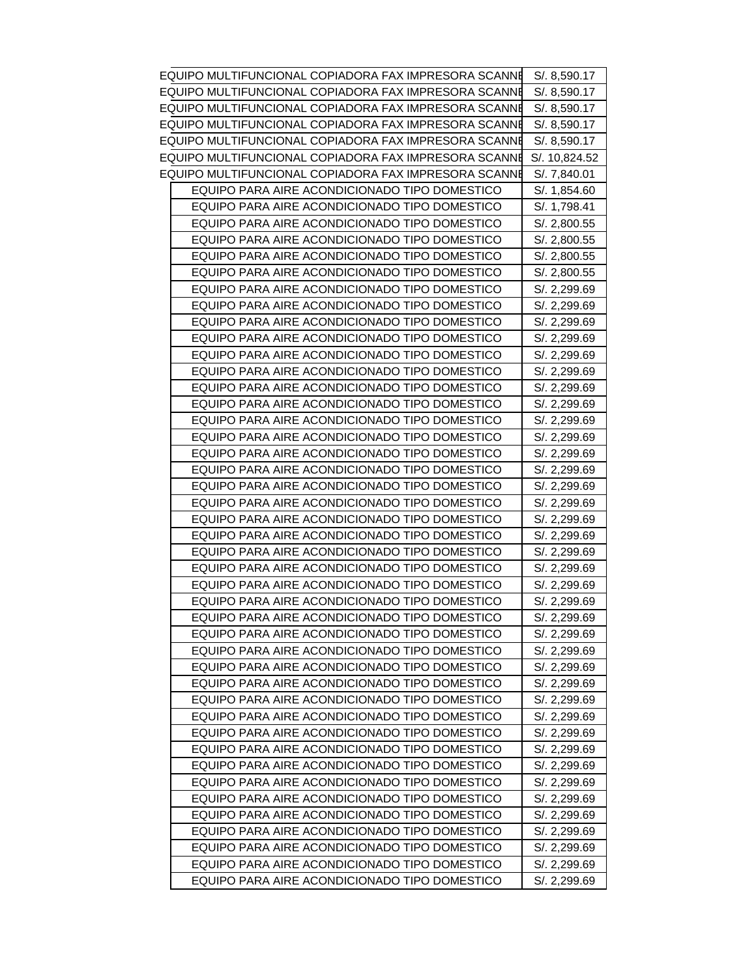| EQUIPO MULTIFUNCIONAL COPIADORA FAX IMPRESORA SCANNE | S/. 8,590.17  |
|------------------------------------------------------|---------------|
| EQUIPO MULTIFUNCIONAL COPIADORA FAX IMPRESORA SCANNE | S/. 8,590.17  |
| EQUIPO MULTIFUNCIONAL COPIADORA FAX IMPRESORA SCANNE | S/. 8,590.17  |
| EQUIPO MULTIFUNCIONAL COPIADORA FAX IMPRESORA SCANNE | S/. 8,590.17  |
| EQUIPO MULTIFUNCIONAL COPIADORA FAX IMPRESORA SCANNE | S/. 8,590.17  |
| EQUIPO MULTIFUNCIONAL COPIADORA FAX IMPRESORA SCANNE | S/. 10,824.52 |
| EQUIPO MULTIFUNCIONAL COPIADORA FAX IMPRESORA SCANNE | S/. 7,840.01  |
| EQUIPO PARA AIRE ACONDICIONADO TIPO DOMESTICO        | S/. 1,854.60  |
| EQUIPO PARA AIRE ACONDICIONADO TIPO DOMESTICO        | S/. 1,798.41  |
| EQUIPO PARA AIRE ACONDICIONADO TIPO DOMESTICO        | S/. 2,800.55  |
| EQUIPO PARA AIRE ACONDICIONADO TIPO DOMESTICO        | S/. 2,800.55  |
| EQUIPO PARA AIRE ACONDICIONADO TIPO DOMESTICO        | S/. 2,800.55  |
| EQUIPO PARA AIRE ACONDICIONADO TIPO DOMESTICO        | S/. 2,800.55  |
| EQUIPO PARA AIRE ACONDICIONADO TIPO DOMESTICO        | S/. 2,299.69  |
| EQUIPO PARA AIRE ACONDICIONADO TIPO DOMESTICO        | S/. 2,299.69  |
| EQUIPO PARA AIRE ACONDICIONADO TIPO DOMESTICO        | S/. 2,299.69  |
| EQUIPO PARA AIRE ACONDICIONADO TIPO DOMESTICO        | S/. 2,299.69  |
| EQUIPO PARA AIRE ACONDICIONADO TIPO DOMESTICO        | S/. 2,299.69  |
| EQUIPO PARA AIRE ACONDICIONADO TIPO DOMESTICO        | S/. 2,299.69  |
| EQUIPO PARA AIRE ACONDICIONADO TIPO DOMESTICO        | S/. 2,299.69  |
| EQUIPO PARA AIRE ACONDICIONADO TIPO DOMESTICO        | S/. 2,299.69  |
| EQUIPO PARA AIRE ACONDICIONADO TIPO DOMESTICO        | S/. 2,299.69  |
| EQUIPO PARA AIRE ACONDICIONADO TIPO DOMESTICO        | S/. 2,299.69  |
| EQUIPO PARA AIRE ACONDICIONADO TIPO DOMESTICO        | S/. 2,299.69  |
| EQUIPO PARA AIRE ACONDICIONADO TIPO DOMESTICO        | S/. 2,299.69  |
| EQUIPO PARA AIRE ACONDICIONADO TIPO DOMESTICO        | S/. 2,299.69  |
| EQUIPO PARA AIRE ACONDICIONADO TIPO DOMESTICO        | S/. 2,299.69  |
| EQUIPO PARA AIRE ACONDICIONADO TIPO DOMESTICO        | S/. 2,299.69  |
| EQUIPO PARA AIRE ACONDICIONADO TIPO DOMESTICO        | S/. 2,299.69  |
| EQUIPO PARA AIRE ACONDICIONADO TIPO DOMESTICO        | S/. 2,299.69  |
| EQUIPO PARA AIRE ACONDICIONADO TIPO DOMESTICO        | S/. 2,299.69  |
| EQUIPO PARA AIRE ACONDICIONADO TIPO DOMESTICO        | S/. 2,299.69  |
| EQUIPO PARA AIRE ACONDICIONADO TIPO DOMESTICO        | S/. 2,299.69  |
| EQUIPO PARA AIRE ACONDICIONADO TIPO DOMESTICO        | S/. 2,299.69  |
| EQUIPO PARA AIRE ACONDICIONADO TIPO DOMESTICO        | S/. 2,299.69  |
| EQUIPO PARA AIRE ACONDICIONADO TIPO DOMESTICO        | S/. 2,299.69  |
| EQUIPO PARA AIRE ACONDICIONADO TIPO DOMESTICO        | S/. 2,299.69  |
| EQUIPO PARA AIRE ACONDICIONADO TIPO DOMESTICO        | S/. 2,299.69  |
| EQUIPO PARA AIRE ACONDICIONADO TIPO DOMESTICO        | S/. 2,299.69  |
| EQUIPO PARA AIRE ACONDICIONADO TIPO DOMESTICO        | S/. 2,299.69  |
| EQUIPO PARA AIRE ACONDICIONADO TIPO DOMESTICO        | S/. 2.299.69  |
| EQUIPO PARA AIRE ACONDICIONADO TIPO DOMESTICO        | S/. 2,299.69  |
| EQUIPO PARA AIRE ACONDICIONADO TIPO DOMESTICO        | S/. 2,299.69  |
| EQUIPO PARA AIRE ACONDICIONADO TIPO DOMESTICO        | S/. 2,299.69  |
| EQUIPO PARA AIRE ACONDICIONADO TIPO DOMESTICO        | S/. 2,299.69  |
| EQUIPO PARA AIRE ACONDICIONADO TIPO DOMESTICO        | S/. 2,299.69  |
| EQUIPO PARA AIRE ACONDICIONADO TIPO DOMESTICO        | S/. 2,299.69  |
| EQUIPO PARA AIRE ACONDICIONADO TIPO DOMESTICO        | S/. 2,299.69  |
| EQUIPO PARA AIRE ACONDICIONADO TIPO DOMESTICO        | S/. 2,299.69  |
| EQUIPO PARA AIRE ACONDICIONADO TIPO DOMESTICO        | S/. 2,299.69  |
|                                                      |               |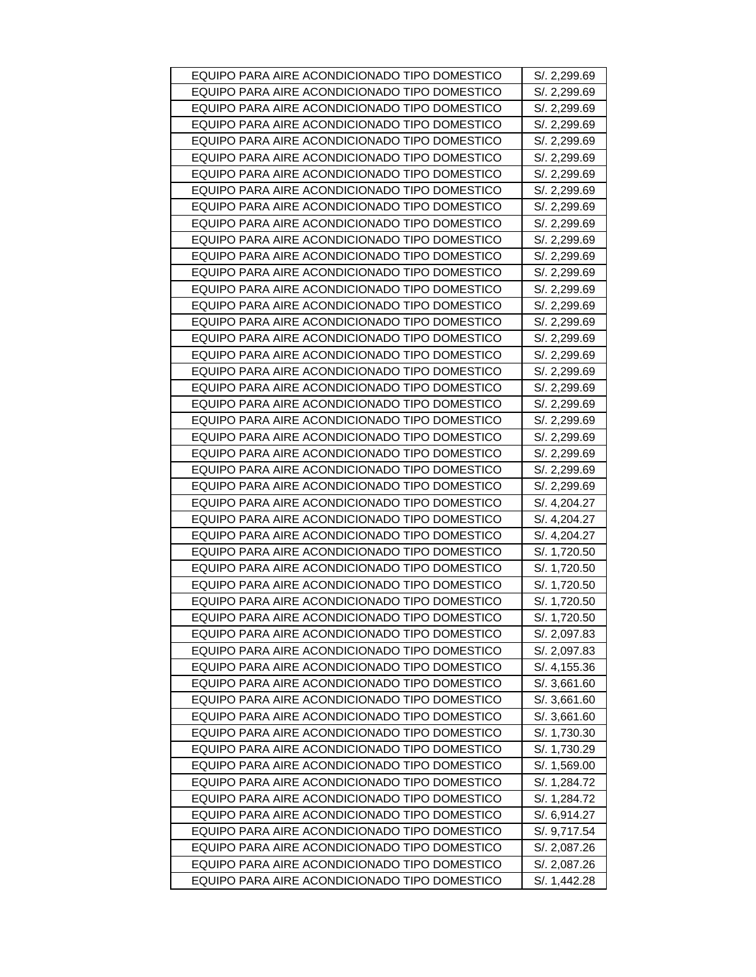| EQUIPO PARA AIRE ACONDICIONADO TIPO DOMESTICO                                                  | S/. 2,299.69                 |
|------------------------------------------------------------------------------------------------|------------------------------|
| EQUIPO PARA AIRE ACONDICIONADO TIPO DOMESTICO                                                  | S/. 2,299.69                 |
| EQUIPO PARA AIRE ACONDICIONADO TIPO DOMESTICO                                                  | S/. 2,299.69                 |
| EQUIPO PARA AIRE ACONDICIONADO TIPO DOMESTICO                                                  | S/. 2,299.69                 |
| EQUIPO PARA AIRE ACONDICIONADO TIPO DOMESTICO                                                  | S/. 2,299.69                 |
| EQUIPO PARA AIRE ACONDICIONADO TIPO DOMESTICO                                                  | S/. 2,299.69                 |
| EQUIPO PARA AIRE ACONDICIONADO TIPO DOMESTICO                                                  | S/. 2,299.69                 |
| EQUIPO PARA AIRE ACONDICIONADO TIPO DOMESTICO                                                  | S/. 2,299.69                 |
| EQUIPO PARA AIRE ACONDICIONADO TIPO DOMESTICO                                                  | S/. 2,299.69                 |
| EQUIPO PARA AIRE ACONDICIONADO TIPO DOMESTICO                                                  | S/. 2,299.69                 |
| EQUIPO PARA AIRE ACONDICIONADO TIPO DOMESTICO                                                  | S/. 2,299.69                 |
| EQUIPO PARA AIRE ACONDICIONADO TIPO DOMESTICO                                                  | S/. 2,299.69                 |
| EQUIPO PARA AIRE ACONDICIONADO TIPO DOMESTICO                                                  | S/. 2,299.69                 |
| EQUIPO PARA AIRE ACONDICIONADO TIPO DOMESTICO                                                  | S/. 2,299.69                 |
| EQUIPO PARA AIRE ACONDICIONADO TIPO DOMESTICO                                                  | S/. 2,299.69                 |
| EQUIPO PARA AIRE ACONDICIONADO TIPO DOMESTICO                                                  | S/. 2,299.69                 |
| EQUIPO PARA AIRE ACONDICIONADO TIPO DOMESTICO                                                  | S/. 2,299.69                 |
| EQUIPO PARA AIRE ACONDICIONADO TIPO DOMESTICO                                                  | S/. 2,299.69                 |
| EQUIPO PARA AIRE ACONDICIONADO TIPO DOMESTICO                                                  | S/. 2,299.69                 |
| EQUIPO PARA AIRE ACONDICIONADO TIPO DOMESTICO                                                  | S/. 2,299.69                 |
| EQUIPO PARA AIRE ACONDICIONADO TIPO DOMESTICO                                                  | S/. 2,299.69                 |
| EQUIPO PARA AIRE ACONDICIONADO TIPO DOMESTICO                                                  | S/. 2,299.69                 |
| EQUIPO PARA AIRE ACONDICIONADO TIPO DOMESTICO                                                  | S/. 2,299.69                 |
| EQUIPO PARA AIRE ACONDICIONADO TIPO DOMESTICO                                                  | S/. 2,299.69                 |
| EQUIPO PARA AIRE ACONDICIONADO TIPO DOMESTICO                                                  | S/. 2,299.69                 |
| EQUIPO PARA AIRE ACONDICIONADO TIPO DOMESTICO                                                  | S/. 2,299.69                 |
|                                                                                                |                              |
| EQUIPO PARA AIRE ACONDICIONADO TIPO DOMESTICO                                                  | S/. 4,204.27                 |
| EQUIPO PARA AIRE ACONDICIONADO TIPO DOMESTICO                                                  | S/. 4,204.27                 |
| EQUIPO PARA AIRE ACONDICIONADO TIPO DOMESTICO                                                  | S/. 4,204.27                 |
| EQUIPO PARA AIRE ACONDICIONADO TIPO DOMESTICO                                                  | S/. 1,720.50                 |
| EQUIPO PARA AIRE ACONDICIONADO TIPO DOMESTICO                                                  | S/. 1,720.50                 |
| EQUIPO PARA AIRE ACONDICIONADO TIPO DOMESTICO                                                  | S/. 1,720.50                 |
| EQUIPO PARA AIRE ACONDICIONADO TIPO DOMESTICO                                                  | S/. 1,720.50                 |
| EQUIPO PARA AIRE ACONDICIONADO TIPO DOMESTICO                                                  | S/. 1,720.50                 |
| EQUIPO PARA AIRE ACONDICIONADO TIPO DOMESTICO                                                  | S/. 2,097.83                 |
| EQUIPO PARA AIRE ACONDICIONADO TIPO DOMESTICO                                                  | S/. 2,097.83                 |
| EQUIPO PARA AIRE ACONDICIONADO TIPO DOMESTICO                                                  | S/. 4,155.36                 |
| EQUIPO PARA AIRE ACONDICIONADO TIPO DOMESTICO                                                  | S/. 3,661.60                 |
| EQUIPO PARA AIRE ACONDICIONADO TIPO DOMESTICO                                                  | S/. 3,661.60                 |
| EQUIPO PARA AIRE ACONDICIONADO TIPO DOMESTICO                                                  | S/. 3,661.60                 |
| EQUIPO PARA AIRE ACONDICIONADO TIPO DOMESTICO                                                  | S/. 1,730.30                 |
| EQUIPO PARA AIRE ACONDICIONADO TIPO DOMESTICO                                                  | S/. 1,730.29                 |
| EQUIPO PARA AIRE ACONDICIONADO TIPO DOMESTICO                                                  | S/. 1,569.00                 |
| EQUIPO PARA AIRE ACONDICIONADO TIPO DOMESTICO                                                  | S/. 1,284.72                 |
| EQUIPO PARA AIRE ACONDICIONADO TIPO DOMESTICO                                                  | S/. 1,284.72                 |
| EQUIPO PARA AIRE ACONDICIONADO TIPO DOMESTICO                                                  | S/. 6,914.27                 |
| EQUIPO PARA AIRE ACONDICIONADO TIPO DOMESTICO                                                  | S/. 9,717.54                 |
| EQUIPO PARA AIRE ACONDICIONADO TIPO DOMESTICO                                                  | S/. 2,087.26                 |
| EQUIPO PARA AIRE ACONDICIONADO TIPO DOMESTICO<br>EQUIPO PARA AIRE ACONDICIONADO TIPO DOMESTICO | S/. 2,087.26<br>S/. 1,442.28 |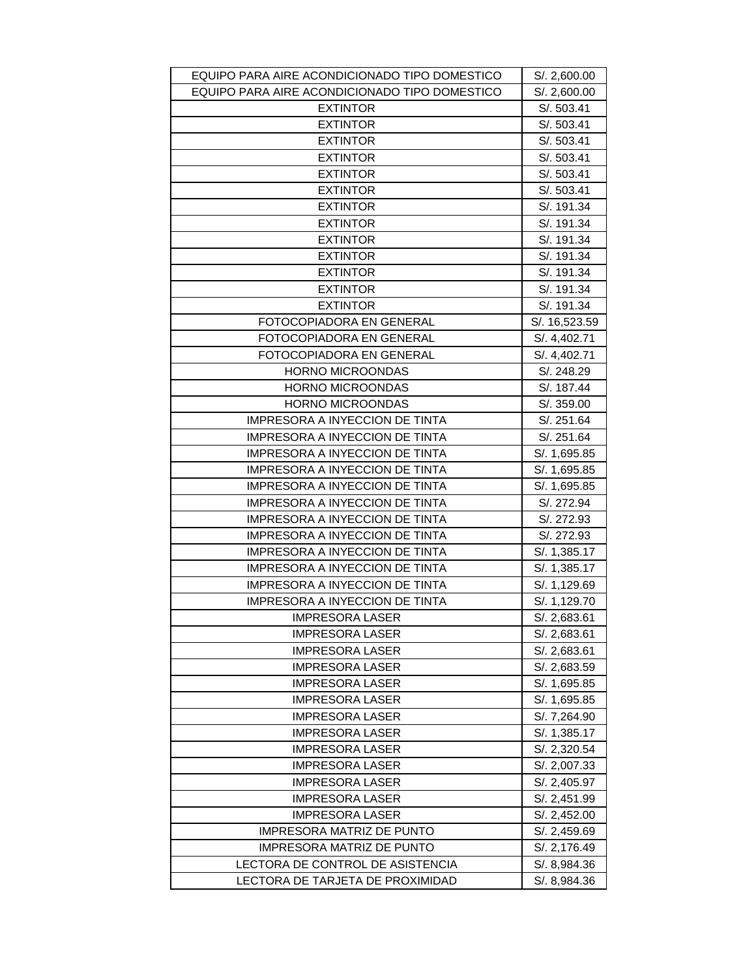| EQUIPO PARA AIRE ACONDICIONADO TIPO DOMESTICO            | S/. 2,600.00  |
|----------------------------------------------------------|---------------|
| EQUIPO PARA AIRE ACONDICIONADO TIPO DOMESTICO            | S/. 2,600.00  |
| <b>EXTINTOR</b>                                          | S/. 503.41    |
| <b>EXTINTOR</b>                                          | S/. 503.41    |
| <b>EXTINTOR</b>                                          | S/. 503.41    |
| <b>EXTINTOR</b>                                          | S/. 503.41    |
| <b>EXTINTOR</b>                                          | S/. 503.41    |
| <b>EXTINTOR</b>                                          | S/. 503.41    |
| <b>EXTINTOR</b>                                          | S/. 191.34    |
| <b>EXTINTOR</b>                                          | S/. 191.34    |
| <b>EXTINTOR</b>                                          | S/. 191.34    |
| <b>EXTINTOR</b>                                          | S/. 191.34    |
| <b>EXTINTOR</b>                                          | S/. 191.34    |
| <b>EXTINTOR</b>                                          | S/. 191.34    |
| <b>EXTINTOR</b>                                          | S/. 191.34    |
| FOTOCOPIADORA EN GENERAL                                 | S/. 16,523.59 |
| FOTOCOPIADORA EN GENERAL                                 | S/. 4,402.71  |
| FOTOCOPIADORA EN GENERAL                                 | S/. 4,402.71  |
| <b>HORNO MICROONDAS</b>                                  | S/. 248.29    |
| <b>HORNO MICROONDAS</b>                                  | S/. 187.44    |
| HORNO MICROONDAS                                         | S/. 359.00    |
| IMPRESORA A INYECCION DE TINTA                           | S/. 251.64    |
| <b>IMPRESORA A INYECCION DE TINTA</b>                    | S/. 251.64    |
| <b>IMPRESORA A INYECCION DE TINTA</b>                    | S/. 1,695.85  |
| <b>IMPRESORA A INYECCION DE TINTA</b>                    | S/. 1,695.85  |
| IMPRESORA A INYECCION DE TINTA                           | S/. 1,695.85  |
| IMPRESORA A INYECCION DE TINTA                           | S/. 272.94    |
| IMPRESORA A INYECCION DE TINTA                           | S/. 272.93    |
| <b>IMPRESORA A INYECCION DE TINTA</b>                    | S/. 272.93    |
| <b>IMPRESORA A INYECCION DE TINTA</b>                    | S/. 1,385.17  |
| IMPRESORA A INYECCION DE TINTA                           | S/. 1,385.17  |
| <b>IMPRESORA A INYECCION DE TINTA</b>                    | S/. 1,129.69  |
|                                                          |               |
| IMPRESORA A INYECCION DE TINTA<br><b>IMPRESORA LASER</b> | S/. 1,129.70  |
|                                                          | S/.2,683.61   |
| <b>IMPRESORA LASER</b>                                   | S/. 2,683.61  |
| <b>IMPRESORA LASER</b>                                   | S/. 2,683.61  |
| <b>IMPRESORA LASER</b>                                   | S/. 2,683.59  |
| <b>IMPRESORA LASER</b>                                   | S/. 1,695.85  |
| <b>IMPRESORA LASER</b>                                   | S/. 1,695.85  |
| <b>IMPRESORA LASER</b>                                   | S/. 7,264.90  |
| <b>IMPRESORA LASER</b>                                   | S/. 1,385.17  |
| <b>IMPRESORA LASER</b>                                   | S/. 2,320.54  |
| <b>IMPRESORA LASER</b>                                   | S/. 2,007.33  |
| <b>IMPRESORA LASER</b>                                   | S/. 2,405.97  |
| <b>IMPRESORA LASER</b>                                   | S/. 2,451.99  |
| <b>IMPRESORA LASER</b>                                   | S/. 2,452.00  |
| <b>IMPRESORA MATRIZ DE PUNTO</b>                         | S/. 2,459.69  |
| <b>IMPRESORA MATRIZ DE PUNTO</b>                         | S/. 2,176.49  |
| LECTORA DE CONTROL DE ASISTENCIA                         | S/. 8,984.36  |
| LECTORA DE TARJETA DE PROXIMIDAD                         | S/. 8,984.36  |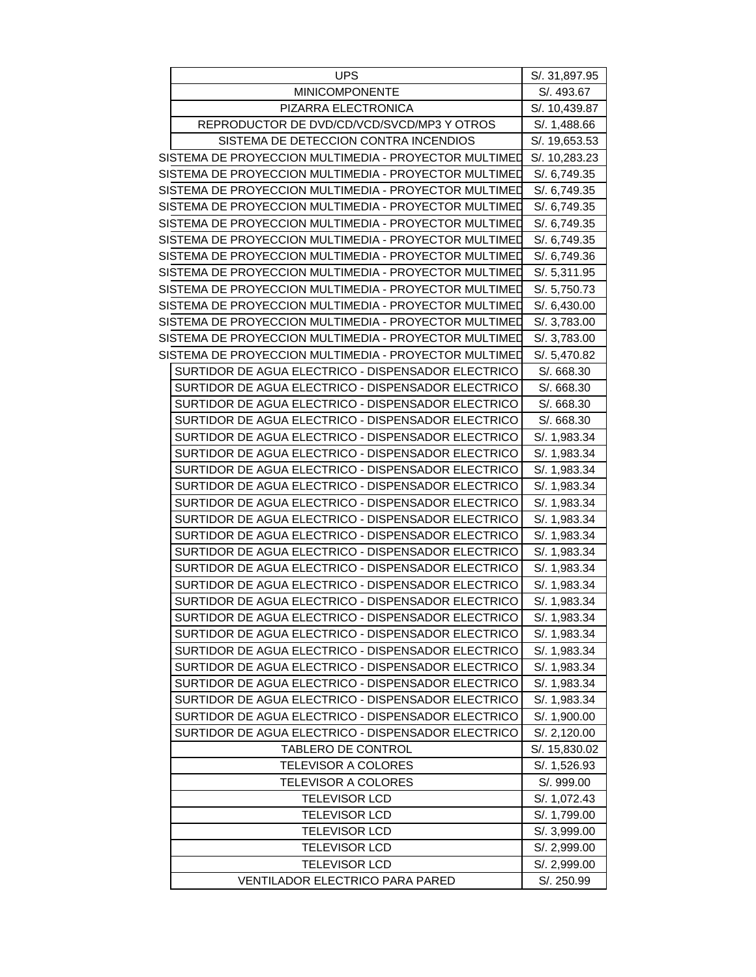| UPS                                                   | S/. 31,897.95                |
|-------------------------------------------------------|------------------------------|
| <b>MINICOMPONENTE</b>                                 | S/. 493.67                   |
| PIZARRA ELECTRONICA                                   | S/. 10,439.87                |
| REPRODUCTOR DE DVD/CD/VCD/SVCD/MP3 Y OTROS            | S/. 1,488.66                 |
| SISTEMA DE DETECCION CONTRA INCENDIOS                 | S/. 19,653.53                |
| SISTEMA DE PROYECCION MULTIMEDIA - PROYECTOR MULTIMED | S/. 10,283.23                |
| SISTEMA DE PROYECCION MULTIMEDIA - PROYECTOR MULTIMED | S/. 6,749.35                 |
| SISTEMA DE PROYECCION MULTIMEDIA - PROYECTOR MULTIMED | S/. 6,749.35                 |
| SISTEMA DE PROYECCION MULTIMEDIA - PROYECTOR MULTIMED | S/. 6,749.35                 |
| SISTEMA DE PROYECCION MULTIMEDIA - PROYECTOR MULTIMED | S/. 6,749.35                 |
| SISTEMA DE PROYECCION MULTIMEDIA - PROYECTOR MULTIMED | S/. 6,749.35                 |
| SISTEMA DE PROYECCION MULTIMEDIA - PROYECTOR MULTIMED | S/. 6,749.36                 |
| SISTEMA DE PROYECCION MULTIMEDIA - PROYECTOR MULTIMED | S/. 5,311.95                 |
| SISTEMA DE PROYECCION MULTIMEDIA - PROYECTOR MULTIMED | S/. 5,750.73                 |
| SISTEMA DE PROYECCION MULTIMEDIA - PROYECTOR MULTIMED | S/. 6,430.00                 |
| SISTEMA DE PROYECCION MULTIMEDIA - PROYECTOR MULTIMED | S/. 3,783.00                 |
| SISTEMA DE PROYECCION MULTIMEDIA - PROYECTOR MULTIMED | S/. 3,783.00                 |
| SISTEMA DE PROYECCION MULTIMEDIA - PROYECTOR MULTIMED | S/. 5,470.82                 |
| SURTIDOR DE AGUA ELECTRICO - DISPENSADOR ELECTRICO    | S/. 668.30                   |
| SURTIDOR DE AGUA ELECTRICO - DISPENSADOR ELECTRICO    | S/. 668.30                   |
| SURTIDOR DE AGUA ELECTRICO - DISPENSADOR ELECTRICO    | S/. 668.30                   |
| SURTIDOR DE AGUA ELECTRICO - DISPENSADOR ELECTRICO    | S/. 668.30                   |
| SURTIDOR DE AGUA ELECTRICO - DISPENSADOR ELECTRICO    | S/. 1,983.34                 |
| SURTIDOR DE AGUA ELECTRICO - DISPENSADOR ELECTRICO    | S/. 1,983.34                 |
| SURTIDOR DE AGUA ELECTRICO - DISPENSADOR ELECTRICO    | S/. 1,983.34                 |
| SURTIDOR DE AGUA ELECTRICO - DISPENSADOR ELECTRICO    | S/. 1,983.34                 |
| SURTIDOR DE AGUA ELECTRICO - DISPENSADOR ELECTRICO    | S/. 1,983.34                 |
| SURTIDOR DE AGUA ELECTRICO - DISPENSADOR ELECTRICO    | S/. 1,983.34                 |
| SURTIDOR DE AGUA ELECTRICO - DISPENSADOR ELECTRICO    | S/. 1,983.34                 |
| SURTIDOR DE AGUA ELECTRICO - DISPENSADOR ELECTRICO    | S/. 1,983.34                 |
| SURTIDOR DE AGUA ELECTRICO - DISPENSADOR ELECTRICO    | S/. 1,983.34                 |
| SURTIDOR DE AGUA ELECTRICO - DISPENSADOR ELECTRICO    | S/. 1,983.34                 |
| SURTIDOR DE AGUA ELECTRICO - DISPENSADOR ELECTRICO    | S/. 1,983.34                 |
| SURTIDOR DE AGUA ELECTRICO - DISPENSADOR ELECTRICO    | S/. 1,983.34                 |
| SURTIDOR DE AGUA ELECTRICO - DISPENSADOR ELECTRICO    | S/. 1,983.34                 |
| SURTIDOR DE AGUA ELECTRICO - DISPENSADOR ELECTRICO    | S/. 1,983.34                 |
| SURTIDOR DE AGUA ELECTRICO - DISPENSADOR ELECTRICO    | S/. 1,983.34                 |
| SURTIDOR DE AGUA ELECTRICO - DISPENSADOR ELECTRICO    | S/. 1,983.34                 |
| SURTIDOR DE AGUA ELECTRICO - DISPENSADOR ELECTRICO    |                              |
| SURTIDOR DE AGUA ELECTRICO - DISPENSADOR ELECTRICO    | S/. 1,983.34                 |
| SURTIDOR DE AGUA ELECTRICO - DISPENSADOR ELECTRICO    | S/. 1,900.00<br>S/. 2,120.00 |
| <b>TABLERO DE CONTROL</b>                             | S/. 15,830.02                |
| <b>TELEVISOR A COLORES</b>                            |                              |
|                                                       | S/. 1,526.93<br>S/. 999.00   |
| <b>TELEVISOR A COLORES</b><br>TELEVISOR LCD           |                              |
|                                                       | S/. 1,072.43                 |
| <b>TELEVISOR LCD</b>                                  | S/. 1,799.00                 |
| <b>TELEVISOR LCD</b>                                  | S/. 3,999.00                 |
| <b>TELEVISOR LCD</b>                                  | S/. 2,999.00                 |
| <b>TELEVISOR LCD</b>                                  | S/. 2,999.00                 |
| VENTILADOR ELECTRICO PARA PARED                       | S/. 250.99                   |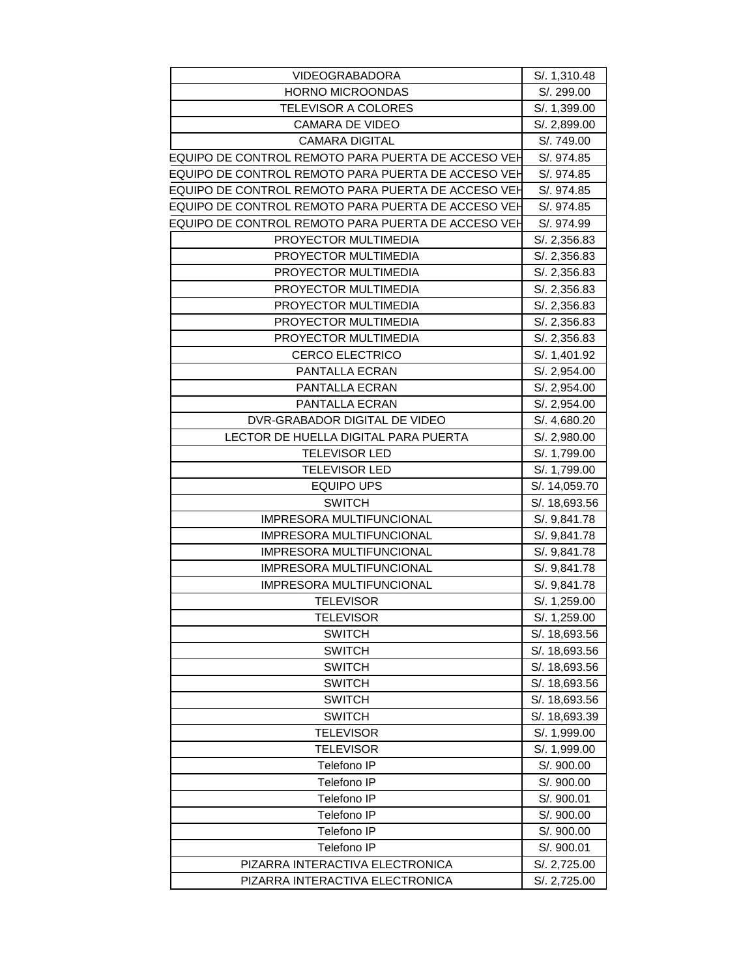| <b>VIDEOGRABADORA</b>                              | S/. 1,310.48  |
|----------------------------------------------------|---------------|
| <b>HORNO MICROONDAS</b>                            | S/. 299.00    |
| <b>TELEVISOR A COLORES</b>                         | S/. 1,399.00  |
| <b>CAMARA DE VIDEO</b>                             | S/. 2,899.00  |
| <b>CAMARA DIGITAL</b>                              | S/. 749.00    |
| EQUIPO DE CONTROL REMOTO PARA PUERTA DE ACCESO VEH | S/. 974.85    |
| EQUIPO DE CONTROL REMOTO PARA PUERTA DE ACCESO VEH | S/. 974.85    |
| EQUIPO DE CONTROL REMOTO PARA PUERTA DE ACCESO VEH | S/. 974.85    |
| EQUIPO DE CONTROL REMOTO PARA PUERTA DE ACCESO VEH | S/. 974.85    |
| EQUIPO DE CONTROL REMOTO PARA PUERTA DE ACCESO VEH | S/. 974.99    |
| PROYECTOR MULTIMEDIA                               | S/. 2,356.83  |
| PROYECTOR MULTIMEDIA                               | S/. 2,356.83  |
| PROYECTOR MULTIMEDIA                               | S/. 2,356.83  |
| PROYECTOR MULTIMEDIA                               | S/. 2,356.83  |
| PROYECTOR MULTIMEDIA                               | S/. 2,356.83  |
| PROYECTOR MULTIMEDIA                               | S/. 2,356.83  |
| PROYECTOR MULTIMEDIA                               | S/. 2,356.83  |
| <b>CERCO ELECTRICO</b>                             | S/. 1,401.92  |
| <b>PANTALLA ECRAN</b>                              | S/. 2,954.00  |
| PANTALLA ECRAN                                     | S/. 2,954.00  |
| PANTALLA ECRAN                                     | S/. 2,954.00  |
| DVR-GRABADOR DIGITAL DE VIDEO                      | S/. 4,680.20  |
| LECTOR DE HUELLA DIGITAL PARA PUERTA               | S/. 2,980.00  |
| <b>TELEVISOR LED</b>                               | S/. 1,799.00  |
| <b>TELEVISOR LED</b>                               | S/. 1,799.00  |
| <b>EQUIPO UPS</b>                                  | S/. 14,059.70 |
| <b>SWITCH</b>                                      | S/. 18,693.56 |
| IMPRESORA MULTIFUNCIONAL                           | S/. 9,841.78  |
| <b>IMPRESORA MULTIFUNCIONAL</b>                    | S/. 9,841.78  |
| <b>IMPRESORA MULTIFUNCIONAL</b>                    | S/. 9,841.78  |
| IMPRESORA MULTIFUNCIONAL                           | S/. 9,841.78  |
| IMPRESORA MULTIFUNCIONAL                           | S/. 9,841.78  |
| <b>TELEVISOR</b>                                   | S/. 1,259.00  |
| <b>TELEVISOR</b>                                   | S/. 1,259.00  |
| <b>SWITCH</b>                                      | S/. 18,693.56 |
| <b>SWITCH</b>                                      | S/. 18,693.56 |
| <b>SWITCH</b>                                      | S/. 18,693.56 |
| <b>SWITCH</b>                                      | S/. 18,693.56 |
| <b>SWITCH</b>                                      | S/. 18,693.56 |
| <b>SWITCH</b>                                      | S/. 18,693.39 |
| <b>TELEVISOR</b>                                   | S/. 1,999.00  |
| TELEVISOR                                          | S/. 1,999.00  |
| Telefono IP                                        | S/. 900.00    |
| Telefono IP                                        | S/. 900.00    |
| Telefono IP                                        | S/. 900.01    |
| Telefono IP                                        | S/. 900.00    |
| Telefono IP                                        | S/. 900.00    |
| Telefono IP                                        | S/. 900.01    |
| PIZARRA INTERACTIVA ELECTRONICA                    | S/. 2,725.00  |
| PIZARRA INTERACTIVA ELECTRONICA                    | S/. 2,725.00  |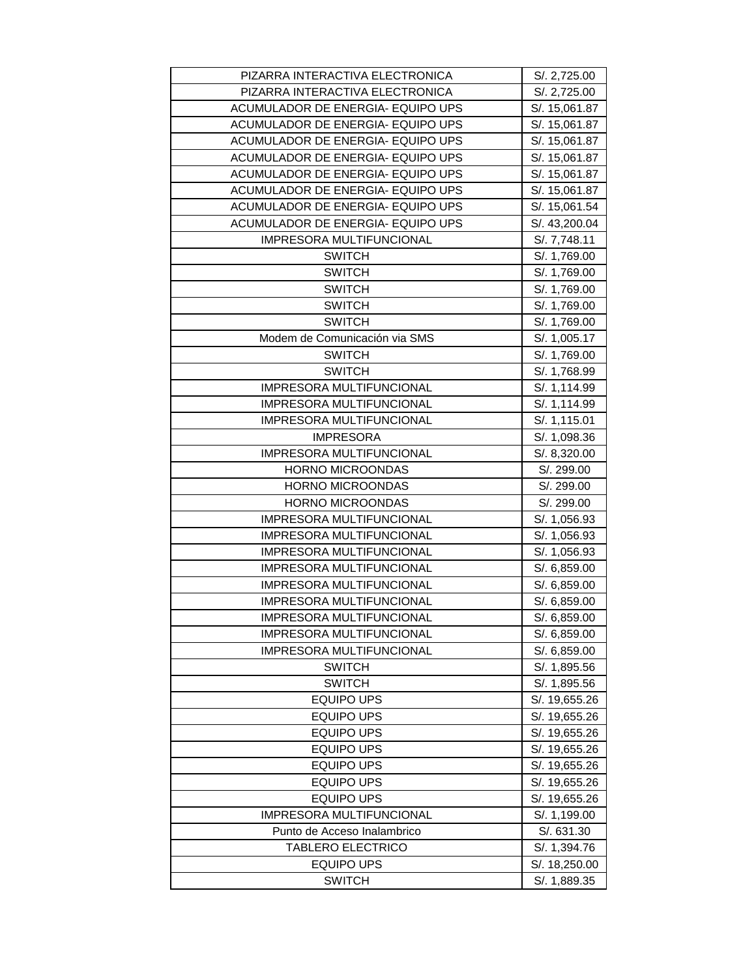| PIZARRA INTERACTIVA ELECTRONICA    | S/. 2,725.00                  |
|------------------------------------|-------------------------------|
| PIZARRA INTERACTIVA ELECTRONICA    | S/. 2,725.00                  |
| ACUMULADOR DE ENERGIA- EQUIPO UPS  | S/. 15,061.87                 |
| ACUMULADOR DE ENERGIA- EQUIPO UPS  | S/. 15,061.87                 |
| ACUMULADOR DE ENERGIA- EQUIPO UPS  | S/. 15,061.87                 |
| ACUMULADOR DE ENERGIA- EQUIPO UPS  | S/. 15,061.87                 |
| ACUMULADOR DE ENERGIA- EQUIPO UPS  | S/. 15,061.87                 |
| ACUMULADOR DE ENERGIA- EQUIPO UPS  | S/. 15,061.87                 |
| ACUMULADOR DE ENERGIA- EQUIPO UPS  | S/. 15,061.54                 |
| ACUMULADOR DE ENERGIA- EQUIPO UPS  | S/. 43,200.04                 |
| IMPRESORA MULTIFUNCIONAL           | S/. 7,748.11                  |
| <b>SWITCH</b>                      | S/. 1,769.00                  |
| <b>SWITCH</b>                      | S/. 1,769.00                  |
| <b>SWITCH</b>                      | S/. 1,769.00                  |
| <b>SWITCH</b>                      | S/. 1,769.00                  |
| <b>SWITCH</b>                      | S/. 1,769.00                  |
| Modem de Comunicación via SMS      | S/. 1,005.17                  |
| <b>SWITCH</b>                      | S/. 1,769.00                  |
| <b>SWITCH</b>                      | S/. 1,768.99                  |
| IMPRESORA MULTIFUNCIONAL           | S/. 1,114.99                  |
| IMPRESORA MULTIFUNCIONAL           | S/. 1,114.99                  |
| IMPRESORA MULTIFUNCIONAL           | S/. 1,115.01                  |
| <b>IMPRESORA</b>                   | S/. 1,098.36                  |
| <b>IMPRESORA MULTIFUNCIONAL</b>    | S/. 8,320.00                  |
| HORNO MICROONDAS                   | S/. 299.00                    |
|                                    |                               |
| HORNO MICROONDAS                   | S/. 299.00                    |
| <b>HORNO MICROONDAS</b>            | S/. 299.00                    |
| IMPRESORA MULTIFUNCIONAL           | S/. 1,056.93                  |
| <b>IMPRESORA MULTIFUNCIONAL</b>    | S/. 1,056.93                  |
| IMPRESORA MULTIFUNCIONAL           | S/. 1,056.93                  |
| IMPRESORA MULTIFUNCIONAL           | S/. 6,859.00                  |
| IMPRESORA MULTIFUNCIONAL           | S/. 6,859.00                  |
| <b>IMPRESORA MULTIFUNCIONAL</b>    | S/. 6,859.00                  |
| <b>IMPRESORA MULTIFUNCIONAL</b>    | S/. 6,859.00                  |
| <b>IMPRESORA MULTIFUNCIONAL</b>    | S/. 6,859.00                  |
| IMPRESORA MULTIFUNCIONAL           | S/. 6,859.00                  |
| <b>SWITCH</b>                      | S/. 1,895.56                  |
| <b>SWITCH</b>                      | S/. 1,895.56                  |
| <b>EQUIPO UPS</b>                  | S/. 19,655.26                 |
| <b>EQUIPO UPS</b>                  | S/. 19,655.26                 |
| <b>EQUIPO UPS</b>                  | S/. 19,655.26                 |
| <b>EQUIPO UPS</b>                  | S/. 19,655.26                 |
| <b>EQUIPO UPS</b>                  | S/. 19,655.26                 |
| <b>EQUIPO UPS</b>                  | S/. 19,655.26                 |
| <b>EQUIPO UPS</b>                  | S/. 19,655.26                 |
| IMPRESORA MULTIFUNCIONAL           | S/. 1,199.00                  |
| Punto de Acceso Inalambrico        | S/. 631.30                    |
| TABLERO ELECTRICO                  | S/. 1,394.76                  |
| <b>EQUIPO UPS</b><br><b>SWITCH</b> | S/. 18,250.00<br>S/. 1,889.35 |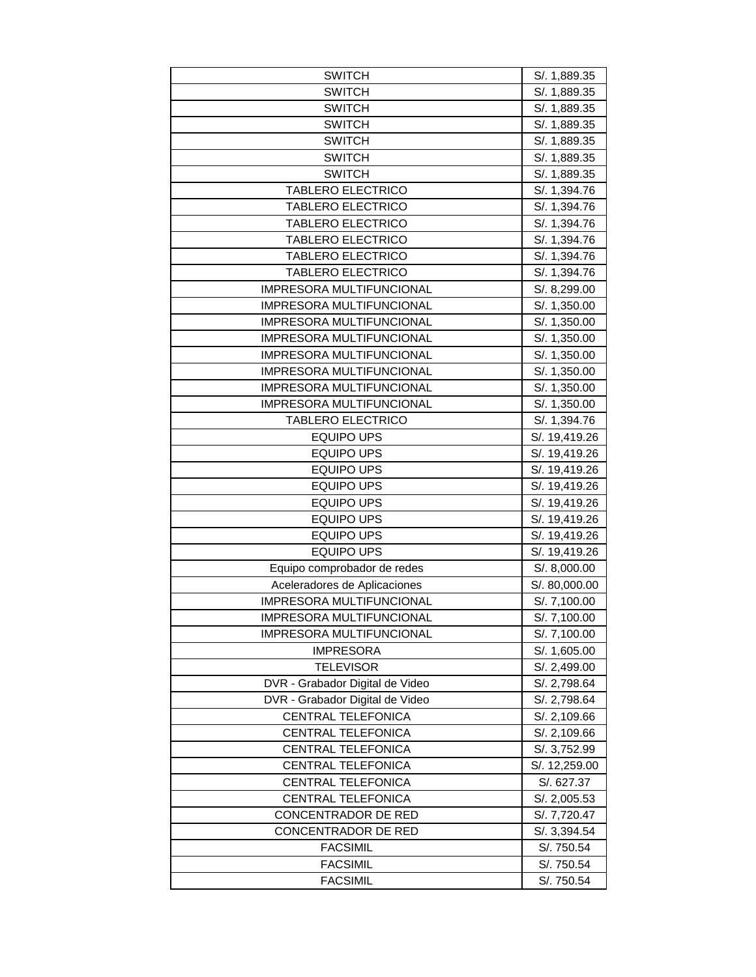| <b>SWITCH</b>                   | S/. 1,889.35  |
|---------------------------------|---------------|
| <b>SWITCH</b>                   | S/. 1,889.35  |
| <b>SWITCH</b>                   | S/. 1,889.35  |
| <b>SWITCH</b>                   | S/. 1,889.35  |
| <b>SWITCH</b>                   | S/. 1,889.35  |
| <b>SWITCH</b>                   | S/. 1,889.35  |
| <b>SWITCH</b>                   | S/. 1,889.35  |
| <b>TABLERO ELECTRICO</b>        | S/. 1,394.76  |
| <b>TABLERO ELECTRICO</b>        | S/. 1,394.76  |
| <b>TABLERO ELECTRICO</b>        | S/. 1,394.76  |
| <b>TABLERO ELECTRICO</b>        | S/. 1,394.76  |
| TABLERO ELECTRICO               | S/. 1,394.76  |
| <b>TABLERO ELECTRICO</b>        | S/. 1,394.76  |
| IMPRESORA MULTIFUNCIONAL        | S/. 8,299.00  |
| IMPRESORA MULTIFUNCIONAL        | S/. 1,350.00  |
| IMPRESORA MULTIFUNCIONAL        | S/. 1,350.00  |
| <b>IMPRESORA MULTIFUNCIONAL</b> | S/. 1,350.00  |
| IMPRESORA MULTIFUNCIONAL        | S/. 1,350.00  |
| IMPRESORA MULTIFUNCIONAL        | S/. 1,350.00  |
| IMPRESORA MULTIFUNCIONAL        | S/. 1,350.00  |
| IMPRESORA MULTIFUNCIONAL        | S/. 1,350.00  |
| <b>TABLERO ELECTRICO</b>        | S/. 1,394.76  |
| <b>EQUIPO UPS</b>               | S/. 19,419.26 |
| <b>EQUIPO UPS</b>               | S/. 19,419.26 |
| <b>EQUIPO UPS</b>               | S/. 19,419.26 |
| <b>EQUIPO UPS</b>               | S/. 19,419.26 |
| <b>EQUIPO UPS</b>               | S/. 19,419.26 |
| <b>EQUIPO UPS</b>               | S/. 19,419.26 |
| <b>EQUIPO UPS</b>               | S/. 19,419.26 |
| <b>EQUIPO UPS</b>               | S/. 19,419.26 |
| Equipo comprobador de redes     | S/. 8,000.00  |
| Aceleradores de Aplicaciones    | S/. 80,000.00 |
| IMPRESORA MULTIFUNCIONAL        | S/. 7,100.00  |
| <b>IMPRESORA MULTIFUNCIONAL</b> | S/. 7,100.00  |
| IMPRESORA MULTIFUNCIONAL        | S/. 7,100.00  |
| <b>IMPRESORA</b>                | S/. 1,605.00  |
| <b>TELEVISOR</b>                | S/. 2,499.00  |
| DVR - Grabador Digital de Video | S/. 2,798.64  |
| DVR - Grabador Digital de Video | S/. 2,798.64  |
| CENTRAL TELEFONICA              | S/. 2,109.66  |
| CENTRAL TELEFONICA              | S/. 2,109.66  |
| <b>CENTRAL TELEFONICA</b>       | S/. 3,752.99  |
| <b>CENTRAL TELEFONICA</b>       | S/. 12,259.00 |
| CENTRAL TELEFONICA              | S/. 627.37    |
| CENTRAL TELEFONICA              | S/. 2,005.53  |
| CONCENTRADOR DE RED             | S/. 7,720.47  |
| CONCENTRADOR DE RED             | S/. 3,394.54  |
| <b>FACSIMIL</b>                 | S/. 750.54    |
| <b>FACSIMIL</b>                 | S/. 750.54    |
| <b>FACSIMIL</b>                 | S/. 750.54    |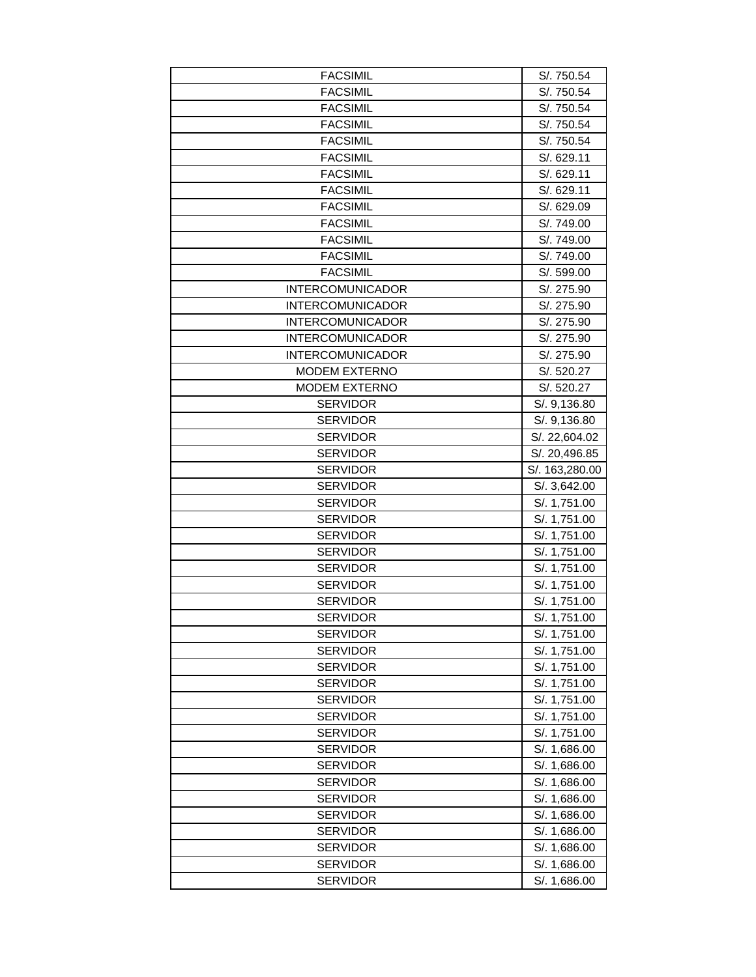| <b>FACSIMIL</b>         | S/. 750.54     |
|-------------------------|----------------|
| <b>FACSIMIL</b>         | S/. 750.54     |
| <b>FACSIMIL</b>         | S/. 750.54     |
| <b>FACSIMIL</b>         | S/. 750.54     |
| <b>FACSIMIL</b>         | S/. 750.54     |
| <b>FACSIMIL</b>         | S/. 629.11     |
| <b>FACSIMIL</b>         | S/. 629.11     |
| <b>FACSIMIL</b>         | S/. 629.11     |
| <b>FACSIMIL</b>         | S/. 629.09     |
| <b>FACSIMIL</b>         | S/. 749.00     |
| <b>FACSIMIL</b>         | S/. 749.00     |
| <b>FACSIMIL</b>         | S/. 749.00     |
| <b>FACSIMIL</b>         | S/. 599.00     |
| <b>INTERCOMUNICADOR</b> | S/. 275.90     |
| <b>INTERCOMUNICADOR</b> | S/. 275.90     |
| <b>INTERCOMUNICADOR</b> | S/. 275.90     |
| <b>INTERCOMUNICADOR</b> | S/. 275.90     |
| <b>INTERCOMUNICADOR</b> | S/. 275.90     |
| <b>MODEM EXTERNO</b>    | S/. 520.27     |
| <b>MODEM EXTERNO</b>    | S/. 520.27     |
| <b>SERVIDOR</b>         | S/. 9,136.80   |
| <b>SERVIDOR</b>         | S/. 9,136.80   |
| <b>SERVIDOR</b>         | S/. 22,604.02  |
| <b>SERVIDOR</b>         | S/. 20,496.85  |
| <b>SERVIDOR</b>         | S/. 163,280.00 |
| <b>SERVIDOR</b>         | S/. 3,642.00   |
| <b>SERVIDOR</b>         | S/. 1,751.00   |
| <b>SERVIDOR</b>         | S/. 1,751.00   |
| <b>SERVIDOR</b>         | S/. 1,751.00   |
| <b>SERVIDOR</b>         | S/. 1,751.00   |
| <b>SERVIDOR</b>         | S/. 1,751.00   |
| <b>SERVIDOR</b>         | S/. 1,751.00   |
| <b>SERVIDOR</b>         | S/. 1,751.00   |
| <b>SERVIDOR</b>         | S/. 1,751.00   |
| <b>SERVIDOR</b>         | S/. 1,751.00   |
| <b>SERVIDOR</b>         | S/. 1,751.00   |
| <b>SERVIDOR</b>         | S/. 1,751.00   |
| <b>SERVIDOR</b>         | S/. 1,751.00   |
| <b>SERVIDOR</b>         | S/. 1,751.00   |
| <b>SERVIDOR</b>         | S/. 1,751.00   |
| <b>SERVIDOR</b>         | S/. 1,751.00   |
| <b>SERVIDOR</b>         | S/. 1,686.00   |
| <b>SERVIDOR</b>         | S/. 1,686.00   |
| <b>SERVIDOR</b>         | S/. 1,686.00   |
| <b>SERVIDOR</b>         | S/. 1,686.00   |
| <b>SERVIDOR</b>         | S/. 1,686.00   |
| <b>SERVIDOR</b>         | S/. 1,686.00   |
| <b>SERVIDOR</b>         | S/. 1,686.00   |
| <b>SERVIDOR</b>         | S/. 1,686.00   |
| <b>SERVIDOR</b>         | S/. 1,686.00   |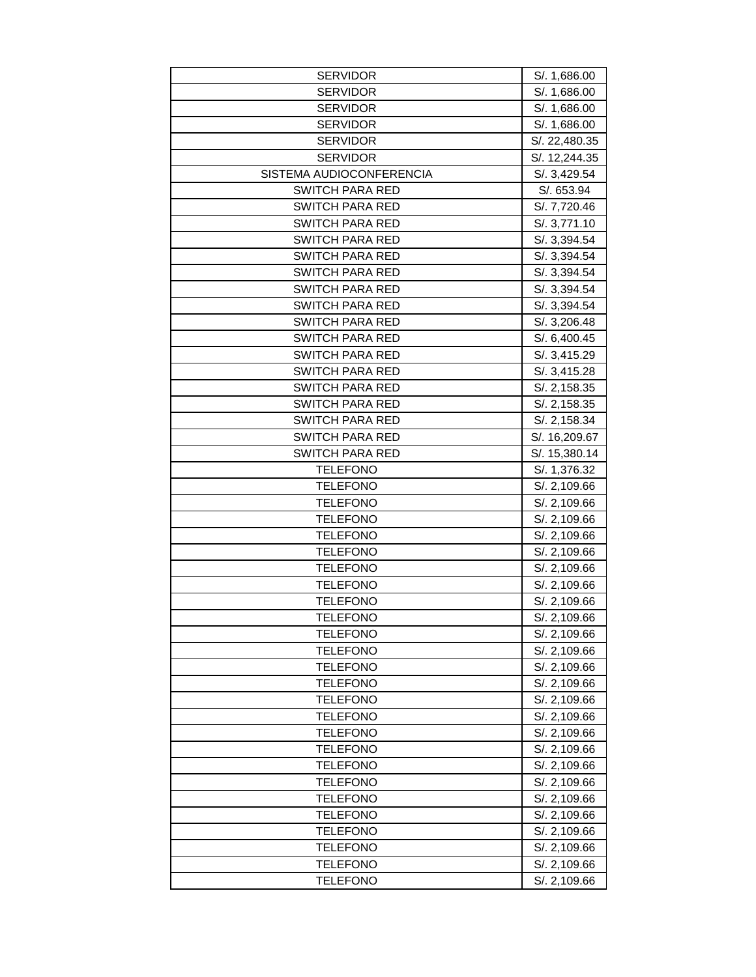| <b>SERVIDOR</b>                    | S/. 1,686.00  |
|------------------------------------|---------------|
| <b>SERVIDOR</b>                    | S/. 1,686.00  |
| <b>SERVIDOR</b>                    | S/. 1,686.00  |
| <b>SERVIDOR</b>                    | S/. 1,686.00  |
| <b>SERVIDOR</b>                    | S/. 22,480.35 |
| <b>SERVIDOR</b>                    | S/. 12,244.35 |
| SISTEMA AUDIOCONFERENCIA           | S/. 3,429.54  |
| <b>SWITCH PARA RED</b>             | S/. 653.94    |
| <b>SWITCH PARA RED</b>             | S/. 7,720.46  |
| <b>SWITCH PARA RED</b>             | S/. 3,771.10  |
| <b>SWITCH PARA RED</b>             | S/. 3,394.54  |
| <b>SWITCH PARA RED</b>             | S/. 3,394.54  |
| <b>SWITCH PARA RED</b>             | S/. 3,394.54  |
| <b>SWITCH PARA RED</b>             | S/. 3,394.54  |
| <b>SWITCH PARA RED</b>             | S/. 3,394.54  |
| <b>SWITCH PARA RED</b>             | S/. 3,206.48  |
| <b>SWITCH PARA RED</b>             | S/. 6,400.45  |
| <b>SWITCH PARA RED</b>             | S/. 3,415.29  |
| <b>SWITCH PARA RED</b>             | S/. 3,415.28  |
| <b>SWITCH PARA RED</b>             | S/. 2,158.35  |
| <b>SWITCH PARA RED</b>             | S/. 2,158.35  |
| <b>SWITCH PARA RED</b>             | S/. 2,158.34  |
| <b>SWITCH PARA RED</b>             | S/. 16,209.67 |
| <b>SWITCH PARA RED</b>             | S/. 15,380.14 |
| <b>TELEFONO</b>                    | S/. 1,376.32  |
| <b>TELEFONO</b>                    | S/. 2,109.66  |
| TELEFONO                           | S/. 2,109.66  |
| <b>TELEFONO</b>                    | S/. 2,109.66  |
| <b>TELEFONO</b>                    | S/. 2,109.66  |
| <b>TELEFONO</b>                    | S/. 2,109.66  |
| TELEFONO                           | S/. 2,109.66  |
| <b>TELEFONO</b>                    | S/. 2,109.66  |
| <b>TELEFONO</b>                    | S/. 2,109.66  |
| <b>TELEFONO</b>                    | S/. 2,109.66  |
| <b>TELEFONO</b>                    | S/. 2,109.66  |
| <b>TELEFONO</b>                    | S/. 2,109.66  |
| <b>TELEFONO</b>                    | S/. 2,109.66  |
| <b>TELEFONO</b>                    | S/. 2,109.66  |
| <b>TELEFONO</b>                    | S/. 2,109.66  |
| <b>TELEFONO</b>                    | S/. 2,109.66  |
| <b>TELEFONO</b>                    | S/. 2,109.66  |
| TELEFONO                           | S/. 2,109.66  |
| <b>TELEFONO</b>                    | S/. 2,109.66  |
| <b>TELEFONO</b>                    | S/. 2,109.66  |
| TELEFONO                           | S/. 2,109.66  |
| <b>TELEFONO</b>                    | S/. 2,109.66  |
| <b>TELEFONO</b>                    | S/. 2,109.66  |
| <b>TELEFONO</b>                    | S/. 2,109.66  |
| <b>TELEFONO</b><br><b>TELEFONO</b> | S/. 2,109.66  |
|                                    | S/. 2,109.66  |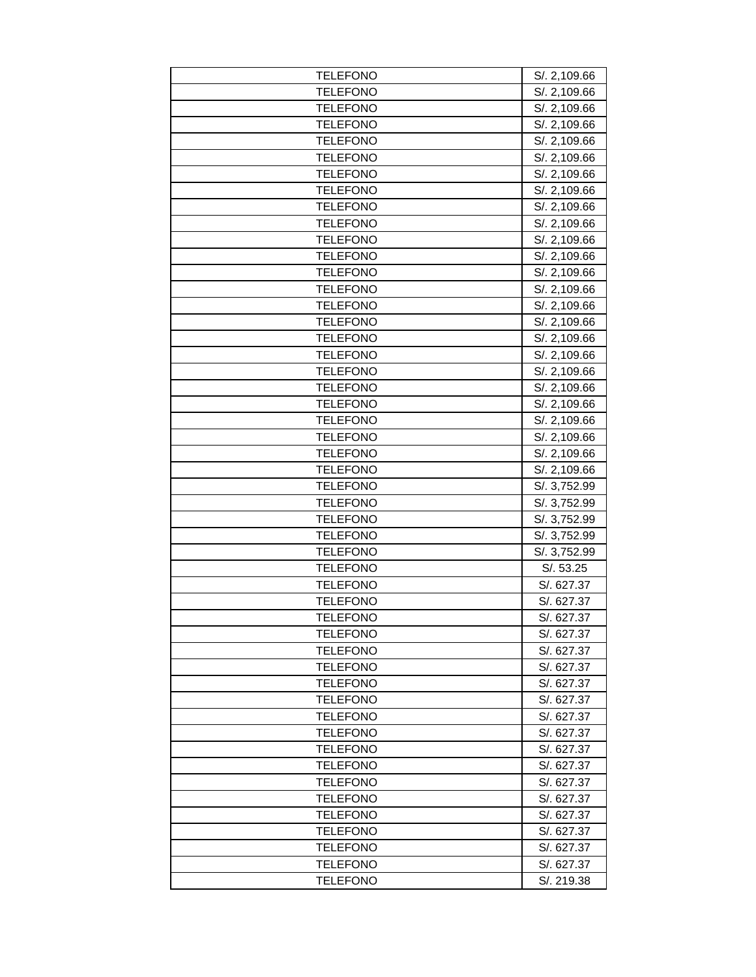| <b>TELEFONO</b> | S/. 2,109.66 |
|-----------------|--------------|
| <b>TELEFONO</b> | S/. 2,109.66 |
| <b>TELEFONO</b> | S/. 2,109.66 |
| <b>TELEFONO</b> | S/. 2,109.66 |
| <b>TELEFONO</b> | S/. 2,109.66 |
| <b>TELEFONO</b> | S/. 2,109.66 |
| <b>TELEFONO</b> | S/. 2,109.66 |
| <b>TELEFONO</b> | S/. 2,109.66 |
| <b>TELEFONO</b> | S/. 2,109.66 |
| <b>TELEFONO</b> | S/. 2,109.66 |
| <b>TELEFONO</b> | S/. 2,109.66 |
| <b>TELEFONO</b> | S/. 2,109.66 |
| <b>TELEFONO</b> | S/. 2,109.66 |
| <b>TELEFONO</b> | S/. 2,109.66 |
| <b>TELEFONO</b> | S/. 2,109.66 |
| <b>TELEFONO</b> | S/. 2,109.66 |
| <b>TELEFONO</b> | S/. 2,109.66 |
| TELEFONO        | S/. 2,109.66 |
| <b>TELEFONO</b> | S/. 2,109.66 |
| <b>TELEFONO</b> | S/. 2,109.66 |
| <b>TELEFONO</b> | S/. 2,109.66 |
| <b>TELEFONO</b> | S/. 2,109.66 |
| <b>TELEFONO</b> | S/. 2,109.66 |
| <b>TELEFONO</b> | S/. 2,109.66 |
| <b>TELEFONO</b> | S/. 2,109.66 |
| <b>TELEFONO</b> | S/. 3,752.99 |
| TELEFONO        | S/. 3,752.99 |
| <b>TELEFONO</b> | S/. 3,752.99 |
| <b>TELEFONO</b> | S/. 3,752.99 |
| <b>TELEFONO</b> | S/. 3,752.99 |
| <b>TELEFONO</b> | S/.53.25     |
| <b>TELEFONO</b> | S/. 627.37   |
| <b>TELEFONO</b> | S/. 627.37   |
| <b>TELEFONO</b> | S/. 627.37   |
| <b>TELEFONO</b> | S/. 627.37   |
| TELEFONO        | S/. 627.37   |
| <b>TELEFONO</b> | S/. 627.37   |
| <b>TELEFONO</b> | S/. 627.37   |
| <b>TELEFONO</b> | S/. 627.37   |
| <b>TELEFONO</b> | S/. 627.37   |
| <b>TELEFONO</b> | S/. 627.37   |
| <b>TELEFONO</b> | S/. 627.37   |
| <b>TELEFONO</b> | S/. 627.37   |
| <b>TELEFONO</b> | S/. 627.37   |
| TELEFONO        | S/. 627.37   |
| <b>TELEFONO</b> | S/. 627.37   |
| <b>TELEFONO</b> | S/. 627.37   |
| <b>TELEFONO</b> | S/. 627.37   |
| <b>TELEFONO</b> | S/. 627.37   |
| <b>TELEFONO</b> | S/. 219.38   |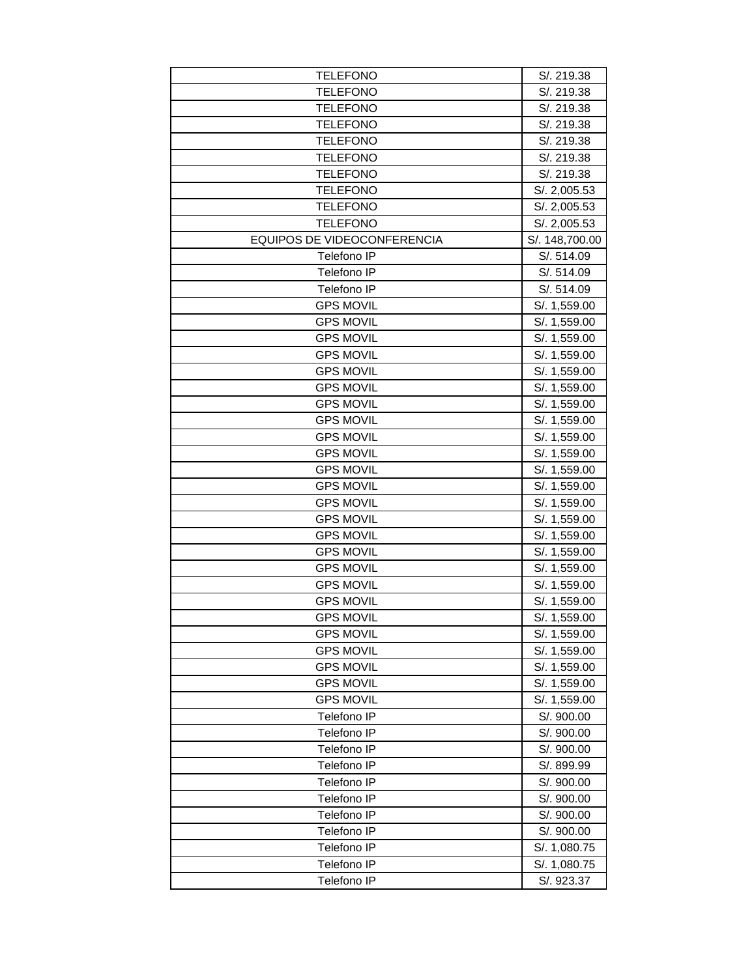| <b>TELEFONO</b>             | S/. 219.38     |
|-----------------------------|----------------|
| <b>TELEFONO</b>             | S/. 219.38     |
| <b>TELEFONO</b>             | S/. 219.38     |
| <b>TELEFONO</b>             | S/. 219.38     |
| <b>TELEFONO</b>             | S/. 219.38     |
| <b>TELEFONO</b>             | S/. 219.38     |
| <b>TELEFONO</b>             | S/. 219.38     |
| <b>TELEFONO</b>             | S/. 2,005.53   |
| <b>TELEFONO</b>             | S/. 2,005.53   |
| <b>TELEFONO</b>             | S/. 2,005.53   |
| EQUIPOS DE VIDEOCONFERENCIA | S/. 148,700.00 |
| Telefono IP                 | S/. 514.09     |
| Telefono IP                 | S/. 514.09     |
| Telefono IP                 | S/. 514.09     |
| <b>GPS MOVIL</b>            | S/. 1,559.00   |
| <b>GPS MOVIL</b>            | S/. 1,559.00   |
| <b>GPS MOVIL</b>            | S/. 1,559.00   |
| <b>GPS MOVIL</b>            | S/. 1,559.00   |
| <b>GPS MOVIL</b>            | S/. 1,559.00   |
| <b>GPS MOVIL</b>            | S/. 1,559.00   |
| <b>GPS MOVIL</b>            | S/. 1,559.00   |
| <b>GPS MOVIL</b>            | S/. 1,559.00   |
| <b>GPS MOVIL</b>            | S/. 1,559.00   |
| <b>GPS MOVIL</b>            | S/. 1,559.00   |
| <b>GPS MOVIL</b>            | S/. 1,559.00   |
| <b>GPS MOVIL</b>            | S/. 1,559.00   |
| <b>GPS MOVIL</b>            | S/. 1,559.00   |
| <b>GPS MOVIL</b>            | S/. 1,559.00   |
| <b>GPS MOVIL</b>            | S/. 1,559.00   |
| <b>GPS MOVIL</b>            | S/. 1,559.00   |
| <b>GPS MOVIL</b>            | S/. 1,559.00   |
| <b>GPS MOVIL</b>            | S/. 1,559.00   |
| <b>GPS MOVIL</b>            | S/. 1,559.00   |
| <b>GPS MOVIL</b>            | S/. 1,559.00   |
| <b>GPS MOVIL</b>            | S/. 1,559.00   |
| <b>GPS MOVIL</b>            | S/. 1,559.00   |
| <b>GPS MOVIL</b>            | S/. 1,559.00   |
| <b>GPS MOVIL</b>            | S/. 1,559.00   |
| <b>GPS MOVIL</b>            | S/. 1,559.00   |
| Telefono IP                 | S/. 900.00     |
| Telefono IP                 | S/. 900.00     |
| Telefono IP                 | S/. 900.00     |
| Telefono IP                 | S/. 899.99     |
| Telefono IP                 | S/. 900.00     |
| Telefono IP                 | S/. 900.00     |
| Telefono IP                 | S/. 900.00     |
| Telefono IP                 | S/. 900.00     |
| Telefono IP                 | S/. 1,080.75   |
| Telefono IP                 | S/. 1,080.75   |
| Telefono IP                 | S/. 923.37     |
|                             |                |